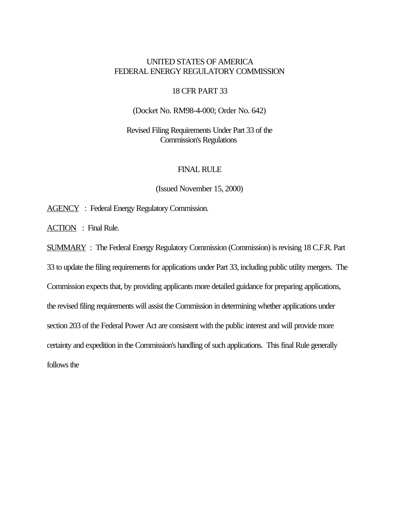## UNITED STATES OF AMERICA FEDERAL ENERGY REGULATORY COMMISSION

## 18 CFR PART 33

(Docket No. RM98-4-000; Order No. 642)

Revised Filing Requirements Under Part 33 of the Commission's Regulations

## FINAL RULE

(Issued November 15, 2000)

AGENCY : Federal Energy Regulatory Commission.

ACTION : Final Rule.

SUMMARY : The Federal Energy Regulatory Commission (Commission) is revising 18 C.F.R. Part

33 to update the filing requirements for applications under Part 33, including public utility mergers. The Commission expects that, by providing applicants more detailed guidance for preparing applications, the revised filing requirements will assist the Commission in determining whether applications under section 203 of the Federal Power Act are consistent with the public interest and will provide more certainty and expedition in the Commission's handling of such applications. This final Rule generally follows the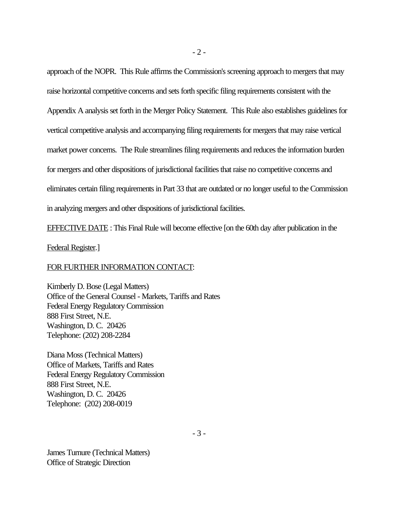approach of the NOPR. This Rule affirms the Commission's screening approach to mergers that may raise horizontal competitive concerns and sets forth specific filing requirements consistent with the Appendix A analysis set forth in the Merger Policy Statement. This Rule also establishes guidelines for vertical competitive analysis and accompanying filing requirements for mergers that may raise vertical market power concerns. The Rule streamlines filing requirements and reduces the information burden for mergers and other dispositions of jurisdictional facilities that raise no competitive concerns and eliminates certain filing requirements in Part 33 that are outdated or no longer useful to the Commission in analyzing mergers and other dispositions of jurisdictional facilities.

EFFECTIVE DATE : This Final Rule will become effective [on the 60th day after publication in the

Federal Register.]

## FOR FURTHER INFORMATION CONTACT:

Kimberly D. Bose (Legal Matters) Office of the General Counsel - Markets, Tariffs and Rates Federal Energy Regulatory Commission 888 First Street, N.E. Washington, D. C. 20426 Telephone: (202) 208-2284

Diana Moss (Technical Matters) Office of Markets, Tariffs and Rates Federal Energy Regulatory Commission 888 First Street, N.E. Washington, D. C. 20426 Telephone: (202) 208-0019

James Turnure (Technical Matters) Office of Strategic Direction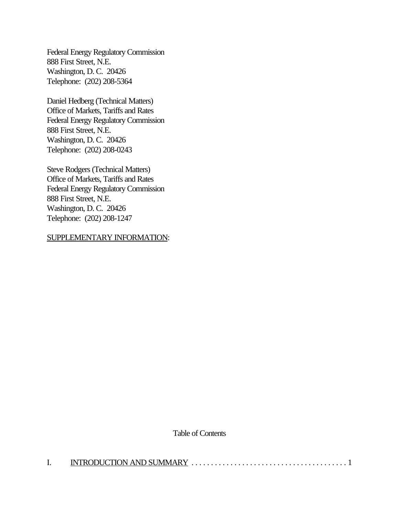Federal Energy Regulatory Commission 888 First Street, N.E. Washington, D. C. 20426 Telephone: (202) 208-5364

Daniel Hedberg (Technical Matters) Office of Markets, Tariffs and Rates Federal Energy Regulatory Commission 888 First Street, N.E. Washington, D. C. 20426 Telephone: (202) 208-0243

Steve Rodgers (Technical Matters) Office of Markets, Tariffs and Rates Federal Energy Regulatory Commission 888 First Street, N.E. Washington, D. C. 20426 Telephone: (202) 208-1247

## SUPPLEMENTARY INFORMATION:

Table of Contents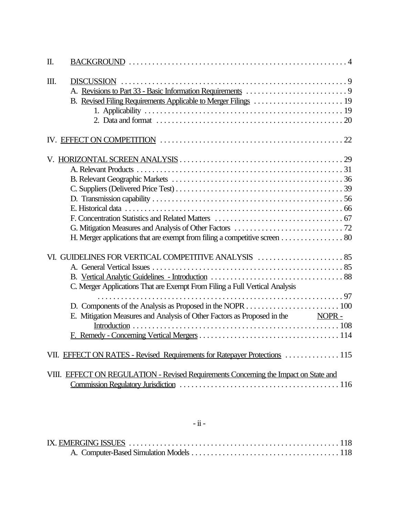| Π. |                                                                                                                                                               |
|----|---------------------------------------------------------------------------------------------------------------------------------------------------------------|
| Ш. |                                                                                                                                                               |
|    |                                                                                                                                                               |
|    | H. Merger applications that are exempt from filing a competitive screen 80                                                                                    |
|    | C. Merger Applications That are Exempt From Filing a Full Vertical Analysis<br>E. Mitigation Measures and Analysis of Other Factors as Proposed in the NOPR - |
|    | VII. EFFECT ON RATES - Revised Requirements for Ratepayer Protections  115                                                                                    |
|    | VIII. EFFECT ON REGULATION - Revised Requirements Concerning the Impact on State and                                                                          |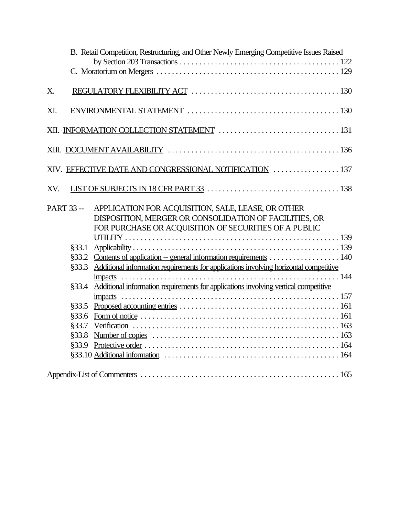| B. Retail Competition, Restructuring, and Other Newly Emerging Competitive Issues Raised                                                                                                   |  |
|--------------------------------------------------------------------------------------------------------------------------------------------------------------------------------------------|--|
|                                                                                                                                                                                            |  |
| X.                                                                                                                                                                                         |  |
| XI.                                                                                                                                                                                        |  |
|                                                                                                                                                                                            |  |
|                                                                                                                                                                                            |  |
| XIV. EFFECTIVE DATE AND CONGRESSIONAL NOTIFICATION  137                                                                                                                                    |  |
| XV.                                                                                                                                                                                        |  |
| <b>PART 33 --</b><br>APPLICATION FOR ACQUISITION, SALE, LEASE, OR OTHER<br>DISPOSITION, MERGER OR CONSOLIDATION OF FACILITIES, OR<br>FOR PURCHASE OR ACQUISITION OF SECURITIES OF A PUBLIC |  |
| §33.1                                                                                                                                                                                      |  |
| §33.2                                                                                                                                                                                      |  |
| Additional information requirements for applications involving horizontal competitive<br>§33.3                                                                                             |  |
|                                                                                                                                                                                            |  |
| §33.4 Additional information requirements for applications involving vertical competitive                                                                                                  |  |
|                                                                                                                                                                                            |  |
| §33.5                                                                                                                                                                                      |  |
| §33.6                                                                                                                                                                                      |  |
| §33.7                                                                                                                                                                                      |  |
| §33.8                                                                                                                                                                                      |  |
| §33.9                                                                                                                                                                                      |  |
|                                                                                                                                                                                            |  |
|                                                                                                                                                                                            |  |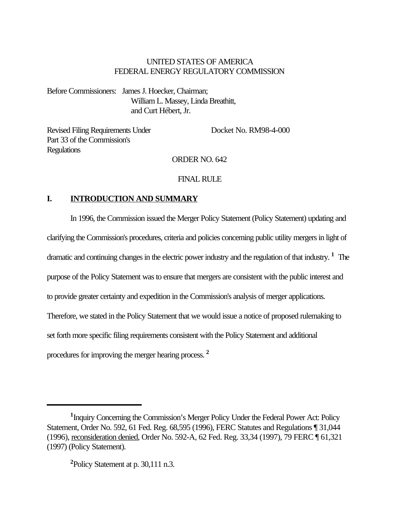## UNITED STATES OF AMERICA FEDERAL ENERGY REGULATORY COMMISSION

Before Commissioners: James J. Hoecker, Chairman; William L. Massey, Linda Breathitt, and Curt Hébert, Jr.

Revised Filing Requirements Under Docket No. RM98-4-000 Part 33 of the Commission's Regulations

# ORDER NO. 642

## FINAL RULE

## **I. INTRODUCTION AND SUMMARY**

In 1996, the Commission issued the Merger Policy Statement (Policy Statement) updating and clarifying the Commission's procedures, criteria and policies concerning public utility mergers in light of dramatic and continuing changes in the electric power industry and the regulation of that industry. **<sup>1</sup>** The purpose of the Policy Statement was to ensure that mergers are consistent with the public interest and to provide greater certainty and expedition in the Commission's analysis of merger applications. Therefore, we stated in the Policy Statement that we would issue a notice of proposed rulemaking to set forth more specific filing requirements consistent with the Policy Statement and additional procedures for improving the merger hearing process. **<sup>2</sup>**

<sup>&</sup>lt;sup>1</sup>Inquiry Concerning the Commission's Merger Policy Under the Federal Power Act: Policy Statement, Order No. 592, 61 Fed. Reg. 68,595 (1996), FERC Statutes and Regulations ¶ 31,044 (1996), reconsideration denied, Order No. 592-A, 62 Fed. Reg. 33,34 (1997), 79 FERC ¶ 61,321 (1997) (Policy Statement).

**<sup>2</sup>**Policy Statement at p. 30,111 n.3.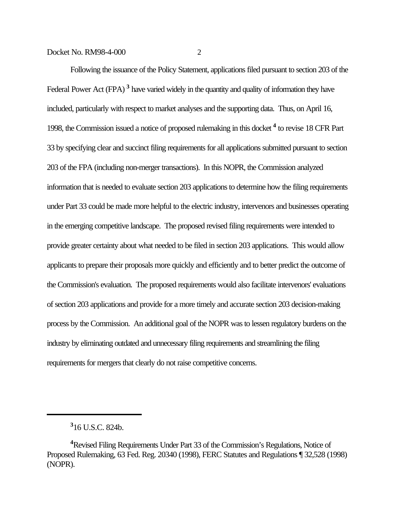Following the issuance of the Policy Statement, applications filed pursuant to section 203 of the Federal Power Act (FPA)<sup>3</sup> have varied widely in the quantity and quality of information they have included, particularly with respect to market analyses and the supporting data. Thus, on April 16, 1998, the Commission issued a notice of proposed rulemaking in this docket **<sup>4</sup>** to revise 18 CFR Part 33 by specifying clear and succinct filing requirements for all applications submitted pursuant to section 203 of the FPA (including non-merger transactions). In this NOPR, the Commission analyzed information that is needed to evaluate section 203 applications to determine how the filing requirements under Part 33 could be made more helpful to the electric industry, intervenors and businesses operating in the emerging competitive landscape. The proposed revised filing requirements were intended to provide greater certainty about what needed to be filed in section 203 applications. This would allow applicants to prepare their proposals more quickly and efficiently and to better predict the outcome of the Commission's evaluation. The proposed requirements would also facilitate intervenors' evaluations of section 203 applications and provide for a more timely and accurate section 203 decision-making process by the Commission. An additional goal of the NOPR was to lessen regulatory burdens on the industry by eliminating outdated and unnecessary filing requirements and streamlining the filing requirements for mergers that clearly do not raise competitive concerns.

**<sup>3</sup>** 16 U.S.C. 824b.

**<sup>4</sup>**Revised Filing Requirements Under Part 33 of the Commission's Regulations, Notice of Proposed Rulemaking, 63 Fed. Reg. 20340 (1998), FERC Statutes and Regulations ¶ 32,528 (1998) (NOPR).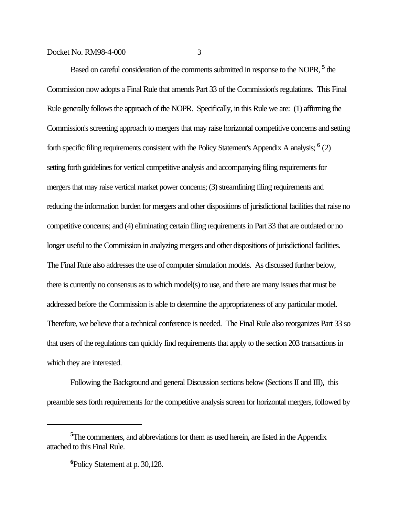Based on careful consideration of the comments submitted in response to the NOPR, <sup>5</sup> the Commission now adopts a Final Rule that amends Part 33 of the Commission's regulations. This Final Rule generally follows the approach of the NOPR. Specifically, in this Rule we are: (1) affirming the Commission's screening approach to mergers that may raise horizontal competitive concerns and setting forth specific filing requirements consistent with the Policy Statement's Appendix A analysis; **<sup>6</sup>** (2) setting forth guidelines for vertical competitive analysis and accompanying filing requirements for mergers that may raise vertical market power concerns; (3) streamlining filing requirements and reducing the information burden for mergers and other dispositions of jurisdictional facilities that raise no competitive concerns; and (4) eliminating certain filing requirements in Part 33 that are outdated or no longer useful to the Commission in analyzing mergers and other dispositions of jurisdictional facilities. The Final Rule also addresses the use of computer simulation models. As discussed further below, there is currently no consensus as to which model(s) to use, and there are many issues that must be addressed before the Commission is able to determine the appropriateness of any particular model. Therefore, we believe that a technical conference is needed. The Final Rule also reorganizes Part 33 so that users of the regulations can quickly find requirements that apply to the section 203 transactions in which they are interested.

Following the Background and general Discussion sections below (Sections II and III), this preamble sets forth requirements for the competitive analysis screen for horizontal mergers, followed by

<sup>&</sup>lt;sup>5</sup>The commenters, and abbreviations for them as used herein, are listed in the Appendix attached to this Final Rule.

**<sup>6</sup>**Policy Statement at p. 30,128.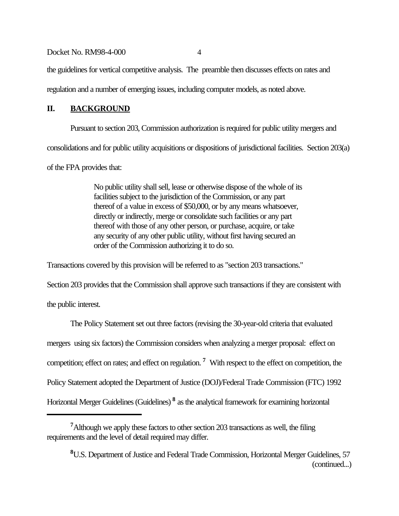the guidelines for vertical competitive analysis. The preamble then discusses effects on rates and

regulation and a number of emerging issues, including computer models, as noted above.

## **II. BACKGROUND**

Pursuant to section 203, Commission authorization is required for public utility mergers and consolidations and for public utility acquisitions or dispositions of jurisdictional facilities. Section 203(a)

of the FPA provides that:

No public utility shall sell, lease or otherwise dispose of the whole of its facilities subject to the jurisdiction of the Commission, or any part thereof of a value in excess of \$50,000, or by any means whatsoever, directly or indirectly, merge or consolidate such facilities or any part thereof with those of any other person, or purchase, acquire, or take any security of any other public utility, without first having secured an order of the Commission authorizing it to do so.

Transactions covered by this provision will be referred to as "section 203 transactions."

Section 203 provides that the Commission shall approve such transactions if they are consistent with the public interest.

The Policy Statement set out three factors (revising the 30-year-old criteria that evaluated mergers using six factors) the Commission considers when analyzing a merger proposal: effect on competition; effect on rates; and effect on regulation. **<sup>7</sup>** With respect to the effect on competition, the Policy Statement adopted the Department of Justice (DOJ)/Federal Trade Commission (FTC) 1992 Horizontal Merger Guidelines (Guidelines)<sup>8</sup> as the analytical framework for examining horizontal

**<sup>7</sup>**Although we apply these factors to other section 203 transactions as well, the filing requirements and the level of detail required may differ.

**<sup>8</sup>**U.S. Department of Justice and Federal Trade Commission, Horizontal Merger Guidelines, 57 (continued...)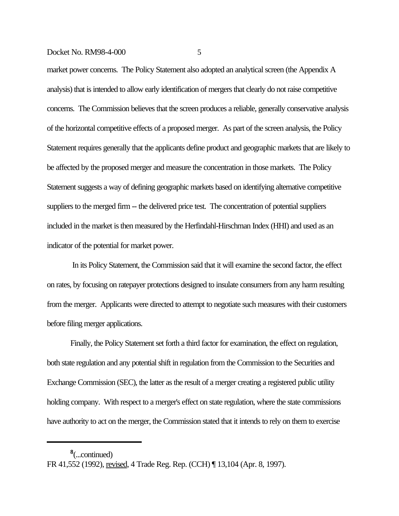market power concerns. The Policy Statement also adopted an analytical screen (the Appendix A analysis) that is intended to allow early identification of mergers that clearly do not raise competitive concerns. The Commission believes that the screen produces a reliable, generally conservative analysis of the horizontal competitive effects of a proposed merger. As part of the screen analysis, the Policy Statement requires generally that the applicants define product and geographic markets that are likely to be affected by the proposed merger and measure the concentration in those markets. The Policy Statement suggests a way of defining geographic markets based on identifying alternative competitive suppliers to the merged firm -- the delivered price test. The concentration of potential suppliers included in the market is then measured by the Herfindahl-Hirschman Index (HHI) and used as an indicator of the potential for market power.

 In its Policy Statement, the Commission said that it will examine the second factor, the effect on rates, by focusing on ratepayer protections designed to insulate consumers from any harm resulting from the merger. Applicants were directed to attempt to negotiate such measures with their customers before filing merger applications.

Finally, the Policy Statement set forth a third factor for examination, the effect on regulation, both state regulation and any potential shift in regulation from the Commission to the Securities and Exchange Commission (SEC), the latter as the result of a merger creating a registered public utility holding company. With respect to a merger's effect on state regulation, where the state commissions have authority to act on the merger, the Commission stated that it intends to rely on them to exercise

**8** (...continued)

FR 41,552 (1992), revised, 4 Trade Reg. Rep. (CCH) ¶ 13,104 (Apr. 8, 1997).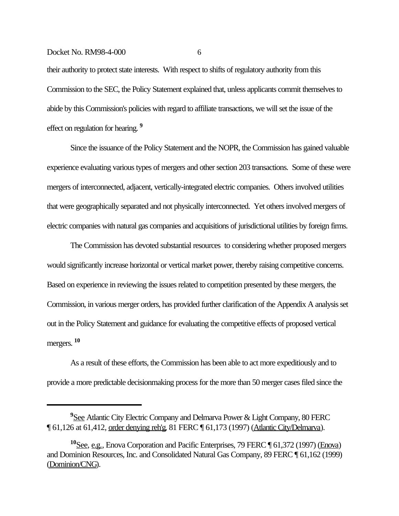their authority to protect state interests. With respect to shifts of regulatory authority from this Commission to the SEC, the Policy Statement explained that, unless applicants commit themselves to abide by this Commission's policies with regard to affiliate transactions, we will set the issue of the effect on regulation for hearing. **<sup>9</sup>**

Since the issuance of the Policy Statement and the NOPR, the Commission has gained valuable experience evaluating various types of mergers and other section 203 transactions. Some of these were mergers of interconnected, adjacent, vertically-integrated electric companies. Others involved utilities that were geographically separated and not physically interconnected. Yet others involved mergers of electric companies with natural gas companies and acquisitions of jurisdictional utilities by foreign firms.

The Commission has devoted substantial resources to considering whether proposed mergers would significantly increase horizontal or vertical market power, thereby raising competitive concerns. Based on experience in reviewing the issues related to competition presented by these mergers, the Commission, in various merger orders, has provided further clarification of the Appendix A analysis set out in the Policy Statement and guidance for evaluating the competitive effects of proposed vertical mergers. **<sup>10</sup>**

As a result of these efforts, the Commission has been able to act more expeditiously and to provide a more predictable decisionmaking process for the more than 50 merger cases filed since the

**<sup>9</sup>**See Atlantic City Electric Company and Delmarva Power & Light Company, 80 FERC ¶ 61,126 at 61,412, order denying reh'g, 81 FERC ¶ 61,173 (1997) (Atlantic City/Delmarva).

**<sup>10</sup>**See, e.g., Enova Corporation and Pacific Enterprises, 79 FERC ¶ 61,372 (1997) (Enova) and Dominion Resources, Inc. and Consolidated Natural Gas Company, 89 FERC ¶ 61,162 (1999) (Dominion/CNG).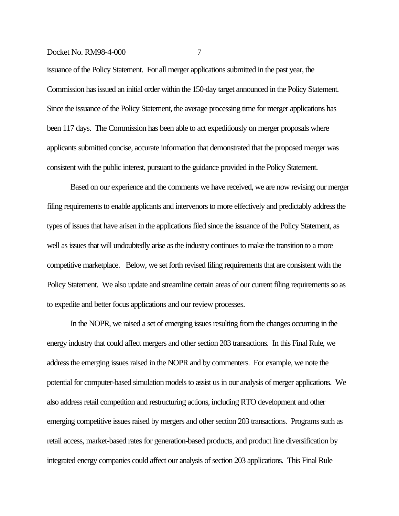issuance of the Policy Statement. For all merger applications submitted in the past year, the Commission has issued an initial order within the 150-day target announced in the Policy Statement. Since the issuance of the Policy Statement, the average processing time for merger applications has been 117 days. The Commission has been able to act expeditiously on merger proposals where applicants submitted concise, accurate information that demonstrated that the proposed merger was consistent with the public interest, pursuant to the guidance provided in the Policy Statement.

Based on our experience and the comments we have received, we are now revising our merger filing requirements to enable applicants and intervenors to more effectively and predictably address the types of issues that have arisen in the applications filed since the issuance of the Policy Statement, as well as issues that will undoubtedly arise as the industry continues to make the transition to a more competitive marketplace. Below, we set forth revised filing requirements that are consistent with the Policy Statement. We also update and streamline certain areas of our current filing requirements so as to expedite and better focus applications and our review processes.

In the NOPR, we raised a set of emerging issues resulting from the changes occurring in the energy industry that could affect mergers and other section 203 transactions. In this Final Rule, we address the emerging issues raised in the NOPR and by commenters. For example, we note the potential for computer-based simulation models to assist us in our analysis of merger applications. We also address retail competition and restructuring actions, including RTO development and other emerging competitive issues raised by mergers and other section 203 transactions. Programs such as retail access, market-based rates for generation-based products, and product line diversification by integrated energy companies could affect our analysis of section 203 applications. This Final Rule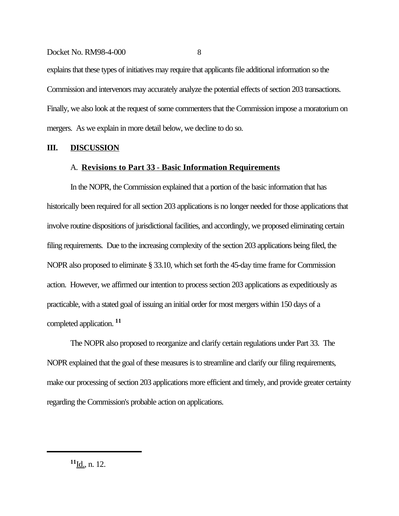explains that these types of initiatives may require that applicants file additional information so the Commission and intervenors may accurately analyze the potential effects of section 203 transactions. Finally, we also look at the request of some commenters that the Commission impose a moratorium on mergers. As we explain in more detail below, we decline to do so.

## **III. DISCUSSION**

#### A. **Revisions to Part 33** - **Basic Information Requirements**

In the NOPR, the Commission explained that a portion of the basic information that has historically been required for all section 203 applications is no longer needed for those applications that involve routine dispositions of jurisdictional facilities, and accordingly, we proposed eliminating certain filing requirements. Due to the increasing complexity of the section 203 applications being filed, the NOPR also proposed to eliminate § 33.10, which set forth the 45-day time frame for Commission action. However, we affirmed our intention to process section 203 applications as expeditiously as practicable, with a stated goal of issuing an initial order for most mergers within 150 days of a completed application. **<sup>11</sup>**

The NOPR also proposed to reorganize and clarify certain regulations under Part 33. The NOPR explained that the goal of these measures is to streamline and clarify our filing requirements, make our processing of section 203 applications more efficient and timely, and provide greater certainty regarding the Commission's probable action on applications.

**<sup>11</sup>**Id., n. 12.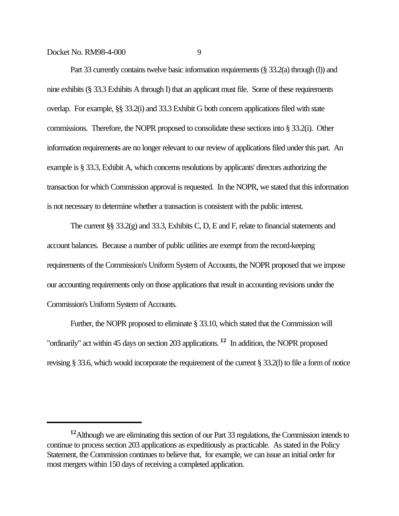Part 33 currently contains twelve basic information requirements (§ 33.2(a) through (I)) and nine exhibits (§ 33.3 Exhibits A through I) that an applicant must file. Some of these requirements overlap. For example, §§ 33.2(i) and 33.3 Exhibit G both concern applications filed with state commissions. Therefore, the NOPR proposed to consolidate these sections into § 33.2(i). Other information requirements are no longer relevant to our review of applications filed under this part. An example is § 33.3, Exhibit A, which concerns resolutions by applicants' directors authorizing the transaction for which Commission approval is requested. In the NOPR, we stated that this information is not necessary to determine whether a transaction is consistent with the public interest.

The current §§ 33.2(g) and 33.3, Exhibits C, D, E and F, relate to financial statements and account balances. Because a number of public utilities are exempt from the record-keeping requirements of the Commission's Uniform System of Accounts, the NOPR proposed that we impose our accounting requirements only on those applications that result in accounting revisions under the Commission's Uniform System of Accounts.

Further, the NOPR proposed to eliminate § 33.10, which stated that the Commission will "ordinarily" act within 45 days on section 203 applications. **12** In addition, the NOPR proposed revising § 33.6, which would incorporate the requirement of the current § 33.2(l) to file a form of notice

**<sup>12</sup>**Although we are eliminating this section of our Part 33 regulations, the Commission intends to continue to process section 203 applications as expeditiously as practicable. As stated in the Policy Statement, the Commission continues to believe that, for example, we can issue an initial order for most mergers within 150 days of receiving a completed application.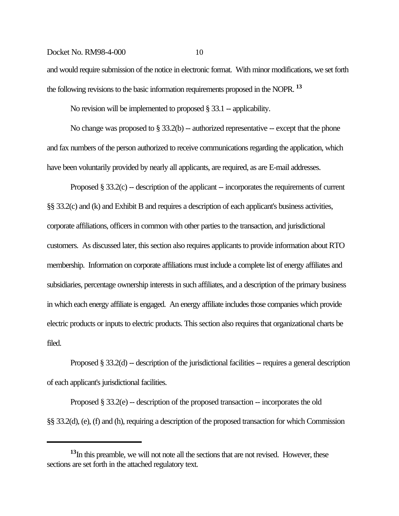and would require submission of the notice in electronic format. With minor modifications, we set forth the following revisions to the basic information requirements proposed in the NOPR. **<sup>13</sup>**

No revision will be implemented to proposed  $\S 33.1$  -- applicability.

No change was proposed to  $\S 33.2(b)$  -- authorized representative -- except that the phone and fax numbers of the person authorized to receive communications regarding the application, which have been voluntarily provided by nearly all applicants, are required, as are E-mail addresses.

Proposed § 33.2(c) -- description of the applicant -- incorporates the requirements of current §§ 33.2(c) and (k) and Exhibit B and requires a description of each applicant's business activities, corporate affiliations, officers in common with other parties to the transaction, and jurisdictional customers. As discussed later, this section also requires applicants to provide information about RTO membership. Information on corporate affiliations must include a complete list of energy affiliates and subsidiaries, percentage ownership interests in such affiliates, and a description of the primary business in which each energy affiliate is engaged. An energy affiliate includes those companies which provide electric products or inputs to electric products. This section also requires that organizational charts be filed.

Proposed § 33.2(d) -- description of the jurisdictional facilities -- requires a general description of each applicant's jurisdictional facilities.

Proposed § 33.2(e) -- description of the proposed transaction -- incorporates the old §§ 33.2(d), (e), (f) and (h), requiring a description of the proposed transaction for which Commission

**<sup>13</sup>**In this preamble, we will not note all the sections that are not revised. However, these sections are set forth in the attached regulatory text.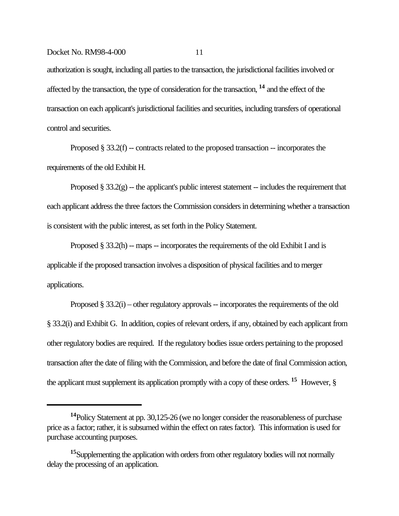authorization is sought, including all parties to the transaction, the jurisdictional facilities involved or affected by the transaction, the type of consideration for the transaction, **14** and the effect of the transaction on each applicant's jurisdictional facilities and securities, including transfers of operational control and securities.

Proposed  $\S 33.2(f)$  -- contracts related to the proposed transaction -- incorporates the requirements of the old Exhibit H.

Proposed  $\S 33.2(g)$  -- the applicant's public interest statement -- includes the requirement that each applicant address the three factors the Commission considers in determining whether a transaction is consistent with the public interest, as set forth in the Policy Statement.

Proposed  $\S 33.2(h)$  -- maps -- incorporates the requirements of the old Exhibit I and is applicable if the proposed transaction involves a disposition of physical facilities and to merger applications.

Proposed § 33.2(i) – other regulatory approvals – incorporates the requirements of the old § 33.2(i) and Exhibit G. In addition, copies of relevant orders, if any, obtained by each applicant from other regulatory bodies are required. If the regulatory bodies issue orders pertaining to the proposed transaction after the date of filing with the Commission, and before the date of final Commission action, the applicant must supplement its application promptly with a copy of these orders. **15** However, §

**<sup>14</sup>**Policy Statement at pp. 30,125-26 (we no longer consider the reasonableness of purchase price as a factor; rather, it is subsumed within the effect on rates factor). This information is used for purchase accounting purposes.

**<sup>15</sup>**Supplementing the application with orders from other regulatory bodies will not normally delay the processing of an application.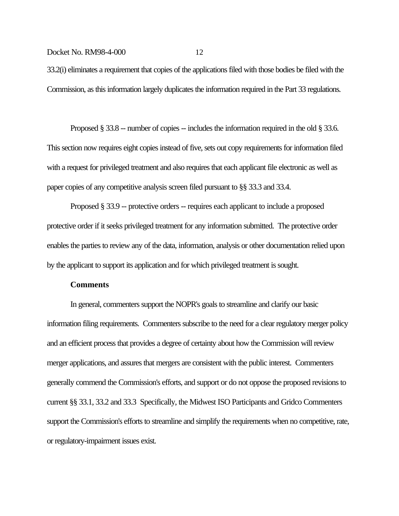33.2(i) eliminates a requirement that copies of the applications filed with those bodies be filed with the Commission, as this information largely duplicates the information required in the Part 33 regulations.

Proposed § 33.8 -- number of copies -- includes the information required in the old § 33.6. This section now requires eight copies instead of five, sets out copy requirements for information filed with a request for privileged treatment and also requires that each applicant file electronic as well as paper copies of any competitive analysis screen filed pursuant to §§ 33.3 and 33.4.

Proposed § 33.9 -- protective orders -- requires each applicant to include a proposed protective order if it seeks privileged treatment for any information submitted. The protective order enables the parties to review any of the data, information, analysis or other documentation relied upon by the applicant to support its application and for which privileged treatment is sought.

## **Comments**

In general, commenters support the NOPR's goals to streamline and clarify our basic information filing requirements. Commenters subscribe to the need for a clear regulatory merger policy and an efficient process that provides a degree of certainty about how the Commission will review merger applications, and assures that mergers are consistent with the public interest. Commenters generally commend the Commission's efforts, and support or do not oppose the proposed revisions to current §§ 33.1, 33.2 and 33.3 Specifically, the Midwest ISO Participants and Gridco Commenters support the Commission's efforts to streamline and simplify the requirements when no competitive, rate, or regulatory-impairment issues exist.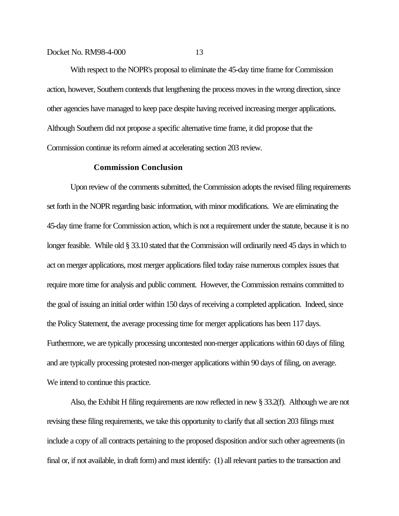With respect to the NOPR's proposal to eliminate the 45-day time frame for Commission action, however, Southern contends that lengthening the process moves in the wrong direction, since other agencies have managed to keep pace despite having received increasing merger applications. Although Southern did not propose a specific alternative time frame, it did propose that the Commission continue its reform aimed at accelerating section 203 review.

#### **Commission Conclusion**

Upon review of the comments submitted, the Commission adopts the revised filing requirements set forth in the NOPR regarding basic information, with minor modifications. We are eliminating the 45-day time frame for Commission action, which is not a requirement under the statute, because it is no longer feasible. While old § 33.10 stated that the Commission will ordinarily need 45 days in which to act on merger applications, most merger applications filed today raise numerous complex issues that require more time for analysis and public comment. However, the Commission remains committed to the goal of issuing an initial order within 150 days of receiving a completed application. Indeed, since the Policy Statement, the average processing time for merger applications has been 117 days. Furthermore, we are typically processing uncontested non-merger applications within 60 days of filing and are typically processing protested non-merger applications within 90 days of filing, on average. We intend to continue this practice.

Also, the Exhibit H filing requirements are now reflected in new § 33.2(f). Although we are not revising these filing requirements, we take this opportunity to clarify that all section 203 filings must include a copy of all contracts pertaining to the proposed disposition and/or such other agreements (in final or, if not available, in draft form) and must identify: (1) all relevant parties to the transaction and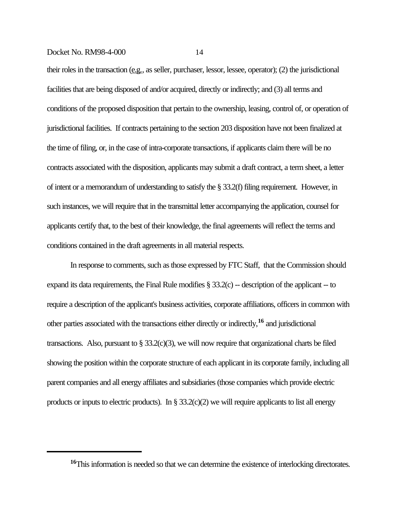their roles in the transaction (e.g., as seller, purchaser, lessor, lessee, operator); (2) the jurisdictional facilities that are being disposed of and/or acquired, directly or indirectly; and (3) all terms and conditions of the proposed disposition that pertain to the ownership, leasing, control of, or operation of jurisdictional facilities. If contracts pertaining to the section 203 disposition have not been finalized at the time of filing, or, in the case of intra-corporate transactions, if applicants claim there will be no contracts associated with the disposition, applicants may submit a draft contract, a term sheet, a letter of intent or a memorandum of understanding to satisfy the § 33.2(f) filing requirement. However, in such instances, we will require that in the transmittal letter accompanying the application, counsel for applicants certify that, to the best of their knowledge, the final agreements will reflect the terms and conditions contained in the draft agreements in all material respects.

In response to comments, such as those expressed by FTC Staff, that the Commission should expand its data requirements, the Final Rule modifies  $\S 33.2(c)$  -- description of the applicant -- to require a description of the applicant's business activities, corporate affiliations, officers in common with other parties associated with the transactions either directly or indirectly,**16** and jurisdictional transactions. Also, pursuant to  $\S 33.2(c)(3)$ , we will now require that organizational charts be filed showing the position within the corporate structure of each applicant in its corporate family, including all parent companies and all energy affiliates and subsidiaries (those companies which provide electric products or inputs to electric products). In  $\S 33.2(c)(2)$  we will require applicants to list all energy

<sup>&</sup>lt;sup>16</sup>This information is needed so that we can determine the existence of interlocking directorates.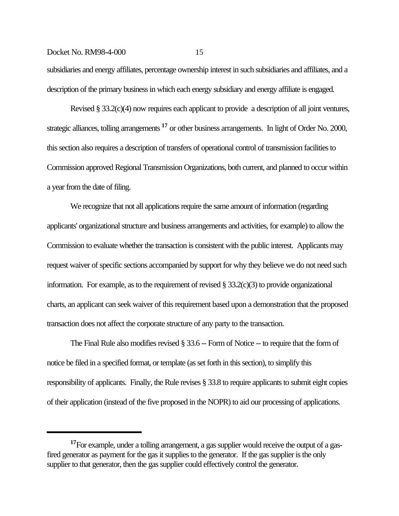subsidiaries and energy affiliates, percentage ownership interest in such subsidiaries and affiliates, and a description of the primary business in which each energy subsidiary and energy affiliate is engaged.

Revised § 33.2(c)(4) now requires each applicant to provide a description of all joint ventures, strategic alliances, tolling arrangements **17** or other business arrangements. In light of Order No. 2000, this section also requires a description of transfers of operational control of transmission facilities to Commission approved Regional Transmission Organizations, both current, and planned to occur within a year from the date of filing.

We recognize that not all applications require the same amount of information (regarding applicants' organizational structure and business arrangements and activities, for example) to allow the Commission to evaluate whether the transaction is consistent with the public interest. Applicants may request waiver of specific sections accompanied by support for why they believe we do not need such information. For example, as to the requirement of revised § 33.2(c)(3) to provide organizational charts, an applicant can seek waiver of this requirement based upon a demonstration that the proposed transaction does not affect the corporate structure of any party to the transaction.

The Final Rule also modifies revised § 33.6 -- Form of Notice -- to require that the form of notice be filed in a specified format, or template (as set forth in this section), to simplify this responsibility of applicants. Finally, the Rule revises § 33.8 to require applicants to submit eight copies of their application (instead of the five proposed in the NOPR) to aid our processing of applications.

<sup>&</sup>lt;sup>17</sup>For example, under a tolling arrangement, a gas supplier would receive the output of a gasfired generator as payment for the gas it supplies to the generator. If the gas supplier is the only supplier to that generator, then the gas supplier could effectively control the generator.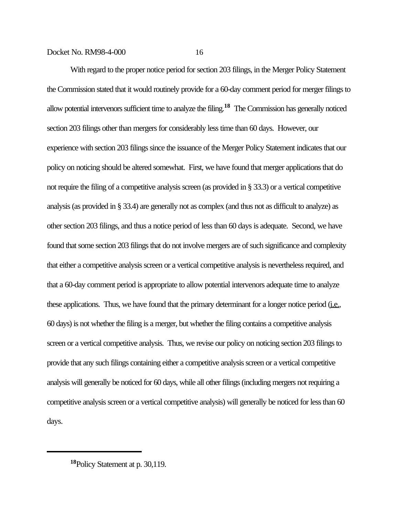With regard to the proper notice period for section 203 filings, in the Merger Policy Statement the Commission stated that it would routinely provide for a 60-day comment period for merger filings to allow potential intervenors sufficient time to analyze the filing.**18** The Commission has generally noticed section 203 filings other than mergers for considerably less time than 60 days. However, our experience with section 203 filings since the issuance of the Merger Policy Statement indicates that our policy on noticing should be altered somewhat. First, we have found that merger applications that do not require the filing of a competitive analysis screen (as provided in § 33.3) or a vertical competitive analysis (as provided in § 33.4) are generally not as complex (and thus not as difficult to analyze) as other section 203 filings, and thus a notice period of less than 60 days is adequate. Second, we have found that some section 203 filings that do not involve mergers are of such significance and complexity that either a competitive analysis screen or a vertical competitive analysis is nevertheless required, and that a 60-day comment period is appropriate to allow potential intervenors adequate time to analyze these applications. Thus, we have found that the primary determinant for a longer notice period (i.e., 60 days) is not whether the filing is a merger, but whether the filing contains a competitive analysis screen or a vertical competitive analysis. Thus, we revise our policy on noticing section 203 filings to provide that any such filings containing either a competitive analysis screen or a vertical competitive analysis will generally be noticed for 60 days, while all other filings (including mergers not requiring a competitive analysis screen or a vertical competitive analysis) will generally be noticed for less than 60 days.

**<sup>18</sup>**Policy Statement at p. 30,119.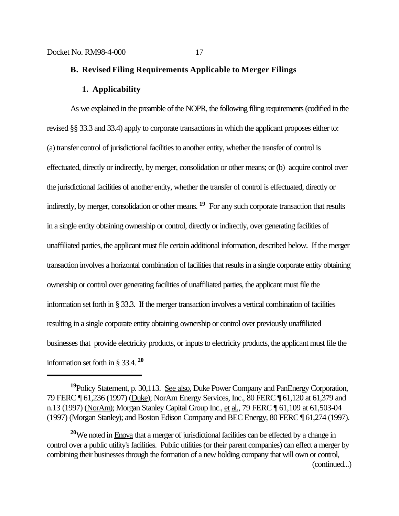## **B. Revised Filing Requirements Applicable to Merger Filings**

#### **1. Applicability**

As we explained in the preamble of the NOPR, the following filing requirements (codified in the revised §§ 33.3 and 33.4) apply to corporate transactions in which the applicant proposes either to: (a) transfer control of jurisdictional facilities to another entity, whether the transfer of control is effectuated, directly or indirectly, by merger, consolidation or other means; or (b) acquire control over the jurisdictional facilities of another entity, whether the transfer of control is effectuated, directly or indirectly, by merger, consolidation or other means. <sup>19</sup> For any such corporate transaction that results in a single entity obtaining ownership or control, directly or indirectly, over generating facilities of unaffiliated parties, the applicant must file certain additional information, described below. If the merger transaction involves a horizontal combination of facilities that results in a single corporate entity obtaining ownership or control over generating facilities of unaffiliated parties, the applicant must file the information set forth in § 33.3. If the merger transaction involves a vertical combination of facilities resulting in a single corporate entity obtaining ownership or control over previously unaffiliated businesses that provide electricity products, or inputs to electricity products, the applicant must file the information set forth in § 33.4. **<sup>20</sup>**

**<sup>19</sup>**Policy Statement, p. 30,113. See also, Duke Power Company and PanEnergy Corporation, 79 FERC ¶ 61,236 (1997) (Duke); NorAm Energy Services, Inc., 80 FERC ¶ 61,120 at 61,379 and n.13 (1997) (NorAm); Morgan Stanley Capital Group Inc., et al., 79 FERC ¶ 61,109 at 61,503-04 (1997) (Morgan Stanley); and Boston Edison Company and BEC Energy, 80 FERC ¶ 61,274 (1997).

**<sup>20</sup>**We noted in Enova that a merger of jurisdictional facilities can be effected by a change in control over a public utility's facilities. Public utilities (or their parent companies) can effect a merger by combining their businesses through the formation of a new holding company that will own or control, (continued...)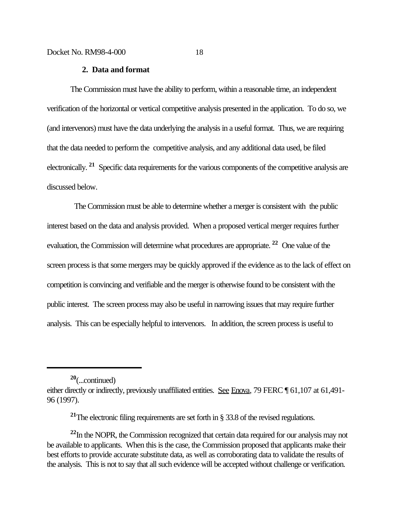## **2. Data and format**

The Commission must have the ability to perform, within a reasonable time, an independent verification of the horizontal or vertical competitive analysis presented in the application. To do so, we (and intervenors) must have the data underlying the analysis in a useful format. Thus, we are requiring that the data needed to perform the competitive analysis, and any additional data used, be filed electronically. <sup>21</sup> Specific data requirements for the various components of the competitive analysis are discussed below.

 The Commission must be able to determine whether a merger is consistent with the public interest based on the data and analysis provided. When a proposed vertical merger requires further evaluation, the Commission will determine what procedures are appropriate. **22** One value of the screen process is that some mergers may be quickly approved if the evidence as to the lack of effect on competition is convincing and verifiable and the merger is otherwise found to be consistent with the public interest. The screen process may also be useful in narrowing issues that may require further analysis. This can be especially helpful to intervenors. In addition, the screen process is useful to

**<sup>20</sup>**(...continued)

either directly or indirectly, previously unaffiliated entities. See Enova, 79 FERC ¶ 61,107 at 61,491-96 (1997).

**<sup>21</sup>**The electronic filing requirements are set forth in § 33.8 of the revised regulations.

**<sup>22</sup>**In the NOPR, the Commission recognized that certain data required for our analysis may not be available to applicants. When this is the case, the Commission proposed that applicants make their best efforts to provide accurate substitute data, as well as corroborating data to validate the results of the analysis. This is not to say that all such evidence will be accepted without challenge or verification.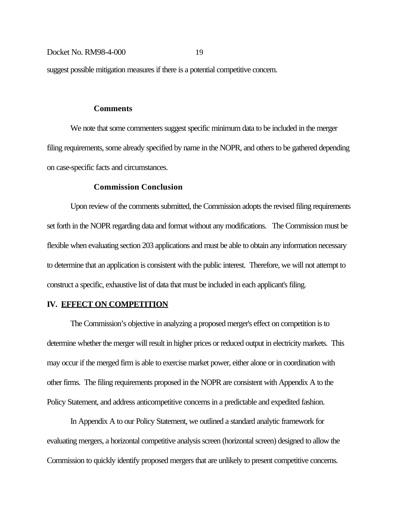suggest possible mitigation measures if there is a potential competitive concern.

#### **Comments**

We note that some commenters suggest specific minimum data to be included in the merger filing requirements, some already specified by name in the NOPR, and others to be gathered depending on case-specific facts and circumstances.

## **Commission Conclusion**

Upon review of the comments submitted, the Commission adopts the revised filing requirements set forth in the NOPR regarding data and format without any modifications. The Commission must be flexible when evaluating section 203 applications and must be able to obtain any information necessary to determine that an application is consistent with the public interest. Therefore, we will not attempt to construct a specific, exhaustive list of data that must be included in each applicant's filing.

## **IV. EFFECT ON COMPETITION**

The Commission's objective in analyzing a proposed merger's effect on competition is to determine whether the merger will result in higher prices or reduced output in electricity markets. This may occur if the merged firm is able to exercise market power, either alone or in coordination with other firms. The filing requirements proposed in the NOPR are consistent with Appendix A to the Policy Statement, and address anticompetitive concerns in a predictable and expedited fashion.

In Appendix A to our Policy Statement, we outlined a standard analytic framework for evaluating mergers, a horizontal competitive analysis screen (horizontal screen) designed to allow the Commission to quickly identify proposed mergers that are unlikely to present competitive concerns.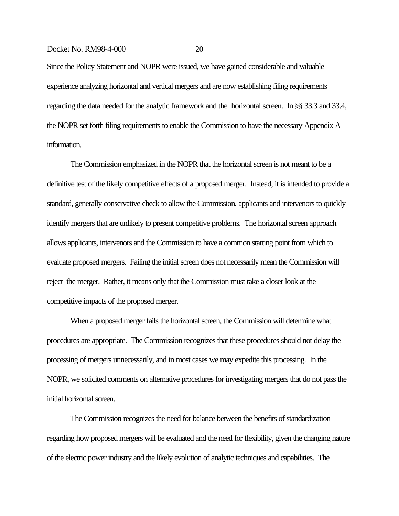Since the Policy Statement and NOPR were issued, we have gained considerable and valuable experience analyzing horizontal and vertical mergers and are now establishing filing requirements regarding the data needed for the analytic framework and the horizontal screen. In §§ 33.3 and 33.4, the NOPR set forth filing requirements to enable the Commission to have the necessary Appendix A information.

The Commission emphasized in the NOPR that the horizontal screen is not meant to be a definitive test of the likely competitive effects of a proposed merger. Instead, it is intended to provide a standard, generally conservative check to allow the Commission, applicants and intervenors to quickly identify mergers that are unlikely to present competitive problems. The horizontal screen approach allows applicants, intervenors and the Commission to have a common starting point from which to evaluate proposed mergers. Failing the initial screen does not necessarily mean the Commission will reject the merger. Rather, it means only that the Commission must take a closer look at the competitive impacts of the proposed merger.

When a proposed merger fails the horizontal screen, the Commission will determine what procedures are appropriate. The Commission recognizes that these procedures should not delay the processing of mergers unnecessarily, and in most cases we may expedite this processing. In the NOPR, we solicited comments on alternative procedures for investigating mergers that do not pass the initial horizontal screen.

The Commission recognizes the need for balance between the benefits of standardization regarding how proposed mergers will be evaluated and the need for flexibility, given the changing nature of the electric power industry and the likely evolution of analytic techniques and capabilities. The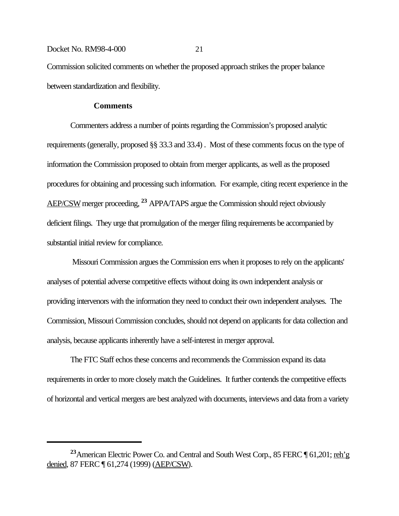Commission solicited comments on whether the proposed approach strikes the proper balance between standardization and flexibility.

## **Comments**

Commenters address a number of points regarding the Commission's proposed analytic requirements (generally, proposed §§ 33.3 and 33.4) . Most of these comments focus on the type of information the Commission proposed to obtain from merger applicants, as well as the proposed procedures for obtaining and processing such information. For example, citing recent experience in the AEP/CSW merger proceeding, **23** APPA/TAPS argue the Commission should reject obviously deficient filings. They urge that promulgation of the merger filing requirements be accompanied by substantial initial review for compliance.

 Missouri Commission argues the Commission errs when it proposes to rely on the applicants' analyses of potential adverse competitive effects without doing its own independent analysis or providing intervenors with the information they need to conduct their own independent analyses. The Commission, Missouri Commission concludes, should not depend on applicants for data collection and analysis, because applicants inherently have a self-interest in merger approval.

The FTC Staff echos these concerns and recommends the Commission expand its data requirements in order to more closely match the Guidelines. It further contends the competitive effects of horizontal and vertical mergers are best analyzed with documents, interviews and data from a variety

<sup>&</sup>lt;sup>23</sup>American Electric Power Co. and Central and South West Corp., 85 FERC ¶ 61,201; reh'g denied, 87 FERC ¶ 61,274 (1999) (AEP/CSW).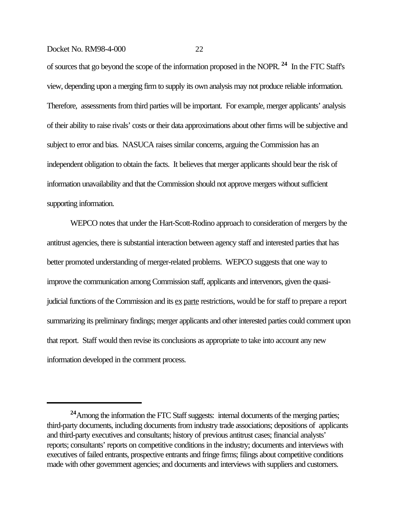of sources that go beyond the scope of the information proposed in the NOPR. **24** In the FTC Staff's view, depending upon a merging firm to supply its own analysis may not produce reliable information. Therefore, assessments from third parties will be important. For example, merger applicants' analysis of their ability to raise rivals' costs or their data approximations about other firms will be subjective and subject to error and bias. NASUCA raises similar concerns, arguing the Commission has an independent obligation to obtain the facts. It believes that merger applicants should bear the risk of information unavailability and that the Commission should not approve mergers without sufficient supporting information.

WEPCO notes that under the Hart-Scott-Rodino approach to consideration of mergers by the antitrust agencies, there is substantial interaction between agency staff and interested parties that has better promoted understanding of merger-related problems. WEPCO suggests that one way to improve the communication among Commission staff, applicants and intervenors, given the quasijudicial functions of the Commission and its ex parte restrictions, would be for staff to prepare a report summarizing its preliminary findings; merger applicants and other interested parties could comment upon that report. Staff would then revise its conclusions as appropriate to take into account any new information developed in the comment process.

**<sup>24</sup>**Among the information the FTC Staff suggests: internal documents of the merging parties; third-party documents, including documents from industry trade associations; depositions of applicants and third-party executives and consultants; history of previous antitrust cases; financial analysts' reports; consultants' reports on competitive conditions in the industry; documents and interviews with executives of failed entrants, prospective entrants and fringe firms; filings about competitive conditions made with other government agencies; and documents and interviews with suppliers and customers.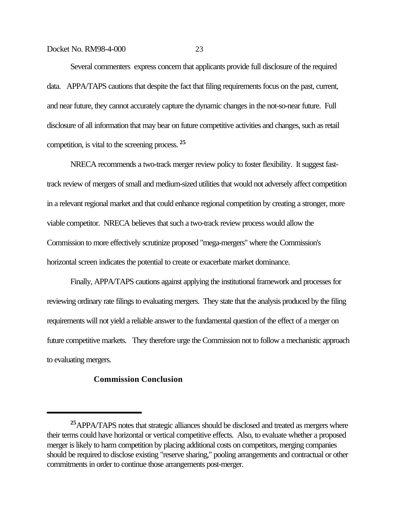Several commenters express concern that applicants provide full disclosure of the required data. APPA/TAPS cautions that despite the fact that filing requirements focus on the past, current, and near future, they cannot accurately capture the dynamic changes in the not-so-near future. Full disclosure of all information that may bear on future competitive activities and changes, such as retail competition, is vital to the screening process. **<sup>25</sup>**

NRECA recommends a two-track merger review policy to foster flexibility. It suggest fasttrack review of mergers of small and medium-sized utilities that would not adversely affect competition in a relevant regional market and that could enhance regional competition by creating a stronger, more viable competitor. NRECA believes that such a two-track review process would allow the Commission to more effectively scrutinize proposed "mega-mergers" where the Commission's horizontal screen indicates the potential to create or exacerbate market dominance.

Finally, APPA/TAPS cautions against applying the institutional framework and processes for reviewing ordinary rate filings to evaluating mergers. They state that the analysis produced by the filing requirements will not yield a reliable answer to the fundamental question of the effect of a merger on future competitive markets. They therefore urge the Commission not to follow a mechanistic approach to evaluating mergers.

## **Commission Conclusion**

**<sup>25</sup>**APPA/TAPS notes that strategic alliances should be disclosed and treated as mergers where their terms could have horizontal or vertical competitive effects. Also, to evaluate whether a proposed merger is likely to harm competition by placing additional costs on competitors, merging companies should be required to disclose existing "reserve sharing," pooling arrangements and contractual or other commitments in order to continue those arrangements post-merger.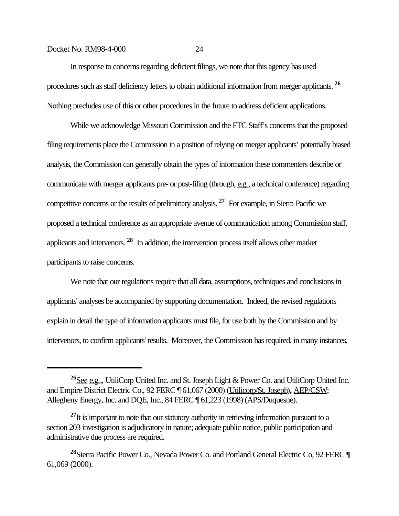In response to concerns regarding deficient filings, we note that this agency has used procedures such as staff deficiency letters to obtain additional information from merger applicants. **<sup>26</sup>** Nothing precludes use of this or other procedures in the future to address deficient applications.

While we acknowledge Missouri Commission and the FTC Staff's concerns that the proposed filing requirements place the Commission in a position of relying on merger applicants' potentially biased analysis, the Commission can generally obtain the types of information these commenters describe or communicate with merger applicants pre- or post-filing (through, e.g., a technical conference) regarding competitive concerns or the results of preliminary analysis. **27** For example, in Sierra Pacific we proposed a technical conference as an appropriate avenue of communication among Commission staff, applicants and intervenors. **28** In addition, the intervention process itself allows other market participants to raise concerns.

We note that our regulations require that all data, assumptions, techniques and conclusions in applicants' analyses be accompanied by supporting documentation. Indeed, the revised regulations explain in detail the type of information applicants must file, for use both by the Commission and by intervenors, to confirm applicants' results. Moreover, the Commission has required, in many instances,

**<sup>26</sup>**See e.g.,, UtiliCorp United Inc. and St. Joseph Light & Power Co. and UtiliCorp United Inc. and Empire District Electric Co., 92 FERC ¶ 61,067 (2000) (Utilicorp/St. Joseph)**,** AEP/CSW; Allegheny Energy, Inc. and DQE, Inc., 84 FERC ¶ 61,223 (1998) (APS/Duquesne).

<sup>&</sup>lt;sup>27</sup>It is important to note that our statutory authority in retrieving information pursuant to a section 203 investigation is adjudicatory in nature; adequate public notice, public participation and administrative due process are required.

**<sup>28</sup>**Sierra Pacific Power Co., Nevada Power Co. and Portland General Electric Co, 92 FERC ¶ 61,069 (2000).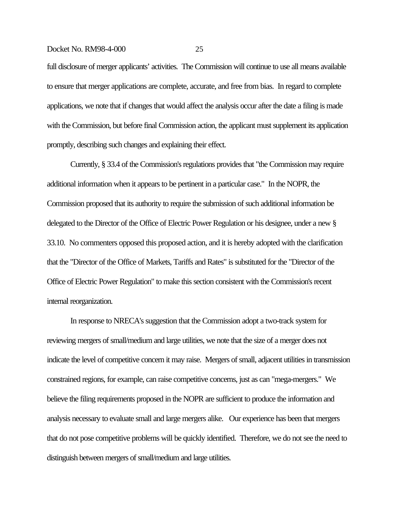full disclosure of merger applicants' activities. The Commission will continue to use all means available to ensure that merger applications are complete, accurate, and free from bias. In regard to complete applications, we note that if changes that would affect the analysis occur after the date a filing is made with the Commission, but before final Commission action, the applicant must supplement its application promptly, describing such changes and explaining their effect.

Currently, § 33.4 of the Commission's regulations provides that "the Commission may require additional information when it appears to be pertinent in a particular case." In the NOPR, the Commission proposed that its authority to require the submission of such additional information be delegated to the Director of the Office of Electric Power Regulation or his designee, under a new § 33.10. No commenters opposed this proposed action, and it is hereby adopted with the clarification that the "Director of the Office of Markets, Tariffs and Rates" is substituted for the "Director of the Office of Electric Power Regulation" to make this section consistent with the Commission's recent internal reorganization.

In response to NRECA's suggestion that the Commission adopt a two-track system for reviewing mergers of small/medium and large utilities, we note that the size of a merger does not indicate the level of competitive concern it may raise. Mergers of small, adjacent utilities in transmission constrained regions, for example, can raise competitive concerns, just as can "mega-mergers." We believe the filing requirements proposed in the NOPR are sufficient to produce the information and analysis necessary to evaluate small and large mergers alike. Our experience has been that mergers that do not pose competitive problems will be quickly identified. Therefore, we do not see the need to distinguish between mergers of small/medium and large utilities.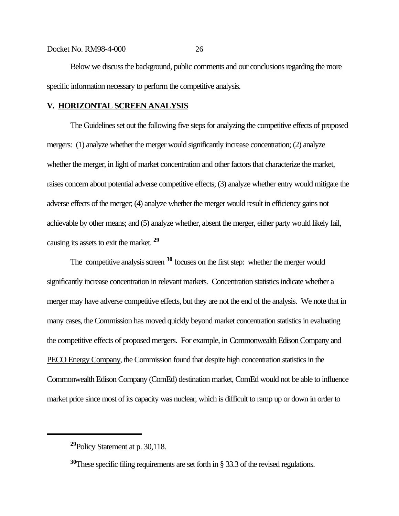Below we discuss the background, public comments and our conclusions regarding the more

specific information necessary to perform the competitive analysis.

## **V. HORIZONTAL SCREEN ANALYSIS**

The Guidelines set out the following five steps for analyzing the competitive effects of proposed mergers: (1) analyze whether the merger would significantly increase concentration; (2) analyze whether the merger, in light of market concentration and other factors that characterize the market, raises concern about potential adverse competitive effects; (3) analyze whether entry would mitigate the adverse effects of the merger; (4) analyze whether the merger would result in efficiency gains not achievable by other means; and (5) analyze whether, absent the merger, either party would likely fail, causing its assets to exit the market. **<sup>29</sup>**

The competitive analysis screen **30** focuses on the first step: whether the merger would significantly increase concentration in relevant markets. Concentration statistics indicate whether a merger may have adverse competitive effects, but they are not the end of the analysis. We note that in many cases, the Commission has moved quickly beyond market concentration statistics in evaluating the competitive effects of proposed mergers. For example, in Commonwealth Edison Company and PECO Energy Company, the Commission found that despite high concentration statistics in the Commonwealth Edison Company (ComEd) destination market, ComEd would not be able to influence market price since most of its capacity was nuclear, which is difficult to ramp up or down in order to

**<sup>29</sup>**Policy Statement at p. 30,118.

**<sup>30</sup>**These specific filing requirements are set forth in § 33.3 of the revised regulations.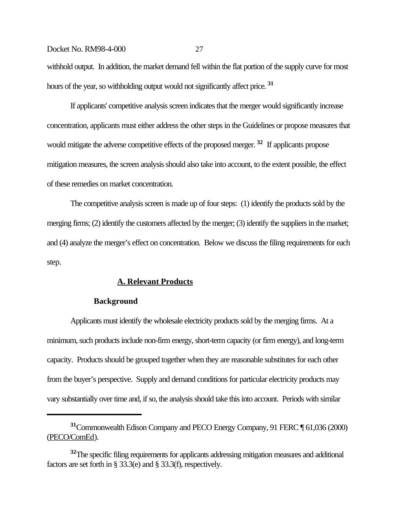withhold output. In addition, the market demand fell within the flat portion of the supply curve for most hours of the year, so withholding output would not significantly affect price. **<sup>31</sup>**

If applicants' competitive analysis screen indicates that the merger would significantly increase concentration, applicants must either address the other steps in the Guidelines or propose measures that would mitigate the adverse competitive effects of the proposed merger.<sup>32</sup> If applicants propose mitigation measures, the screen analysis should also take into account, to the extent possible, the effect of these remedies on market concentration.

The competitive analysis screen is made up of four steps: (1) identify the products sold by the merging firms; (2) identify the customers affected by the merger; (3) identify the suppliers in the market; and (4) analyze the merger's effect on concentration. Below we discuss the filing requirements for each step.

## **A. Relevant Products**

#### **Background**

Applicants must identify the wholesale electricity products sold by the merging firms. At a minimum, such products include non-firm energy, short-term capacity (or firm energy), and long-term capacity. Products should be grouped together when they are reasonable substitutes for each other from the buyer's perspective. Supply and demand conditions for particular electricity products may vary substantially over time and, if so, the analysis should take this into account. Periods with similar

**<sup>31</sup>**Commonwealth Edison Company and PECO Energy Company, 91 FERC ¶ 61,036 (2000) (PECO/ComEd).

**<sup>32</sup>**The specific filing requirements for applicants addressing mitigation measures and additional factors are set forth in § 33.3(e) and § 33.3(f), respectively.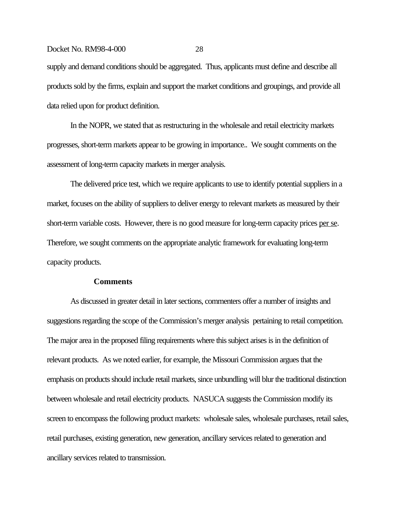supply and demand conditions should be aggregated. Thus, applicants must define and describe all products sold by the firms, explain and support the market conditions and groupings, and provide all data relied upon for product definition.

In the NOPR, we stated that as restructuring in the wholesale and retail electricity markets progresses, short-term markets appear to be growing in importance.. We sought comments on the assessment of long-term capacity markets in merger analysis.

The delivered price test, which we require applicants to use to identify potential suppliers in a market, focuses on the ability of suppliers to deliver energy to relevant markets as measured by their short-term variable costs. However, there is no good measure for long-term capacity prices per se. Therefore, we sought comments on the appropriate analytic framework for evaluating long-term capacity products.

## **Comments**

As discussed in greater detail in later sections, commenters offer a number of insights and suggestions regarding the scope of the Commission's merger analysis pertaining to retail competition. The major area in the proposed filing requirements where this subject arises is in the definition of relevant products. As we noted earlier, for example, the Missouri Commission argues that the emphasis on products should include retail markets, since unbundling will blur the traditional distinction between wholesale and retail electricity products. NASUCA suggests the Commission modify its screen to encompass the following product markets: wholesale sales, wholesale purchases, retail sales, retail purchases, existing generation, new generation, ancillary services related to generation and ancillary services related to transmission.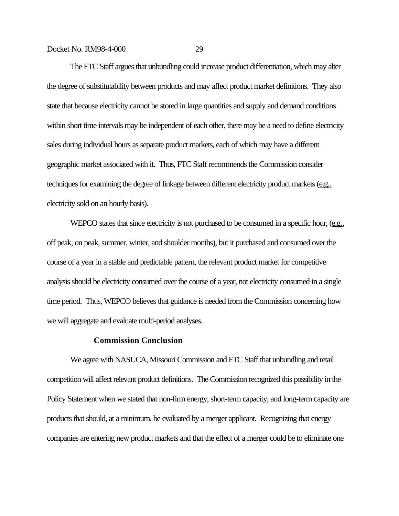The FTC Staff argues that unbundling could increase product differentiation, which may alter the degree of substitutability between products and may affect product market definitions. They also state that because electricity cannot be stored in large quantities and supply and demand conditions within short time intervals may be independent of each other, there may be a need to define electricity sales during individual hours as separate product markets, each of which may have a different geographic market associated with it. Thus, FTC Staff recommends the Commission consider techniques for examining the degree of linkage between different electricity product markets (e.g., electricity sold on an hourly basis).

WEPCO states that since electricity is not purchased to be consumed in a specific hour, (e.g., off peak, on peak, summer, winter, and shoulder months), but it purchased and consumed over the course of a year in a stable and predictable pattern, the relevant product market for competitive analysis should be electricity consumed over the course of a year, not electricity consumed in a single time period. Thus, WEPCO believes that guidance is needed from the Commission concerning how we will aggregate and evaluate multi-period analyses.

## **Commission Conclusion**

We agree with NASUCA, Missouri Commission and FTC Staff that unbundling and retail competition will affect relevant product definitions. The Commission recognized this possibility in the Policy Statement when we stated that non-firm energy, short-term capacity, and long-term capacity are products that should, at a minimum, be evaluated by a merger applicant. Recognizing that energy companies are entering new product markets and that the effect of a merger could be to eliminate one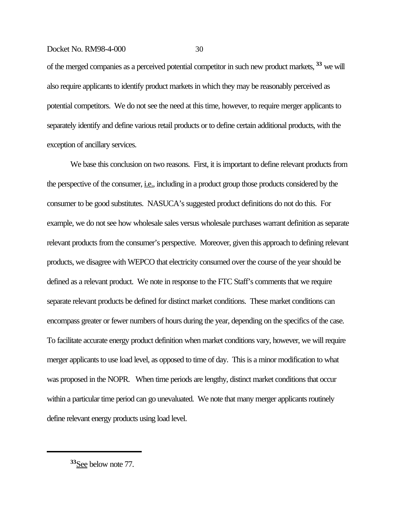of the merged companies as a perceived potential competitor in such new product markets, **33** we will also require applicants to identify product markets in which they may be reasonably perceived as potential competitors. We do not see the need at this time, however, to require merger applicants to separately identify and define various retail products or to define certain additional products, with the exception of ancillary services.

We base this conclusion on two reasons. First, it is important to define relevant products from the perspective of the consumer, <u>i.e.</u>, including in a product group those products considered by the consumer to be good substitutes. NASUCA's suggested product definitions do not do this. For example, we do not see how wholesale sales versus wholesale purchases warrant definition as separate relevant products from the consumer's perspective. Moreover, given this approach to defining relevant products, we disagree with WEPCO that electricity consumed over the course of the year should be defined as a relevant product. We note in response to the FTC Staff's comments that we require separate relevant products be defined for distinct market conditions. These market conditions can encompass greater or fewer numbers of hours during the year, depending on the specifics of the case. To facilitate accurate energy product definition when market conditions vary, however, we will require merger applicants to use load level, as opposed to time of day. This is a minor modification to what was proposed in the NOPR. When time periods are lengthy, distinct market conditions that occur within a particular time period can go unevaluated. We note that many merger applicants routinely define relevant energy products using load level.

**<sup>33</sup>**See below note 77.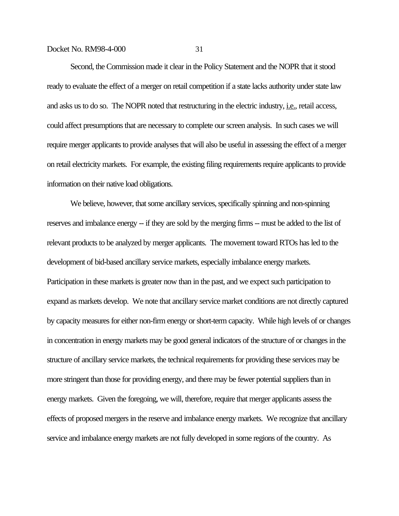Second, the Commission made it clear in the Policy Statement and the NOPR that it stood ready to evaluate the effect of a merger on retail competition if a state lacks authority under state law and asks us to do so. The NOPR noted that restructuring in the electric industry, *i.e.*, retail access, could affect presumptions that are necessary to complete our screen analysis. In such cases we will require merger applicants to provide analyses that will also be useful in assessing the effect of a merger on retail electricity markets. For example, the existing filing requirements require applicants to provide information on their native load obligations.

We believe, however, that some ancillary services, specifically spinning and non-spinning reserves and imbalance energy -- if they are sold by the merging firms -- must be added to the list of relevant products to be analyzed by merger applicants. The movement toward RTOs has led to the development of bid-based ancillary service markets, especially imbalance energy markets. Participation in these markets is greater now than in the past, and we expect such participation to expand as markets develop. We note that ancillary service market conditions are not directly captured by capacity measures for either non-firm energy or short-term capacity. While high levels of or changes in concentration in energy markets may be good general indicators of the structure of or changes in the structure of ancillary service markets, the technical requirements for providing these services may be more stringent than those for providing energy, and there may be fewer potential suppliers than in energy markets. Given the foregoing, we will, therefore, require that merger applicants assess the effects of proposed mergers in the reserve and imbalance energy markets. We recognize that ancillary service and imbalance energy markets are not fully developed in some regions of the country. As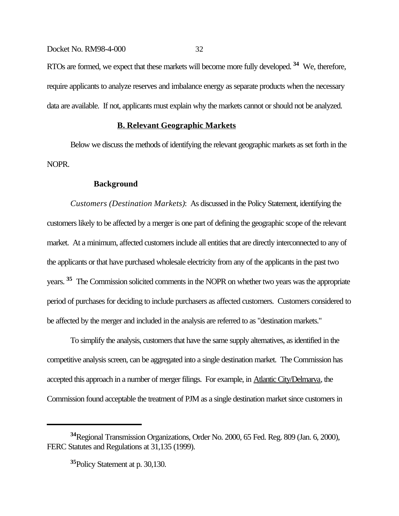RTOs are formed, we expect that these markets will become more fully developed. **34** We, therefore, require applicants to analyze reserves and imbalance energy as separate products when the necessary data are available. If not, applicants must explain why the markets cannot or should not be analyzed.

# **B. Relevant Geographic Markets**

Below we discuss the methods of identifying the relevant geographic markets as set forth in the NOPR.

### **Background**

*Customers (Destination Markets)*: As discussed in the Policy Statement, identifying the customers likely to be affected by a merger is one part of defining the geographic scope of the relevant market. At a minimum, affected customers include all entities that are directly interconnected to any of the applicants or that have purchased wholesale electricity from any of the applicants in the past two years. **35** The Commission solicited comments in the NOPR on whether two years was the appropriate period of purchases for deciding to include purchasers as affected customers. Customers considered to be affected by the merger and included in the analysis are referred to as "destination markets."

To simplify the analysis, customers that have the same supply alternatives, as identified in the competitive analysis screen, can be aggregated into a single destination market. The Commission has accepted this approach in a number of merger filings. For example, in Atlantic City/Delmarva, the Commission found acceptable the treatment of PJM as a single destination market since customers in

**<sup>34</sup>**Regional Transmission Organizations, Order No. 2000, 65 Fed. Reg. 809 (Jan. 6, 2000), FERC Statutes and Regulations at 31,135 (1999).

**<sup>35</sup>**Policy Statement at p. 30,130.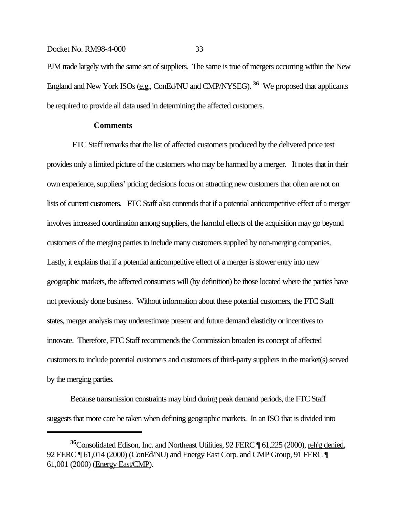# Docket No. RM98-4-000 33 PJM trade largely with the same set of suppliers. The same is true of mergers occurring within the New England and New York ISOs (e.g., ConEd/NU and CMP/NYSEG). **36** We proposed that applicants be required to provide all data used in determining the affected customers.

# **Comments**

 FTC Staff remarks that the list of affected customers produced by the delivered price test provides only a limited picture of the customers who may be harmed by a merger. It notes that in their own experience, suppliers' pricing decisions focus on attracting new customers that often are not on lists of current customers. FTC Staff also contends that if a potential anticompetitive effect of a merger involves increased coordination among suppliers, the harmful effects of the acquisition may go beyond customers of the merging parties to include many customers supplied by non-merging companies. Lastly, it explains that if a potential anticompetitive effect of a merger is slower entry into new geographic markets, the affected consumers will (by definition) be those located where the parties have not previously done business. Without information about these potential customers, the FTC Staff states, merger analysis may underestimate present and future demand elasticity or incentives to innovate. Therefore, FTC Staff recommends the Commission broaden its concept of affected customers to include potential customers and customers of third-party suppliers in the market(s) served by the merging parties.

Because transmission constraints may bind during peak demand periods, the FTC Staff suggests that more care be taken when defining geographic markets. In an ISO that is divided into

**<sup>36</sup>**Consolidated Edison, Inc. and Northeast Utilities, 92 FERC ¶ 61,225 (2000), reh'g denied, 92 FERC ¶ 61,014 (2000) (ConEd/NU) and Energy East Corp. and CMP Group, 91 FERC ¶ 61,001 (2000) (Energy East/CMP).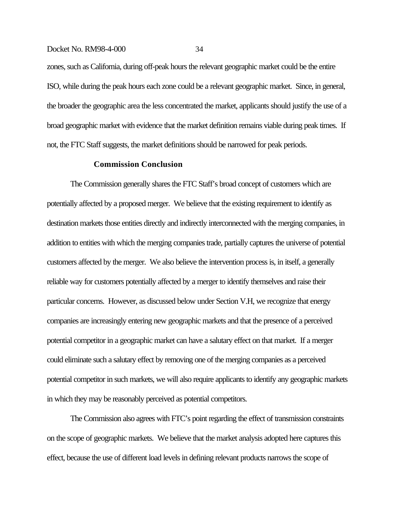zones, such as California, during off-peak hours the relevant geographic market could be the entire ISO, while during the peak hours each zone could be a relevant geographic market.Since, in general, the broader the geographic area the less concentrated the market, applicants should justify the use of a broad geographic market with evidence that the market definition remains viable during peak times. If not, the FTC Staff suggests, the market definitions should be narrowed for peak periods.

#### **Commission Conclusion**

The Commission generally shares the FTC Staff's broad concept of customers which are potentially affected by a proposed merger. We believe that the existing requirement to identify as destination markets those entities directly and indirectly interconnected with the merging companies, in addition to entities with which the merging companies trade, partially captures the universe of potential customers affected by the merger. We also believe the intervention process is, in itself, a generally reliable way for customers potentially affected by a merger to identify themselves and raise their particular concerns. However, as discussed below under Section V.H, we recognize that energy companies are increasingly entering new geographic markets and that the presence of a perceived potential competitor in a geographic market can have a salutary effect on that market. If a merger could eliminate such a salutary effect by removing one of the merging companies as a perceived potential competitor in such markets, we will also require applicants to identify any geographic markets in which they may be reasonably perceived as potential competitors.

The Commission also agrees with FTC's point regarding the effect of transmission constraints on the scope of geographic markets. We believe that the market analysis adopted here captures this effect, because the use of different load levels in defining relevant products narrows the scope of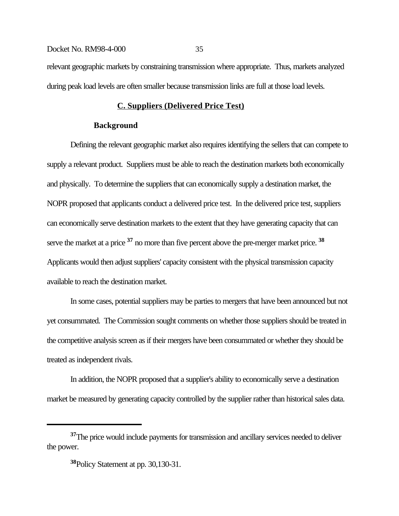# Docket No. RM98-4-000 35 relevant geographic markets by constraining transmission where appropriate. Thus, markets analyzed during peak load levels are often smaller because transmission links are full at those load levels.

# **C. Suppliers (Delivered Price Test)**

## **Background**

Defining the relevant geographic market also requires identifying the sellers that can compete to supply a relevant product. Suppliers must be able to reach the destination markets both economically and physically. To determine the suppliers that can economically supply a destination market, the NOPR proposed that applicants conduct a delivered price test. In the delivered price test, suppliers can economically serve destination markets to the extent that they have generating capacity that can serve the market at a price **37** no more than five percent above the pre-merger market price. **<sup>38</sup>** Applicants would then adjust suppliers' capacity consistent with the physical transmission capacity available to reach the destination market.

In some cases, potential suppliers may be parties to mergers that have been announced but not yet consummated. The Commission sought comments on whether those suppliers should be treated in the competitive analysis screen as if their mergers have been consummated or whether they should be treated as independent rivals.

In addition, the NOPR proposed that a supplier's ability to economically serve a destination market be measured by generating capacity controlled by the supplier rather than historical sales data.

**<sup>37</sup>**The price would include payments for transmission and ancillary services needed to deliver the power.

**<sup>38</sup>**Policy Statement at pp. 30,130-31.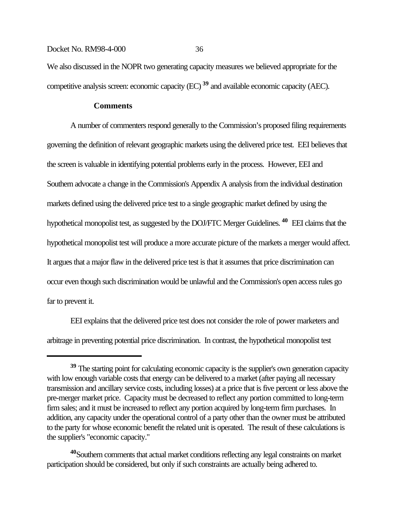We also discussed in the NOPR two generating capacity measures we believed appropriate for the competitive analysis screen: economic capacity (EC) **39** and available economic capacity (AEC).

# **Comments**

A number of commenters respond generally to the Commission's proposed filing requirements governing the definition of relevant geographic markets using the delivered price test. EEI believes that the screen is valuable in identifying potential problems early in the process. However, EEI and Southern advocate a change in the Commission's Appendix A analysis from the individual destination markets defined using the delivered price test to a single geographic market defined by using the hypothetical monopolist test, as suggested by the DOJ/FTC Merger Guidelines. **40** EEI claims that the hypothetical monopolist test will produce a more accurate picture of the markets a merger would affect. It argues that a major flaw in the delivered price test is that it assumes that price discrimination can occur even though such discrimination would be unlawful and the Commission's open access rules go far to prevent it.

EEI explains that the delivered price test does not consider the role of power marketers and arbitrage in preventing potential price discrimination. In contrast, the hypothetical monopolist test

<sup>&</sup>lt;sup>39</sup> The starting point for calculating economic capacity is the supplier's own generation capacity with low enough variable costs that energy can be delivered to a market (after paying all necessary transmission and ancillary service costs, including losses) at a price that is five percent or less above the pre-merger market price. Capacity must be decreased to reflect any portion committed to long-term firm sales; and it must be increased to reflect any portion acquired by long-term firm purchases. In addition, any capacity under the operational control of a party other than the owner must be attributed to the party for whose economic benefit the related unit is operated. The result of these calculations is the supplier's "economic capacity."

**<sup>40</sup>**Southern comments that actual market conditions reflecting any legal constraints on market participation should be considered, but only if such constraints are actually being adhered to.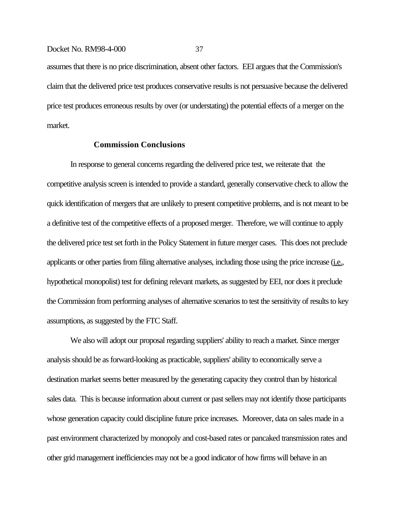assumes that there is no price discrimination, absent other factors. EEI argues that the Commission's claim that the delivered price test produces conservative results is not persuasive because the delivered price test produces erroneous results by over (or understating) the potential effects of a merger on the market.

# **Commission Conclusions**

In response to general concerns regarding the delivered price test, we reiterate that the competitive analysis screen is intended to provide a standard, generally conservative check to allow the quick identification of mergers that are unlikely to present competitive problems, and is not meant to be a definitive test of the competitive effects of a proposed merger. Therefore, we will continue to apply the delivered price test set forth in the Policy Statement in future merger cases. This does not preclude applicants or other parties from filing alternative analyses, including those using the price increase (i.e., hypothetical monopolist) test for defining relevant markets, as suggested by EEI, nor does it preclude the Commission from performing analyses of alternative scenarios to test the sensitivity of results to key assumptions, as suggested by the FTC Staff.

We also will adopt our proposal regarding suppliers' ability to reach a market. Since merger analysis should be as forward-looking as practicable, suppliers' ability to economically serve a destination market seems better measured by the generating capacity they control than by historical sales data. This is because information about current or past sellers may not identify those participants whose generation capacity could discipline future price increases. Moreover, data on sales made in a past environment characterized by monopoly and cost-based rates or pancaked transmission rates and other grid management inefficiencies may not be a good indicator of how firms will behave in an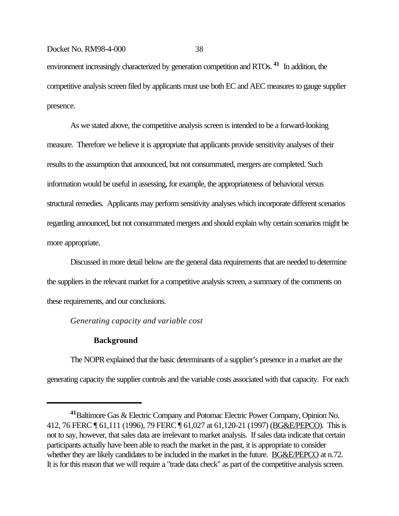environment increasingly characterized by generation competition and RTOs. **41** In addition, the competitive analysis screen filed by applicants must use both EC and AEC measures to gauge supplier presence.

As we stated above, the competitive analysis screen is intended to be a forward-looking measure. Therefore we believe it is appropriate that applicants provide sensitivity analyses of their results to the assumption that announced, but not consummated, mergers are completed. Such information would be useful in assessing, for example, the appropriateness of behavioral versus structural remedies. Applicants may perform sensitivity analyses which incorporate different scenarios regarding announced, but not consummated mergers and should explain why certain scenarios might be more appropriate.

Discussed in more detail below are the general data requirements that are needed to determine the suppliers in the relevant market for a competitive analysis screen, a summary of the comments on these requirements, and our conclusions.

## *Generating capacity and variable cost*

# **Background**

The NOPR explained that the basic determinants of a supplier's presence in a market are the generating capacity the supplier controls and the variable costs associated with that capacity. For each

**<sup>41</sup>**Baltimore Gas & Electric Company and Potomac Electric Power Company, Opinion No. 412, 76 FERC ¶ 61,111 (1996), 79 FERC ¶ 61,027 at 61,120-21 (1997) (BG&E/PEPCO). This is not to say, however, that sales data are irrelevant to market analysis. If sales data indicate that certain participants actually have been able to reach the market in the past, it is appropriate to consider whether they are likely candidates to be included in the market in the future. **BG&E/PEPCO** at n.72. It is for this reason that we will require a "trade data check" as part of the competitive analysis screen.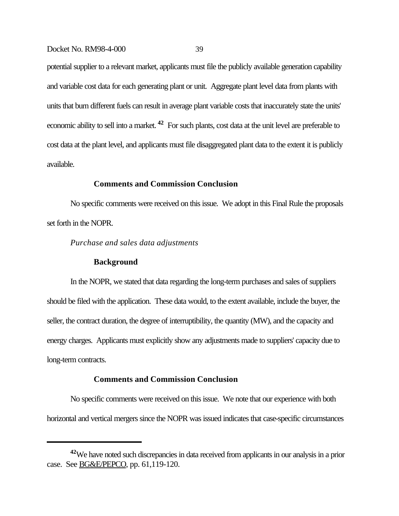potential supplier to a relevant market, applicants must file the publicly available generation capability and variable cost data for each generating plant or unit. Aggregate plant level data from plants with units that burn different fuels can result in average plant variable costs that inaccurately state the units' economic ability to sell into a market. **42** For such plants, cost data at the unit level are preferable to cost data at the plant level, and applicants must file disaggregated plant data to the extent it is publicly available.

# **Comments and Commission Conclusion**

No specific comments were received on this issue. We adopt in this Final Rule the proposals set forth in the NOPR.

*Purchase and sales data adjustments*

## **Background**

In the NOPR, we stated that data regarding the long-term purchases and sales of suppliers should be filed with the application. These data would, to the extent available, include the buyer, the seller, the contract duration, the degree of interruptibility, the quantity (MW), and the capacity and energy charges. Applicants must explicitly show any adjustments made to suppliers' capacity due to long-term contracts.

## **Comments and Commission Conclusion**

No specific comments were received on this issue. We note that our experience with both horizontal and vertical mergers since the NOPR was issued indicates that case-specific circumstances

**<sup>42</sup>**We have noted such discrepancies in data received from applicants in our analysis in a prior case. See **BG&E/PEPCO**, pp. 61,119-120.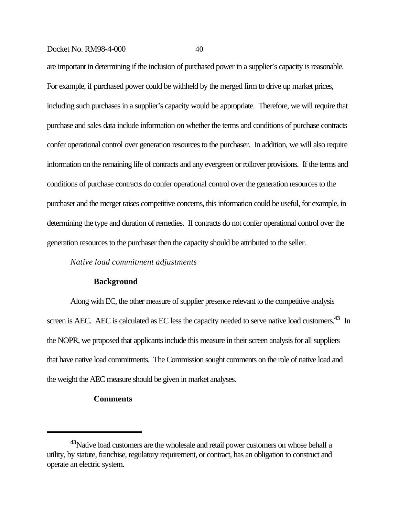are important in determining if the inclusion of purchased power in a supplier's capacity is reasonable. For example, if purchased power could be withheld by the merged firm to drive up market prices, including such purchases in a supplier's capacity would be appropriate. Therefore, we will require that purchase and sales data include information on whether the terms and conditions of purchase contracts confer operational control over generation resources to the purchaser. In addition, we will also require information on the remaining life of contracts and any evergreen or rollover provisions. If the terms and conditions of purchase contracts do confer operational control over the generation resources to the purchaser and the merger raises competitive concerns, this information could be useful, for example, in determining the type and duration of remedies. If contracts do not confer operational control over the generation resources to the purchaser then the capacity should be attributed to the seller.

# *Native load commitment adjustments*

#### **Background**

Along with EC, the other measure of supplier presence relevant to the competitive analysis screen is AEC. AEC is calculated as EC less the capacity needed to serve native load customers.**43** In the NOPR, we proposed that applicants include this measure in their screen analysis for all suppliers that have native load commitments. The Commission sought comments on the role of native load and the weight the AEC measure should be given in market analyses.

#### **Comments**

**<sup>43</sup>**Native load customers are the wholesale and retail power customers on whose behalf a utility, by statute, franchise, regulatory requirement, or contract, has an obligation to construct and operate an electric system.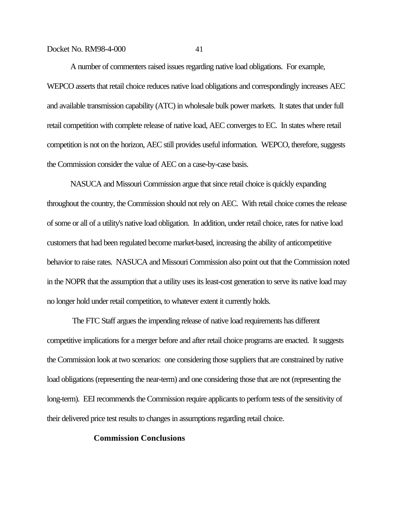A number of commenters raised issues regarding native load obligations. For example, WEPCO asserts that retail choice reduces native load obligations and correspondingly increases AEC and available transmission capability (ATC) in wholesale bulk power markets. It states that under full retail competition with complete release of native load, AEC converges to EC. In states where retail competition is not on the horizon, AEC still provides useful information. WEPCO, therefore, suggests the Commission consider the value of AEC on a case-by-case basis.

NASUCA and Missouri Commission argue that since retail choice is quickly expanding throughout the country, the Commission should not rely on AEC. With retail choice comes the release of some or all of a utility's native load obligation. In addition, under retail choice, rates for native load customers that had been regulated become market-based, increasing the ability of anticompetitive behavior to raise rates. NASUCA and Missouri Commission also point out that the Commission noted in the NOPR that the assumption that a utility uses its least-cost generation to serve its native load may no longer hold under retail competition, to whatever extent it currently holds.

 The FTC Staff argues the impending release of native load requirements has different competitive implications for a merger before and after retail choice programs are enacted. It suggests the Commission look at two scenarios: one considering those suppliers that are constrained by native load obligations (representing the near-term) and one considering those that are not (representing the long-term). EEI recommends the Commission require applicants to perform tests of the sensitivity of their delivered price test results to changes in assumptions regarding retail choice.

# **Commission Conclusions**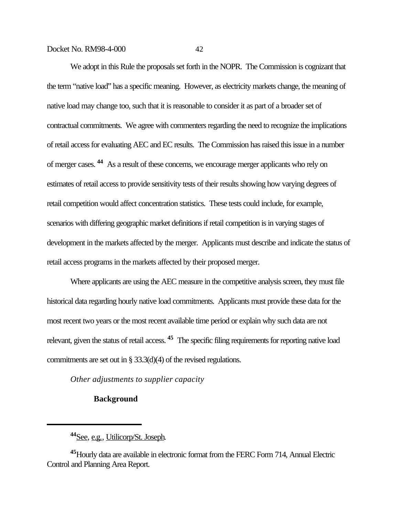We adopt in this Rule the proposals set forth in the NOPR. The Commission is cognizant that the term "native load" has a specific meaning. However, as electricity markets change, the meaning of native load may change too, such that it is reasonable to consider it as part of a broader set of contractual commitments. We agree with commenters regarding the need to recognize the implications of retail access for evaluating AEC and EC results. The Commission has raised this issue in a number of merger cases. **44** As a result of these concerns, we encourage merger applicants who rely on estimates of retail access to provide sensitivity tests of their results showing how varying degrees of retail competition would affect concentration statistics. These tests could include, for example, scenarios with differing geographic market definitions if retail competition is in varying stages of development in the markets affected by the merger. Applicants must describe and indicate the status of retail access programs in the markets affected by their proposed merger.

Where applicants are using the AEC measure in the competitive analysis screen, they must file historical data regarding hourly native load commitments. Applicants must provide these data for the most recent two years or the most recent available time period or explain why such data are not relevant, given the status of retail access. **45** The specific filing requirements for reporting native load commitments are set out in § 33.3(d)(4) of the revised regulations.

*Other adjustments to supplier capacity*

# **Background**

**<sup>44</sup>**See, e.g., Utilicorp/St. Joseph.

**<sup>45</sup>**Hourly data are available in electronic format from the FERC Form 714, Annual Electric Control and Planning Area Report.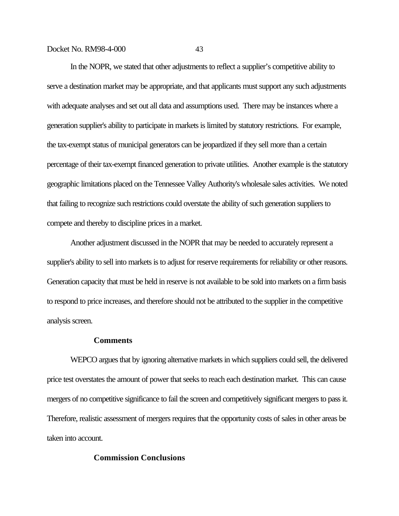In the NOPR, we stated that other adjustments to reflect a supplier's competitive ability to serve a destination market may be appropriate, and that applicants must support any such adjustments with adequate analyses and set out all data and assumptions used. There may be instances where a generation supplier's ability to participate in markets is limited by statutory restrictions. For example, the tax-exempt status of municipal generators can be jeopardized if they sell more than a certain percentage of their tax-exempt financed generation to private utilities. Another example is the statutory geographic limitations placed on the Tennessee Valley Authority's wholesale sales activities. We noted that failing to recognize such restrictions could overstate the ability of such generation suppliers to compete and thereby to discipline prices in a market.

Another adjustment discussed in the NOPR that may be needed to accurately represent a supplier's ability to sell into markets is to adjust for reserve requirements for reliability or other reasons. Generation capacity that must be held in reserve is not available to be sold into markets on a firm basis to respond to price increases, and therefore should not be attributed to the supplier in the competitive analysis screen.

# **Comments**

WEPCO argues that by ignoring alternative markets in which suppliers could sell, the delivered price test overstates the amount of power that seeks to reach each destination market. This can cause mergers of no competitive significance to fail the screen and competitively significant mergers to pass it. Therefore, realistic assessment of mergers requires that the opportunity costs of sales in other areas be taken into account.

# **Commission Conclusions**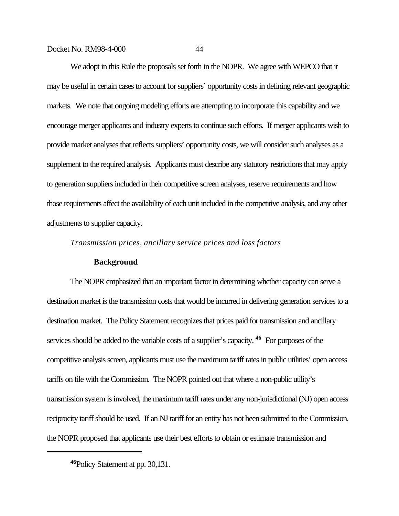We adopt in this Rule the proposals set forth in the NOPR. We agree with WEPCO that it may be useful in certain cases to account for suppliers' opportunity costs in defining relevant geographic markets. We note that ongoing modeling efforts are attempting to incorporate this capability and we encourage merger applicants and industry experts to continue such efforts. If merger applicants wish to provide market analyses that reflects suppliers' opportunity costs, we will consider such analyses as a supplement to the required analysis. Applicants must describe any statutory restrictions that may apply to generation suppliers included in their competitive screen analyses, reserve requirements and how those requirements affect the availability of each unit included in the competitive analysis, and any other adjustments to supplier capacity.

*Transmission prices, ancillary service prices and loss factors*

# **Background**

The NOPR emphasized that an important factor in determining whether capacity can serve a destination market is the transmission costs that would be incurred in delivering generation services to a destination market. The Policy Statement recognizes that prices paid for transmission and ancillary services should be added to the variable costs of a supplier's capacity. **46** For purposes of the competitive analysis screen, applicants must use the maximum tariff rates in public utilities' open access tariffs on file with the Commission. The NOPR pointed out that where a non-public utility's transmission system is involved, the maximum tariff rates under any non-jurisdictional (NJ) open access reciprocity tariff should be used. If an NJ tariff for an entity has not been submitted to the Commission, the NOPR proposed that applicants use their best efforts to obtain or estimate transmission and

**<sup>46</sup>**Policy Statement at pp. 30,131.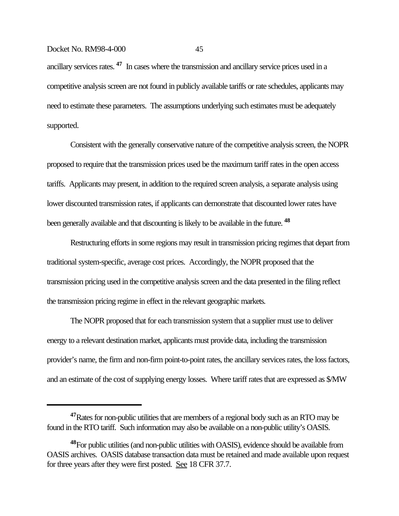ancillary services rates. **47** In cases where the transmission and ancillary service prices used in a competitive analysis screen are not found in publicly available tariffs or rate schedules, applicants may need to estimate these parameters. The assumptions underlying such estimates must be adequately supported.

Consistent with the generally conservative nature of the competitive analysis screen, the NOPR proposed to require that the transmission prices used be the maximum tariff rates in the open access tariffs. Applicants may present, in addition to the required screen analysis, a separate analysis using lower discounted transmission rates, if applicants can demonstrate that discounted lower rates have been generally available and that discounting is likely to be available in the future. **<sup>48</sup>**

Restructuring efforts in some regions may result in transmission pricing regimes that depart from traditional system-specific, average cost prices. Accordingly, the NOPR proposed that the transmission pricing used in the competitive analysis screen and the data presented in the filing reflect the transmission pricing regime in effect in the relevant geographic markets.

The NOPR proposed that for each transmission system that a supplier must use to deliver energy to a relevant destination market, applicants must provide data, including the transmission provider's name, the firm and non-firm point-to-point rates, the ancillary services rates, the loss factors, and an estimate of the cost of supplying energy losses. Where tariff rates that are expressed as \$/MW

**<sup>47</sup>**Rates for non-public utilities that are members of a regional body such as an RTO may be found in the RTO tariff. Such information may also be available on a non-public utility's OASIS.

**<sup>48</sup>**For public utilities (and non-public utilities with OASIS), evidence should be available from OASIS archives. OASIS database transaction data must be retained and made available upon request for three years after they were first posted. See 18 CFR 37.7.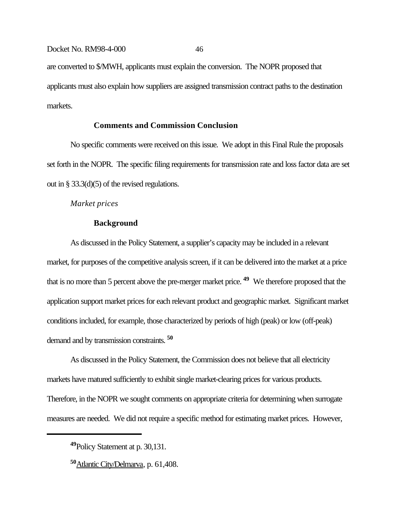are converted to \$/MWH, applicants must explain the conversion. The NOPR proposed that applicants must also explain how suppliers are assigned transmission contract paths to the destination markets.

# **Comments and Commission Conclusion**

No specific comments were received on this issue. We adopt in this Final Rule the proposals set forth in the NOPR. The specific filing requirements for transmission rate and loss factor data are set out in § 33.3(d)(5) of the revised regulations.

## *Market prices*

# **Background**

As discussed in the Policy Statement, a supplier's capacity may be included in a relevant market, for purposes of the competitive analysis screen, if it can be delivered into the market at a price that is no more than 5 percent above the pre-merger market price. **49** We therefore proposed that the application support market prices for each relevant product and geographic market. Significant market conditions included, for example, those characterized by periods of high (peak) or low (off-peak) demand and by transmission constraints. **<sup>50</sup>**

As discussed in the Policy Statement, the Commission does not believe that all electricity markets have matured sufficiently to exhibit single market-clearing prices for various products. Therefore, in the NOPR we sought comments on appropriate criteria for determining when surrogate measures are needed. We did not require a specific method for estimating market prices. However,

**<sup>49</sup>**Policy Statement at p. 30,131.

**<sup>50</sup>**Atlantic City/Delmarva, p. 61,408.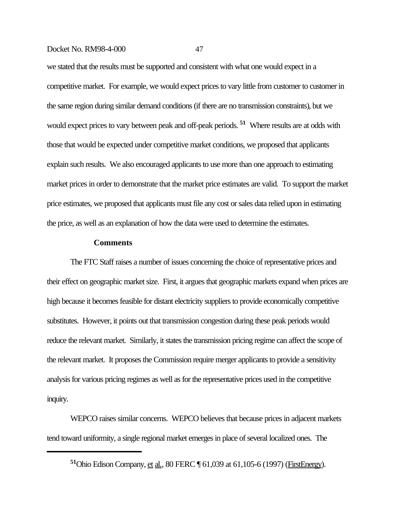we stated that the results must be supported and consistent with what one would expect in a competitive market. For example, we would expect prices to vary little from customer to customer in the same region during similar demand conditions (if there are no transmission constraints), but we would expect prices to vary between peak and off-peak periods. **51** Where results are at odds with those that would be expected under competitive market conditions, we proposed that applicants explain such results. We also encouraged applicants to use more than one approach to estimating market prices in order to demonstrate that the market price estimates are valid. To support the market price estimates, we proposed that applicants must file any cost or sales data relied upon in estimating the price, as well as an explanation of how the data were used to determine the estimates.

#### **Comments**

The FTC Staff raises a number of issues concerning the choice of representative prices and their effect on geographic market size. First, it argues that geographic markets expand when prices are high because it becomes feasible for distant electricity suppliers to provide economically competitive substitutes. However, it points out that transmission congestion during these peak periods would reduce the relevant market. Similarly, it states the transmission pricing regime can affect the scope of the relevant market. It proposes the Commission require merger applicants to provide a sensitivity analysis for various pricing regimes as well as for the representative prices used in the competitive inquiry.

WEPCO raises similar concerns. WEPCO believes that because prices in adjacent markets tend toward uniformity, a single regional market emerges in place of several localized ones. The

**<sup>51</sup>**Ohio Edison Company, et al., 80 FERC ¶ 61,039 at 61,105-6 (1997) (FirstEnergy).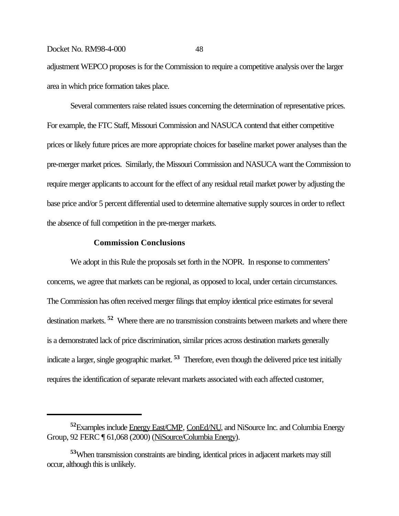adjustment WEPCO proposes is for the Commission to require a competitive analysis over the larger area in which price formation takes place.

Several commenters raise related issues concerning the determination of representative prices. For example, the FTC Staff, Missouri Commission and NASUCA contend that either competitive prices or likely future prices are more appropriate choices for baseline market power analyses than the pre-merger market prices. Similarly, the Missouri Commission and NASUCA want the Commission to require merger applicants to account for the effect of any residual retail market power by adjusting the base price and/or 5 percent differential used to determine alternative supply sources in order to reflect the absence of full competition in the pre-merger markets.

## **Commission Conclusions**

We adopt in this Rule the proposals set forth in the NOPR. In response to commenters' concerns, we agree that markets can be regional, as opposed to local, under certain circumstances. The Commission has often received merger filings that employ identical price estimates for several destination markets. **52** Where there are no transmission constraints between markets and where there is a demonstrated lack of price discrimination, similar prices across destination markets generally indicate a larger, single geographic market. **53** Therefore, even though the delivered price test initially requires the identification of separate relevant markets associated with each affected customer,

**<sup>52</sup>**Examples include Energy East/CMP, ConEd/NU, and NiSource Inc. and Columbia Energy Group, 92 FERC ¶ 61,068 (2000) (NiSource/Columbia Energy).

**<sup>53</sup>**When transmission constraints are binding, identical prices in adjacent markets may still occur, although this is unlikely.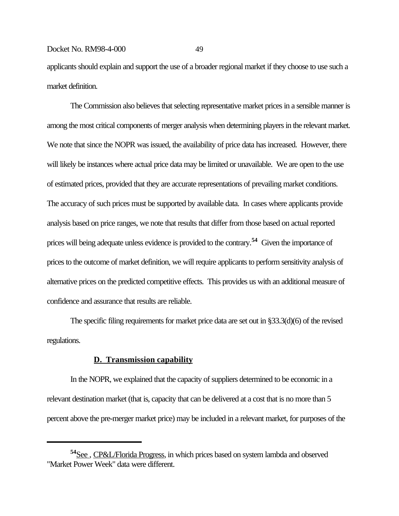applicants should explain and support the use of a broader regional market if they choose to use such a market definition.

The Commission also believes that selecting representative market prices in a sensible manner is among the most critical components of merger analysis when determining players in the relevant market. We note that since the NOPR was issued, the availability of price data has increased. However, there will likely be instances where actual price data may be limited or unavailable. We are open to the use of estimated prices, provided that they are accurate representations of prevailing market conditions. The accuracy of such prices must be supported by available data. In cases where applicants provide analysis based on price ranges, we note that results that differ from those based on actual reported prices will being adequate unless evidence is provided to the contrary.**54** Given the importance of prices to the outcome of market definition, we will require applicants to perform sensitivity analysis of alternative prices on the predicted competitive effects. This provides us with an additional measure of confidence and assurance that results are reliable.

The specific filing requirements for market price data are set out in §33.3(d)(6) of the revised regulations.

### **D. Transmission capability**

In the NOPR, we explained that the capacity of suppliers determined to be economic in a relevant destination market (that is, capacity that can be delivered at a cost that is no more than 5 percent above the pre-merger market price) may be included in a relevant market, for purposes of the

**<sup>54</sup>**See , CP&L/Florida Progress, in which prices based on system lambda and observed "Market Power Week" data were different.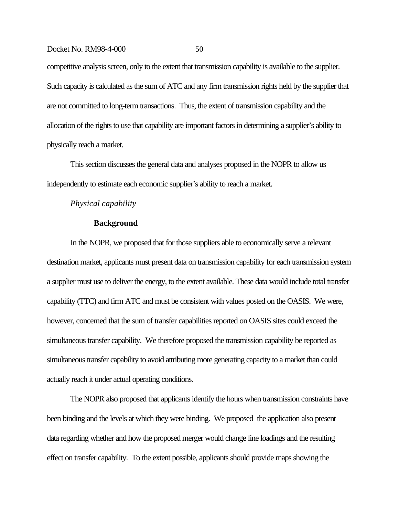competitive analysis screen, only to the extent that transmission capability is available to the supplier. Such capacity is calculated as the sum of ATC and any firm transmission rights held by the supplier that are not committed to long-term transactions. Thus, the extent of transmission capability and the allocation of the rights to use that capability are important factors in determining a supplier's ability to physically reach a market.

This section discusses the general data and analyses proposed in the NOPR to allow us independently to estimate each economic supplier's ability to reach a market.

#### *Physical capability*

#### **Background**

In the NOPR, we proposed that for those suppliers able to economically serve a relevant destination market, applicants must present data on transmission capability for each transmission system a supplier must use to deliver the energy, to the extent available. These data would include total transfer capability (TTC) and firm ATC and must be consistent with values posted on the OASIS. We were, however, concerned that the sum of transfer capabilities reported on OASIS sites could exceed the simultaneous transfer capability. We therefore proposed the transmission capability be reported as simultaneous transfer capability to avoid attributing more generating capacity to a market than could actually reach it under actual operating conditions.

The NOPR also proposed that applicants identify the hours when transmission constraints have been binding and the levels at which they were binding. We proposed the application also present data regarding whether and how the proposed merger would change line loadings and the resulting effect on transfer capability. To the extent possible, applicants should provide maps showing the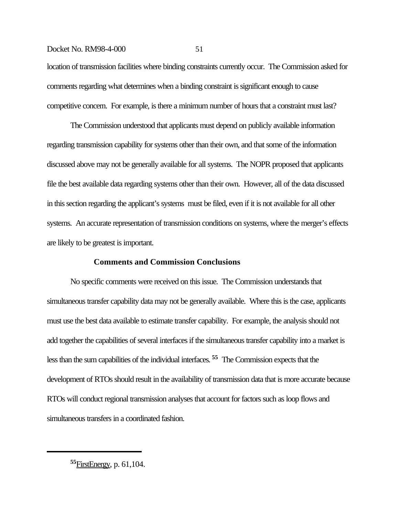location of transmission facilities where binding constraints currently occur. The Commission asked for comments regarding what determines when a binding constraint is significant enough to cause competitive concern. For example, is there a minimum number of hours that a constraint must last?

The Commission understood that applicants must depend on publicly available information regarding transmission capability for systems other than their own, and that some of the information discussed above may not be generally available for all systems. The NOPR proposed that applicants file the best available data regarding systems other than their own. However, all of the data discussed in this section regarding the applicant's systems must be filed, even if it is not available for all other systems. An accurate representation of transmission conditions on systems, where the merger's effects are likely to be greatest is important.

# **Comments and Commission Conclusions**

No specific comments were received on this issue. The Commission understands that simultaneous transfer capability data may not be generally available. Where this is the case, applicants must use the best data available to estimate transfer capability. For example, the analysis should not add together the capabilities of several interfaces if the simultaneous transfer capability into a market is less than the sum capabilities of the individual interfaces. **55** The Commission expects that the development of RTOs should result in the availability of transmission data that is more accurate because RTOs will conduct regional transmission analyses that account for factors such as loop flows and simultaneous transfers in a coordinated fashion.

**<sup>55</sup>**FirstEnergy, p. 61,104.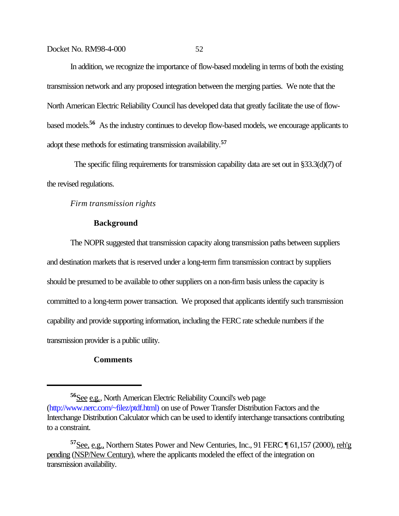In addition, we recognize the importance of flow-based modeling in terms of both the existing transmission network and any proposed integration between the merging parties. We note that the North American Electric Reliability Council has developed data that greatly facilitate the use of flowbased models.**56** As the industry continues to develop flow-based models, we encourage applicants to adopt these methods for estimating transmission availability.**<sup>57</sup>**

 The specific filing requirements for transmission capability data are set out in §33.3(d)(7) of the revised regulations.

*Firm transmission rights*

# **Background**

The NOPR suggested that transmission capacity along transmission paths between suppliers and destination markets that is reserved under a long-term firm transmission contract by suppliers should be presumed to be available to other suppliers on a non-firm basis unless the capacity is committed to a long-term power transaction. We proposed that applicants identify such transmission capability and provide supporting information, including the FERC rate schedule numbers if the transmission provider is a public utility.

# **Comments**

**<sup>56</sup>**See e.g., North American Electric Reliability Council's web page (http://www.nerc.com/~filez/ptdf.html) on use of Power Transfer Distribution Factors and the Interchange Distribution Calculator which can be used to identify interchange transactions contributing to a constraint.

<sup>&</sup>lt;sup>57</sup>See, e.g., Northern States Power and New Centuries, Inc., 91 FERC ¶ 61,157 (2000), reh'g pending (NSP/New Century), where the applicants modeled the effect of the integration on transmission availability.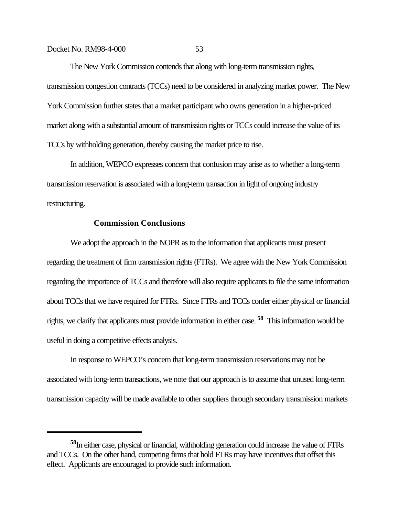The New York Commission contends that along with long-term transmission rights, transmission congestion contracts (TCCs) need to be considered in analyzing market power. The New York Commission further states that a market participant who owns generation in a higher-priced market along with a substantial amount of transmission rights or TCCs could increase the value of its TCCs by withholding generation, thereby causing the market price to rise.

In addition, WEPCO expresses concern that confusion may arise as to whether a long-term transmission reservation is associated with a long-term transaction in light of ongoing industry restructuring.

# **Commission Conclusions**

We adopt the approach in the NOPR as to the information that applicants must present regarding the treatment of firm transmission rights (FTRs). We agree with the New York Commission regarding the importance of TCCs and therefore will also require applicants to file the same information about TCCs that we have required for FTRs. Since FTRs and TCCs confer either physical or financial rights, we clarify that applicants must provide information in either case. **58** This information would be useful in doing a competitive effects analysis.

In response to WEPCO's concern that long-term transmission reservations may not be associated with long-term transactions, we note that our approach is to assume that unused long-term transmission capacity will be made available to other suppliers through secondary transmission markets

**<sup>58</sup>**In either case, physical or financial, withholding generation could increase the value of FTRs and TCCs. On the other hand, competing firms that hold FTRs may have incentives that offset this effect. Applicants are encouraged to provide such information.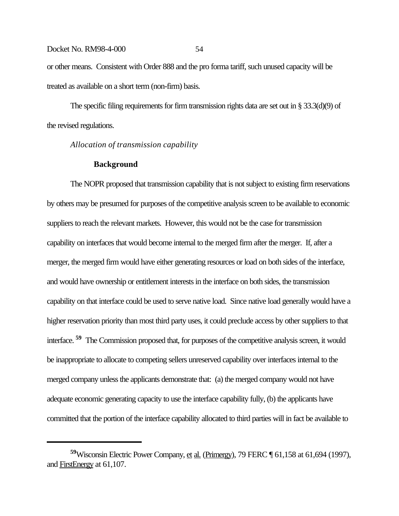or other means. Consistent with Order 888 and the pro forma tariff, such unused capacity will be treated as available on a short term (non-firm) basis.

The specific filing requirements for firm transmission rights data are set out in § 33.3(d)(9) of the revised regulations.

# *Allocation of transmission capability*

#### **Background**

The NOPR proposed that transmission capability that is not subject to existing firm reservations by others may be presumed for purposes of the competitive analysis screen to be available to economic suppliers to reach the relevant markets. However, this would not be the case for transmission capability on interfaces that would become internal to the merged firm after the merger. If, after a merger, the merged firm would have either generating resources or load on both sides of the interface, and would have ownership or entitlement interests in the interface on both sides, the transmission capability on that interface could be used to serve native load. Since native load generally would have a higher reservation priority than most third party uses, it could preclude access by other suppliers to that interface. **59** The Commission proposed that, for purposes of the competitive analysis screen, it would be inappropriate to allocate to competing sellers unreserved capability over interfaces internal to the merged company unless the applicants demonstrate that: (a) the merged company would not have adequate economic generating capacity to use the interface capability fully, (b) the applicants have committed that the portion of the interface capability allocated to third parties will in fact be available to

**<sup>59</sup>**Wisconsin Electric Power Company, et al. (Primergy), 79 FERC ¶ 61,158 at 61,694 (1997), and FirstEnergy at 61,107.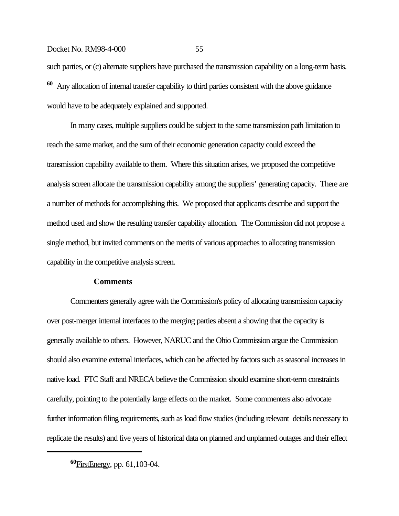such parties, or (c) alternate suppliers have purchased the transmission capability on a long-term basis. **<sup>60</sup>** Any allocation of internal transfer capability to third parties consistent with the above guidance would have to be adequately explained and supported.

In many cases, multiple suppliers could be subject to the same transmission path limitation to reach the same market, and the sum of their economic generation capacity could exceed the transmission capability available to them. Where this situation arises, we proposed the competitive analysis screen allocate the transmission capability among the suppliers' generating capacity. There are a number of methods for accomplishing this. We proposed that applicants describe and support the method used and show the resulting transfer capability allocation. The Commission did not propose a single method, but invited comments on the merits of various approaches to allocating transmission capability in the competitive analysis screen.

## **Comments**

Commenters generally agree with the Commission's policy of allocating transmission capacity over post-merger internal interfaces to the merging parties absent a showing that the capacity is generally available to others. However, NARUC and the Ohio Commission argue the Commission should also examine external interfaces, which can be affected by factors such as seasonal increases in native load. FTC Staff and NRECA believe the Commission should examine short-term constraints carefully, pointing to the potentially large effects on the market. Some commenters also advocate further information filing requirements, such as load flow studies (including relevant details necessary to replicate the results) and five years of historical data on planned and unplanned outages and their effect

**<sup>60</sup>**FirstEnergy, pp. 61,103-04.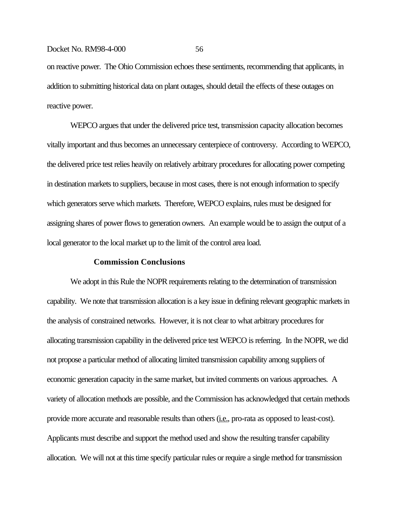on reactive power. The Ohio Commission echoes these sentiments, recommending that applicants, in addition to submitting historical data on plant outages, should detail the effects of these outages on reactive power.

WEPCO argues that under the delivered price test, transmission capacity allocation becomes vitally important and thus becomes an unnecessary centerpiece of controversy. According to WEPCO, the delivered price test relies heavily on relatively arbitrary procedures for allocating power competing in destination markets to suppliers, because in most cases, there is not enough information to specify which generators serve which markets. Therefore, WEPCO explains, rules must be designed for assigning shares of power flows to generation owners. An example would be to assign the output of a local generator to the local market up to the limit of the control area load.

## **Commission Conclusions**

We adopt in this Rule the NOPR requirements relating to the determination of transmission capability. We note that transmission allocation is a key issue in defining relevant geographic markets in the analysis of constrained networks. However, it is not clear to what arbitrary procedures for allocating transmission capability in the delivered price test WEPCO is referring. In the NOPR, we did not propose a particular method of allocating limited transmission capability among suppliers of economic generation capacity in the same market, but invited comments on various approaches. A variety of allocation methods are possible, and the Commission has acknowledged that certain methods provide more accurate and reasonable results than others (*i.e.*, pro-rata as opposed to least-cost). Applicants must describe and support the method used and show the resulting transfer capability allocation. We will not at this time specify particular rules or require a single method for transmission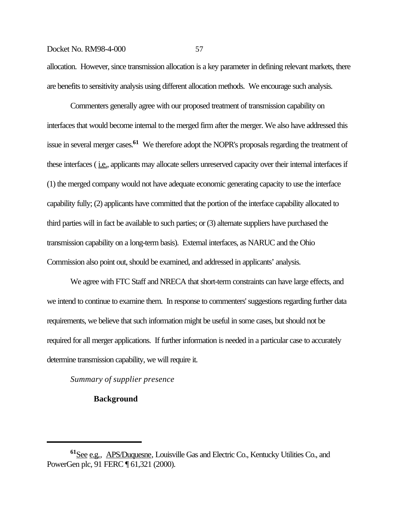allocation. However, since transmission allocation is a key parameter in defining relevant markets, there are benefits to sensitivity analysis using different allocation methods. We encourage such analysis.

Commenters generally agree with our proposed treatment of transmission capability on interfaces that would become internal to the merged firm after the merger. We also have addressed this issue in several merger cases.**61** We therefore adopt the NOPR's proposals regarding the treatment of these interfaces (*i.e.*, applicants may allocate sellers unreserved capacity over their internal interfaces if (1) the merged company would not have adequate economic generating capacity to use the interface capability fully; (2) applicants have committed that the portion of the interface capability allocated to third parties will in fact be available to such parties; or (3) alternate suppliers have purchased the transmission capability on a long-term basis). External interfaces, as NARUC and the Ohio Commission also point out, should be examined, and addressed in applicants' analysis.

We agree with FTC Staff and NRECA that short-term constraints can have large effects, and we intend to continue to examine them. In response to commenters' suggestions regarding further data requirements, we believe that such information might be useful in some cases, but should not be required for all merger applications. If further information is needed in a particular case to accurately determine transmission capability, we will require it.

*Summary of supplier presence*

# **Background**

**<sup>61</sup>**See e.g., APS/Duquesne, Louisville Gas and Electric Co., Kentucky Utilities Co., and PowerGen plc, 91 FERC ¶ 61,321 (2000).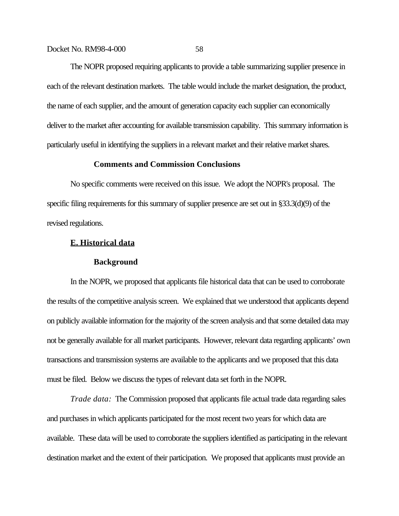The NOPR proposed requiring applicants to provide a table summarizing supplier presence in each of the relevant destination markets. The table would include the market designation, the product, the name of each supplier, and the amount of generation capacity each supplier can economically deliver to the market after accounting for available transmission capability. This summary information is particularly useful in identifying the suppliers in a relevant market and their relative market shares.

# **Comments and Commission Conclusions**

No specific comments were received on this issue. We adopt the NOPR's proposal. The specific filing requirements for this summary of supplier presence are set out in §33.3(d)(9) of the revised regulations.

#### **E. Historical data**

#### **Background**

In the NOPR, we proposed that applicants file historical data that can be used to corroborate the results of the competitive analysis screen. We explained that we understood that applicants depend on publicly available information for the majority of the screen analysis and that some detailed data may not be generally available for all market participants. However, relevant data regarding applicants' own transactions and transmission systems are available to the applicants and we proposed that this data must be filed. Below we discuss the types of relevant data set forth in the NOPR.

*Trade data:* The Commission proposed that applicants file actual trade data regarding sales and purchases in which applicants participated for the most recent two years for which data are available. These data will be used to corroborate the suppliers identified as participating in the relevant destination market and the extent of their participation. We proposed that applicants must provide an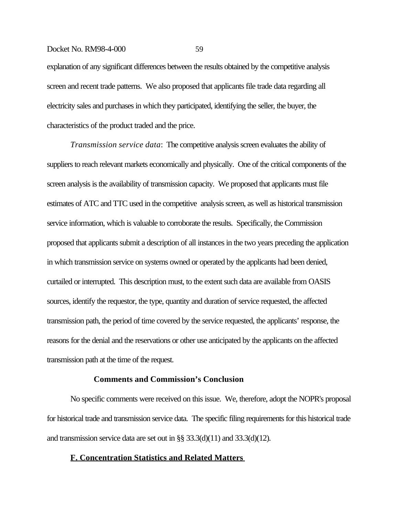explanation of any significant differences between the results obtained by the competitive analysis screen and recent trade patterns. We also proposed that applicants file trade data regarding all electricity sales and purchases in which they participated, identifying the seller, the buyer, the characteristics of the product traded and the price.

*Transmission service data*: The competitive analysis screen evaluates the ability of suppliers to reach relevant markets economically and physically. One of the critical components of the screen analysis is the availability of transmission capacity. We proposed that applicants must file estimates of ATC and TTC used in the competitive analysis screen, as well as historical transmission service information, which is valuable to corroborate the results. Specifically, the Commission proposed that applicants submit a description of all instances in the two years preceding the application in which transmission service on systems owned or operated by the applicants had been denied, curtailed or interrupted. This description must, to the extent such data are available from OASIS sources, identify the requestor, the type, quantity and duration of service requested, the affected transmission path, the period of time covered by the service requested, the applicants' response, the reasons for the denial and the reservations or other use anticipated by the applicants on the affected transmission path at the time of the request.

#### **Comments and Commission's Conclusion**

No specific comments were received on this issue. We, therefore, adopt the NOPR's proposal for historical trade and transmission service data. The specific filing requirements for this historical trade and transmission service data are set out in §§ 33.3(d)(11) and 33.3(d)(12).

#### **F. Concentration Statistics and Related Matters**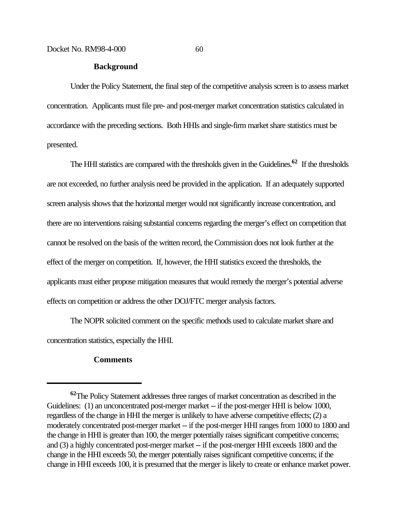#### **Background**

Under the Policy Statement, the final step of the competitive analysis screen is to assess market concentration. Applicants must file pre- and post-merger market concentration statistics calculated in accordance with the preceding sections. Both HHIs and single-firm market share statistics must be presented.

The HHI statistics are compared with the thresholds given in the Guidelines.**62** If the thresholds are not exceeded, no further analysis need be provided in the application. If an adequately supported screen analysis shows that the horizontal merger would not significantly increase concentration, and there are no interventions raising substantial concerns regarding the merger's effect on competition that cannot be resolved on the basis of the written record, the Commission does not look further at the effect of the merger on competition. If, however, the HHI statistics exceed the thresholds, the applicants must either propose mitigation measures that would remedy the merger's potential adverse effects on competition or address the other DOJ/FTC merger analysis factors.

The NOPR solicited comment on the specific methods used to calculate market share and concentration statistics, especially the HHI.

# **Comments**

**<sup>62</sup>**The Policy Statement addresses three ranges of market concentration as described in the Guidelines: (1) an unconcentrated post-merger market -- if the post-merger HHI is below 1000, regardless of the change in HHI the merger is unlikely to have adverse competitive effects; (2) a moderately concentrated post-merger market -- if the post-merger HHI ranges from 1000 to 1800 and the change in HHI is greater than 100, the merger potentially raises significant competitive concerns; and (3) a highly concentrated post-merger market -- if the post-merger HHI exceeds 1800 and the change in the HHI exceeds 50, the merger potentially raises significant competitive concerns; if the change in HHI exceeds 100, it is presumed that the merger is likely to create or enhance market power.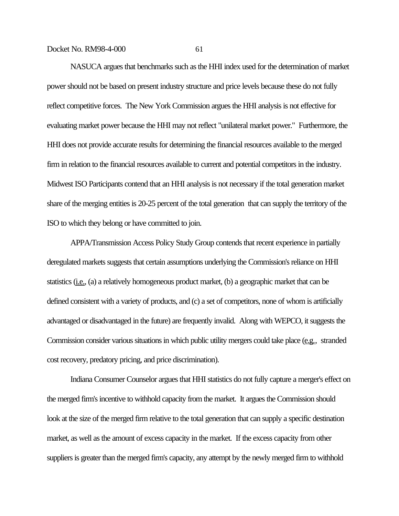NASUCA argues that benchmarks such as the HHI index used for the determination of market power should not be based on present industry structure and price levels because these do not fully reflect competitive forces. The New York Commission argues the HHI analysis is not effective for evaluating market power because the HHI may not reflect "unilateral market power." Furthermore, the HHI does not provide accurate results for determining the financial resources available to the merged firm in relation to the financial resources available to current and potential competitors in the industry. Midwest ISO Participants contend that an HHI analysis is not necessary if the total generation market share of the merging entities is 20-25 percent of the total generation that can supply the territory of the ISO to which they belong or have committed to join.

APPA/Transmission Access Policy Study Group contends that recent experience in partially deregulated markets suggests that certain assumptions underlying the Commission's reliance on HHI statistics (i.e., (a) a relatively homogeneous product market, (b) a geographic market that can be defined consistent with a variety of products, and (c) a set of competitors, none of whom is artificially advantaged or disadvantaged in the future) are frequently invalid. Along with WEPCO, it suggests the Commission consider various situations in which public utility mergers could take place (e.g., stranded cost recovery, predatory pricing, and price discrimination).

Indiana Consumer Counselor argues that HHI statistics do not fully capture a merger's effect on the merged firm's incentive to withhold capacity from the market. It argues the Commission should look at the size of the merged firm relative to the total generation that can supply a specific destination market, as well as the amount of excess capacity in the market. If the excess capacity from other suppliers is greater than the merged firm's capacity, any attempt by the newly merged firm to withhold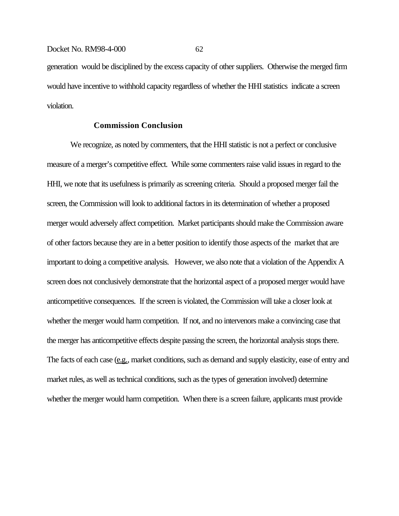generation would be disciplined by the excess capacity of other suppliers. Otherwise the merged firm would have incentive to withhold capacity regardless of whether the HHI statistics indicate a screen violation.

# **Commission Conclusion**

We recognize, as noted by commenters, that the HHI statistic is not a perfect or conclusive measure of a merger's competitive effect. While some commenters raise valid issues in regard to the HHI, we note that its usefulness is primarily as screening criteria. Should a proposed merger fail the screen, the Commission will look to additional factors in its determination of whether a proposed merger would adversely affect competition. Market participants should make the Commission aware of other factors because they are in a better position to identify those aspects of the market that are important to doing a competitive analysis. However, we also note that a violation of the Appendix A screen does not conclusively demonstrate that the horizontal aspect of a proposed merger would have anticompetitive consequences. If the screen is violated, the Commission will take a closer look at whether the merger would harm competition. If not, and no intervenors make a convincing case that the merger has anticompetitive effects despite passing the screen, the horizontal analysis stops there. The facts of each case (e.g., market conditions, such as demand and supply elasticity, ease of entry and market rules, as well as technical conditions, such as the types of generation involved) determine whether the merger would harm competition. When there is a screen failure, applicants must provide

Docket No. RM98-4-000 62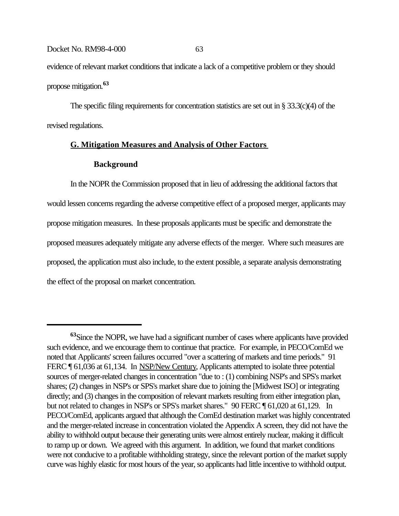evidence of relevant market conditions that indicate a lack of a competitive problem or they should propose mitigation.**<sup>63</sup>**

The specific filing requirements for concentration statistics are set out in § 33.3(c)(4) of the revised regulations.

# **G. Mitigation Measures and Analysis of Other Factors**

# **Background**

In the NOPR the Commission proposed that in lieu of addressing the additional factors that would lessen concerns regarding the adverse competitive effect of a proposed merger, applicants may propose mitigation measures. In these proposals applicants must be specific and demonstrate the proposed measures adequately mitigate any adverse effects of the merger. Where such measures are proposed, the application must also include, to the extent possible, a separate analysis demonstrating the effect of the proposal on market concentration.

**<sup>63</sup>**Since the NOPR, we have had a significant number of cases where applicants have provided such evidence, and we encourage them to continue that practice. For example, in PECO/ComEd we noted that Applicants' screen failures occurred "over a scattering of markets and time periods." 91 FERC ¶ 61,036 at 61,134. In NSP/New Century, Applicants attempted to isolate three potential sources of merger-related changes in concentration "due to : (1) combining NSP's and SPS's market shares; (2) changes in NSP's or SPS's market share due to joining the [Midwest ISO] or integrating directly; and (3) changes in the composition of relevant markets resulting from either integration plan, but not related to changes in NSP's or SPS's market shares." 90 FERC ¶ 61,020 at 61,129. In PECO/ComEd, applicants argued that although the ComEd destination market was highly concentrated and the merger-related increase in concentration violated the Appendix A screen, they did not have the ability to withhold output because their generating units were almost entirely nuclear, making it difficult to ramp up or down. We agreed with this argument. In addition, we found that market conditions were not conducive to a profitable withholding strategy, since the relevant portion of the market supply curve was highly elastic for most hours of the year, so applicants had little incentive to withhold output.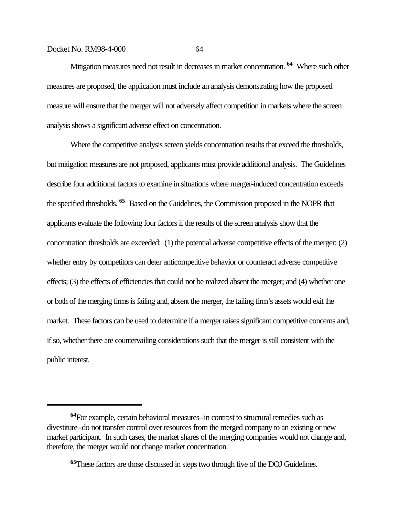Mitigation measures need not result in decreases in market concentration. **64** Where such other measures are proposed, the application must include an analysis demonstrating how the proposed measure will ensure that the merger will not adversely affect competition in markets where the screen analysis shows a significant adverse effect on concentration.

Where the competitive analysis screen yields concentration results that exceed the thresholds, but mitigation measures are not proposed, applicants must provide additional analysis. The Guidelines describe four additional factors to examine in situations where merger-induced concentration exceeds the specified thresholds. **65** Based on the Guidelines, the Commission proposed in the NOPR that applicants evaluate the following four factors if the results of the screen analysis show that the concentration thresholds are exceeded: (1) the potential adverse competitive effects of the merger; (2) whether entry by competitors can deter anticompetitive behavior or counteract adverse competitive effects; (3) the effects of efficiencies that could not be realized absent the merger; and (4) whether one or both of the merging firms is failing and, absent the merger, the failing firm's assets would exit the market. These factors can be used to determine if a merger raises significant competitive concerns and, if so, whether there are countervailing considerations such that the merger is still consistent with the public interest.

**<sup>64</sup>**For example, certain behavioral measures--in contrast to structural remedies such as divestiture--do not transfer control over resources from the merged company to an existing or new market participant. In such cases, the market shares of the merging companies would not change and, therefore, the merger would not change market concentration.

**<sup>65</sup>**These factors are those discussed in steps two through five of the DOJ Guidelines.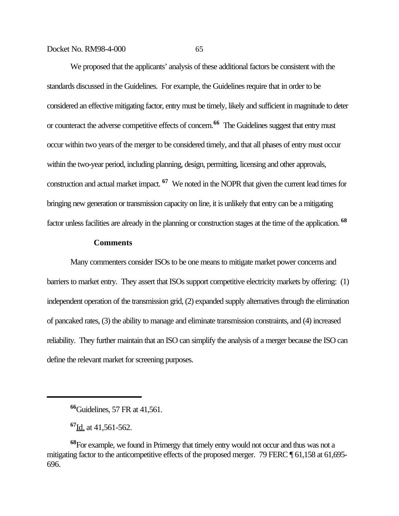We proposed that the applicants' analysis of these additional factors be consistent with the standards discussed in the Guidelines. For example, the Guidelines require that in order to be considered an effective mitigating factor, entry must be timely, likely and sufficient in magnitude to deter or counteract the adverse competitive effects of concern.**66** The Guidelines suggest that entry must occur within two years of the merger to be considered timely, and that all phases of entry must occur within the two-year period, including planning, design, permitting, licensing and other approvals, construction and actual market impact. **67** We noted in the NOPR that given the current lead times for bringing new generation or transmission capacity on line, it is unlikely that entry can be a mitigating factor unless facilities are already in the planning or construction stages at the time of the application. **<sup>68</sup>**

# **Comments**

Many commenters consider ISOs to be one means to mitigate market power concerns and barriers to market entry. They assert that ISOs support competitive electricity markets by offering: (1) independent operation of the transmission grid, (2) expanded supply alternatives through the elimination of pancaked rates, (3) the ability to manage and eliminate transmission constraints, and (4) increased reliability. They further maintain that an ISO can simplify the analysis of a merger because the ISO can define the relevant market for screening purposes.

**<sup>67</sup>**Id. at 41,561-562.

**<sup>66</sup>**Guidelines, 57 FR at 41,561.

**<sup>68</sup>**For example, we found in Primergy that timely entry would not occur and thus was not a mitigating factor to the anticompetitive effects of the proposed merger. 79 FERC  $\P$  61,158 at 61,695-696.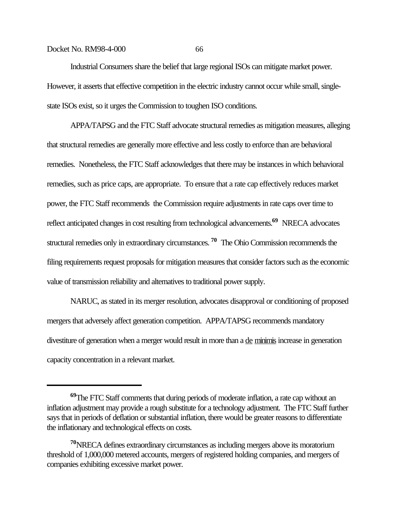Industrial Consumers share the belief that large regional ISOs can mitigate market power. However, it asserts that effective competition in the electric industry cannot occur while small, singlestate ISOs exist, so it urges the Commission to toughen ISO conditions.

APPA/TAPSG and the FTC Staff advocate structural remedies as mitigation measures, alleging that structural remedies are generally more effective and less costly to enforce than are behavioral remedies. Nonetheless, the FTC Staff acknowledges that there may be instances in which behavioral remedies, such as price caps, are appropriate. To ensure that a rate cap effectively reduces market power, the FTC Staff recommends the Commission require adjustments in rate caps over time to reflect anticipated changes in cost resulting from technological advancements.**69** NRECA advocates structural remedies only in extraordinary circumstances. **70** The Ohio Commission recommends the filing requirements request proposals for mitigation measures that consider factors such as the economic value of transmission reliability and alternatives to traditional power supply.

NARUC, as stated in its merger resolution, advocates disapproval or conditioning of proposed mergers that adversely affect generation competition. APPA/TAPSG recommends mandatory divestiture of generation when a merger would result in more than a de minimis increase in generation capacity concentration in a relevant market.

**<sup>69</sup>**The FTC Staff comments that during periods of moderate inflation, a rate cap without an inflation adjustment may provide a rough substitute for a technology adjustment. The FTC Staff further says that in periods of deflation or substantial inflation, there would be greater reasons to differentiate the inflationary and technological effects on costs.

**<sup>70</sup>**NRECA defines extraordinary circumstances as including mergers above its moratorium threshold of 1,000,000 metered accounts, mergers of registered holding companies, and mergers of companies exhibiting excessive market power.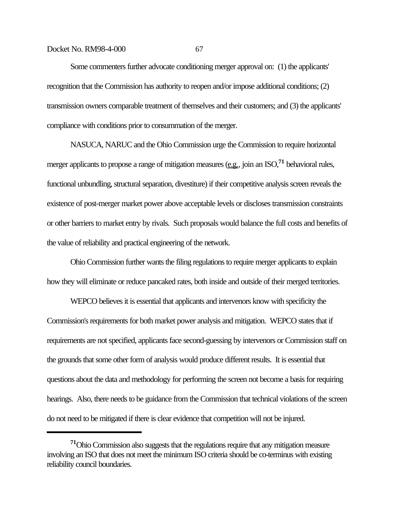Some commenters further advocate conditioning merger approval on: (1) the applicants' recognition that the Commission has authority to reopen and/or impose additional conditions; (2) transmission owners comparable treatment of themselves and their customers; and (3) the applicants' compliance with conditions prior to consummation of the merger.

NASUCA, NARUC and the Ohio Commission urge the Commission to require horizontal merger applicants to propose a range of mitigation measures (e.g., join an ISO,<sup>71</sup> behavioral rules, functional unbundling, structural separation, divestiture) if their competitive analysis screen reveals the existence of post-merger market power above acceptable levels or discloses transmission constraints or other barriers to market entry by rivals. Such proposals would balance the full costs and benefits of the value of reliability and practical engineering of the network.

Ohio Commission further wants the filing regulations to require merger applicants to explain how they will eliminate or reduce pancaked rates, both inside and outside of their merged territories.

WEPCO believes it is essential that applicants and intervenors know with specificity the Commission's requirements for both market power analysis and mitigation. WEPCO states that if requirements are not specified, applicants face second-guessing by intervenors or Commission staff on the grounds that some other form of analysis would produce different results. It is essential that questions about the data and methodology for performing the screen not become a basis for requiring hearings. Also, there needs to be guidance from the Commission that technical violations of the screen do not need to be mitigated if there is clear evidence that competition will not be injured.

**<sup>71</sup>**Ohio Commission also suggests that the regulations require that any mitigation measure involving an ISO that does not meet the minimum ISO criteria should be co-terminus with existing reliability council boundaries.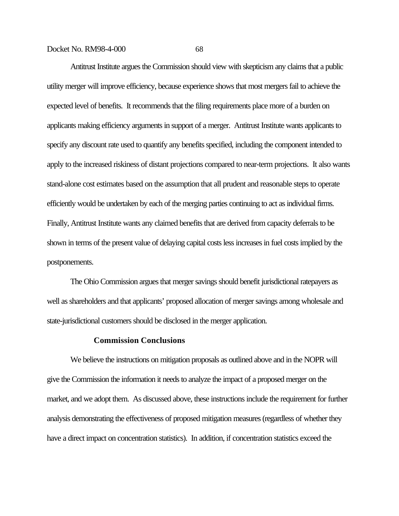Antitrust Institute argues the Commission should view with skepticism any claims that a public utility merger will improve efficiency, because experience shows that most mergers fail to achieve the expected level of benefits. It recommends that the filing requirements place more of a burden on applicants making efficiency arguments in support of a merger. Antitrust Institute wants applicants to specify any discount rate used to quantify any benefits specified, including the component intended to apply to the increased riskiness of distant projections compared to near-term projections. It also wants stand-alone cost estimates based on the assumption that all prudent and reasonable steps to operate efficiently would be undertaken by each of the merging parties continuing to act as individual firms. Finally, Antitrust Institute wants any claimed benefits that are derived from capacity deferrals to be shown in terms of the present value of delaying capital costs less increases in fuel costs implied by the postponements.

The Ohio Commission argues that merger savings should benefit jurisdictional ratepayers as well as shareholders and that applicants' proposed allocation of merger savings among wholesale and state-jurisdictional customers should be disclosed in the merger application.

## **Commission Conclusions**

We believe the instructions on mitigation proposals as outlined above and in the NOPR will give the Commission the information it needs to analyze the impact of a proposed merger on the market, and we adopt them. As discussed above, these instructions include the requirement for further analysis demonstrating the effectiveness of proposed mitigation measures (regardless of whether they have a direct impact on concentration statistics). In addition, if concentration statistics exceed the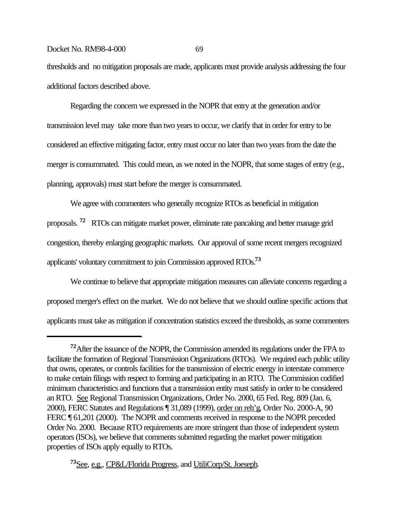thresholds and no mitigation proposals are made, applicants must provide analysis addressing the four additional factors described above.

Regarding the concern we expressed in the NOPR that entry at the generation and/or transmission level may take more than two years to occur, we clarify that in order for entry to be considered an effective mitigating factor, entry must occur no later than two years from the date the merger is consummated. This could mean, as we noted in the NOPR, that some stages of entry (e.g., planning, approvals) must start before the merger is consummated.

We agree with commenters who generally recognize RTOs as beneficial in mitigation proposals. **72** RTOs can mitigate market power, eliminate rate pancaking and better manage grid congestion, thereby enlarging geographic markets. Our approval of some recent mergers recognized applicants' voluntary commitment to join Commission approved RTOs.**<sup>73</sup>**

We continue to believe that appropriate mitigation measures can alleviate concerns regarding a proposed merger's effect on the market. We do not believe that we should outline specific actions that applicants must take as mitigation if concentration statistics exceed the thresholds, as some commenters

**<sup>73</sup>**See, e.g., CP&L/Florida Progress, and UtiliCorp/St. Joeseph.

**<sup>72</sup>**After the issuance of the NOPR, the Commission amended its regulations under the FPA to facilitate the formation of Regional Transmission Organizations (RTOs). We required each public utility that owns, operates, or controls facilities for the transmission of electric energy in interstate commerce to make certain filings with respect to forming and participating in an RTO. The Commission codified minimum characteristics and functions that a transmission entity must satisfy in order to be considered an RTO. See Regional Transmission Organizations, Order No. 2000, 65 Fed. Reg. 809 (Jan. 6, 2000), FERC Statutes and Regulations ¶ 31,089 (1999), order on reh'g, Order No. 2000-A, 90 FERC ¶ 61,201 (2000). The NOPR and comments received in response to the NOPR preceded Order No. 2000. Because RTO requirements are more stringent than those of independent system operators (ISOs), we believe that comments submitted regarding the market power mitigation properties of ISOs apply equally to RTOs.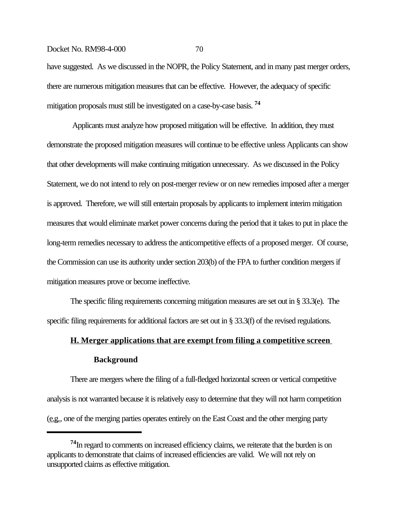have suggested. As we discussed in the NOPR, the Policy Statement, and in many past merger orders, there are numerous mitigation measures that can be effective. However, the adequacy of specific mitigation proposals must still be investigated on a case-by-case basis. **<sup>74</sup>**

 Applicants must analyze how proposed mitigation will be effective. In addition, they must demonstrate the proposed mitigation measures will continue to be effective unless Applicants can show that other developments will make continuing mitigation unnecessary. As we discussed in the Policy Statement, we do not intend to rely on post-merger review or on new remedies imposed after a merger is approved. Therefore, we will still entertain proposals by applicants to implement interim mitigation measures that would eliminate market power concerns during the period that it takes to put in place the long-term remedies necessary to address the anticompetitive effects of a proposed merger. Of course, the Commission can use its authority under section 203(b) of the FPA to further condition mergers if mitigation measures prove or become ineffective.

The specific filing requirements concerning mitigation measures are set out in § 33.3(e). The specific filing requirements for additional factors are set out in § 33.3(f) of the revised regulations.

## **H. Merger applications that are exempt from filing a competitive screen Background**

There are mergers where the filing of a full-fledged horizontal screen or vertical competitive analysis is not warranted because it is relatively easy to determine that they will not harm competition (e.g., one of the merging parties operates entirely on the East Coast and the other merging party

**<sup>74</sup>**In regard to comments on increased efficiency claims, we reiterate that the burden is on applicants to demonstrate that claims of increased efficiencies are valid. We will not rely on unsupported claims as effective mitigation.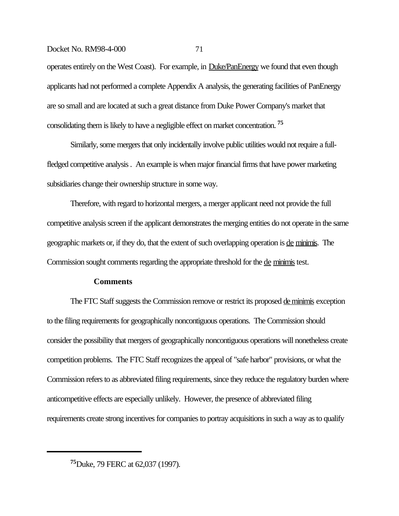operates entirely on the West Coast). For example, in Duke/PanEnergy we found that even though applicants had not performed a complete Appendix A analysis, the generating facilities of PanEnergy are so small and are located at such a great distance from Duke Power Company's market that consolidating them is likely to have a negligible effect on market concentration. **<sup>75</sup>**

Similarly, some mergers that only incidentally involve public utilities would not require a fullfledged competitive analysis . An example is when major financial firms that have power marketing subsidiaries change their ownership structure in some way.

Therefore, with regard to horizontal mergers, a merger applicant need not provide the full competitive analysis screen if the applicant demonstrates the merging entities do not operate in the same geographic markets or, if they do, that the extent of such overlapping operation is de minimis. The Commission sought comments regarding the appropriate threshold for the de minimis test.

## **Comments**

The FTC Staff suggests the Commission remove or restrict its proposed de minimis exception to the filing requirements for geographically noncontiguous operations. The Commission should consider the possibility that mergers of geographically noncontiguous operations will nonetheless create competition problems. The FTC Staff recognizes the appeal of "safe harbor" provisions, or what the Commission refers to as abbreviated filing requirements, since they reduce the regulatory burden where anticompetitive effects are especially unlikely. However, the presence of abbreviated filing requirements create strong incentives for companies to portray acquisitions in such a way as to qualify

**<sup>75</sup>**Duke, 79 FERC at 62,037 (1997).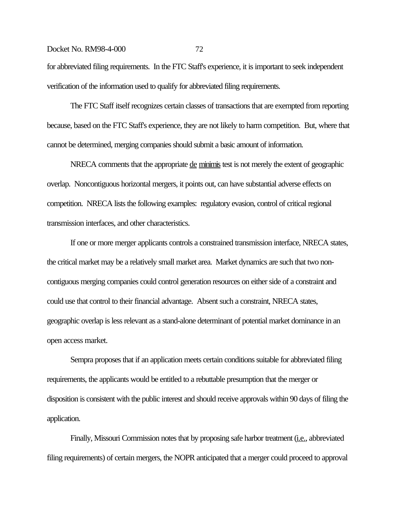for abbreviated filing requirements. In the FTC Staff's experience, it is important to seek independent verification of the information used to qualify for abbreviated filing requirements.

The FTC Staff itself recognizes certain classes of transactions that are exempted from reporting because, based on the FTC Staff's experience, they are not likely to harm competition. But, where that cannot be determined, merging companies should submit a basic amount of information.

NRECA comments that the appropriate <u>de minimis</u> test is not merely the extent of geographic overlap. Noncontiguous horizontal mergers, it points out, can have substantial adverse effects on competition. NRECA lists the following examples: regulatory evasion, control of critical regional transmission interfaces, and other characteristics.

If one or more merger applicants controls a constrained transmission interface, NRECA states, the critical market may be a relatively small market area. Market dynamics are such that two noncontiguous merging companies could control generation resources on either side of a constraint and could use that control to their financial advantage. Absent such a constraint, NRECA states, geographic overlap is less relevant as a stand-alone determinant of potential market dominance in an open access market.

Sempra proposes that if an application meets certain conditions suitable for abbreviated filing requirements, the applicants would be entitled to a rebuttable presumption that the merger or disposition is consistent with the public interest and should receive approvals within 90 days of filing the application.

Finally, Missouri Commission notes that by proposing safe harbor treatment (i.e., abbreviated filing requirements) of certain mergers, the NOPR anticipated that a merger could proceed to approval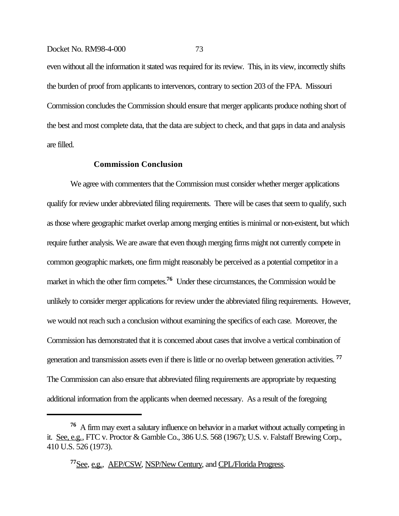even without all the information it stated was required for its review. This, in its view, incorrectly shifts the burden of proof from applicants to intervenors, contrary to section 203 of the FPA. Missouri Commission concludes the Commission should ensure that merger applicants produce nothing short of the best and most complete data, that the data are subject to check, and that gaps in data and analysis are filled.

## **Commission Conclusion**

We agree with commenters that the Commission must consider whether merger applications qualify for review under abbreviated filing requirements. There will be cases that seem to qualify, such as those where geographic market overlap among merging entities is minimal or non-existent, but which require further analysis. We are aware that even though merging firms might not currently compete in common geographic markets, one firm might reasonably be perceived as a potential competitor in a market in which the other firm competes.<sup>76</sup> Under these circumstances, the Commission would be unlikely to consider merger applications for review under the abbreviated filing requirements. However, we would not reach such a conclusion without examining the specifics of each case. Moreover, the Commission has demonstrated that it is concerned about cases that involve a vertical combination of generation and transmission assets even if there is little or no overlap between generation activities. **<sup>77</sup>** The Commission can also ensure that abbreviated filing requirements are appropriate by requesting additional information from the applicants when deemed necessary. As a result of the foregoing

**<sup>76</sup>** A firm may exert a salutary influence on behavior in a market without actually competing in it. See, e.g., FTC v. Proctor & Gamble Co., 386 U.S. 568 (1967); U.S. v. Falstaff Brewing Corp., 410 U.S. 526 (1973).

**<sup>77</sup>**See, e.g., AEP/CSW, NSP/New Century, and CPL/Florida Progress.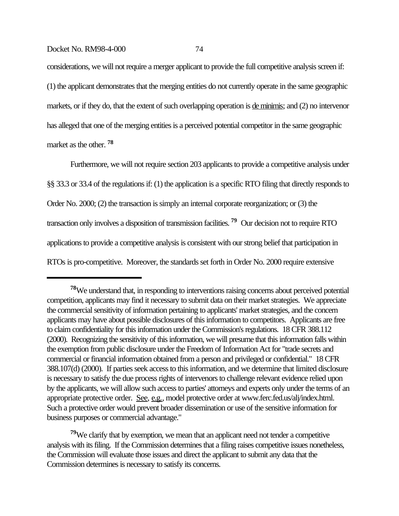considerations, we will not require a merger applicant to provide the full competitive analysis screen if: (1) the applicant demonstrates that the merging entities do not currently operate in the same geographic markets, or if they do, that the extent of such overlapping operation is de minimis; and (2) no intervenor has alleged that one of the merging entities is a perceived potential competitor in the same geographic market as the other. **<sup>78</sup>**

Furthermore, we will not require section 203 applicants to provide a competitive analysis under §§ 33.3 or 33.4 of the regulations if: (1) the application is a specific RTO filing that directly responds to Order No. 2000; (2) the transaction is simply an internal corporate reorganization; or (3) the transaction only involves a disposition of transmission facilities. **79** Our decision not to require RTO applications to provide a competitive analysis is consistent with our strong belief that participation in RTOs is pro-competitive. Moreover, the standards set forth in Order No. 2000 require extensive

**<sup>78</sup>**We understand that, in responding to interventions raising concerns about perceived potential competition, applicants may find it necessary to submit data on their market strategies. We appreciate the commercial sensitivity of information pertaining to applicants' market strategies, and the concern applicants may have about possible disclosures of this information to competitors. Applicants are free to claim confidentiality for this information under the Commission's regulations. 18 CFR 388.112 (2000). Recognizing the sensitivity of this information, we will presume that this information falls within the exemption from public disclosure under the Freedom of Information Act for "trade secrets and commercial or financial information obtained from a person and privileged or confidential." 18 CFR 388.107(d) (2000). If parties seek access to this information, and we determine that limited disclosure is necessary to satisfy the due process rights of intervenors to challenge relevant evidence relied upon by the applicants, we will allow such access to parties' attorneys and experts only under the terms of an appropriate protective order. See, e.g., model protective order at www.ferc.fed.us/alj/index.html. Such a protective order would prevent broader dissemination or use of the sensitive information for business purposes or commercial advantage."

**<sup>79</sup>**We clarify that by exemption, we mean that an applicant need not tender a competitive analysis with its filing. If the Commission determines that a filing raises competitive issues nonetheless, the Commission will evaluate those issues and direct the applicant to submit any data that the Commission determines is necessary to satisfy its concerns.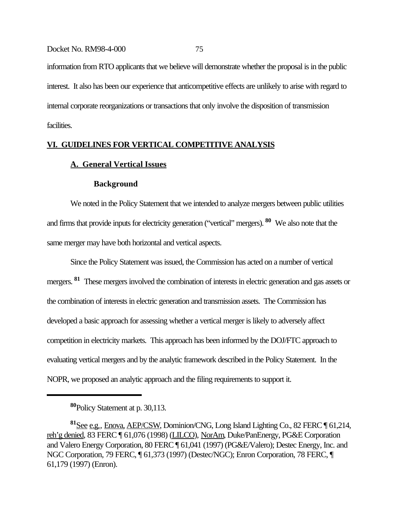information from RTO applicants that we believe will demonstrate whether the proposal is in the public interest. It also has been our experience that anticompetitive effects are unlikely to arise with regard to internal corporate reorganizations or transactions that only involve the disposition of transmission facilities.

## **VI. GUIDELINES FOR VERTICAL COMPETITIVE ANALYSIS**

## **A. General Vertical Issues**

#### **Background**

We noted in the Policy Statement that we intended to analyze mergers between public utilities and firms that provide inputs for electricity generation ("vertical" mergers). **80** We also note that the same merger may have both horizontal and vertical aspects.

Since the Policy Statement was issued, the Commission has acted on a number of vertical mergers. <sup>81</sup> These mergers involved the combination of interests in electric generation and gas assets or the combination of interests in electric generation and transmission assets. The Commission has developed a basic approach for assessing whether a vertical merger is likely to adversely affect competition in electricity markets. This approach has been informed by the DOJ/FTC approach to evaluating vertical mergers and by the analytic framework described in the Policy Statement. In the NOPR, we proposed an analytic approach and the filing requirements to support it.

**<sup>80</sup>**Policy Statement at p. 30,113.

**<sup>81</sup>**See e.g., Enova, AEP/CSW, Dominion/CNG, Long Island Lighting Co., 82 FERC ¶ 61,214, reh'g denied, 83 FERC ¶ 61,076 (1998) (LILCO), NorAm, Duke/PanEnergy, PG&E Corporation and Valero Energy Corporation, 80 FERC ¶ 61,041 (1997) (PG&E/Valero); Destec Energy, Inc. and NGC Corporation, 79 FERC, ¶ 61,373 (1997) (Destec/NGC); Enron Corporation, 78 FERC, ¶ 61,179 (1997) (Enron).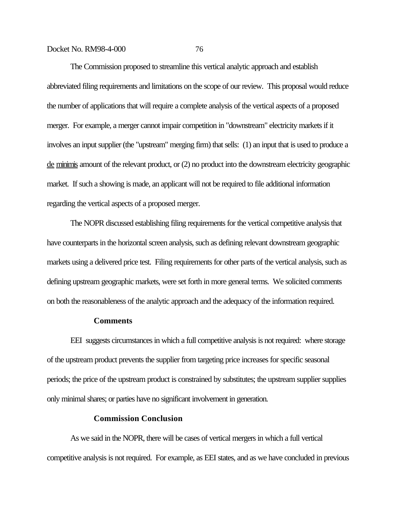The Commission proposed to streamline this vertical analytic approach and establish abbreviated filing requirements and limitations on the scope of our review. This proposal would reduce the number of applications that will require a complete analysis of the vertical aspects of a proposed merger. For example, a merger cannot impair competition in "downstream" electricity markets if it involves an input supplier (the "upstream" merging firm) that sells: (1) an input that is used to produce a de minimis amount of the relevant product, or (2) no product into the downstream electricity geographic market. If such a showing is made, an applicant will not be required to file additional information regarding the vertical aspects of a proposed merger.

The NOPR discussed establishing filing requirements for the vertical competitive analysis that have counterparts in the horizontal screen analysis, such as defining relevant downstream geographic markets using a delivered price test. Filing requirements for other parts of the vertical analysis, such as defining upstream geographic markets, were set forth in more general terms. We solicited comments on both the reasonableness of the analytic approach and the adequacy of the information required.

## **Comments**

EEI suggests circumstances in which a full competitive analysis is not required: where storage of the upstream product prevents the supplier from targeting price increases for specific seasonal periods; the price of the upstream product is constrained by substitutes; the upstream supplier supplies only minimal shares; or parties have no significant involvement in generation.

#### **Commission Conclusion**

As we said in the NOPR, there will be cases of vertical mergers in which a full vertical competitive analysis is not required. For example, as EEI states, and as we have concluded in previous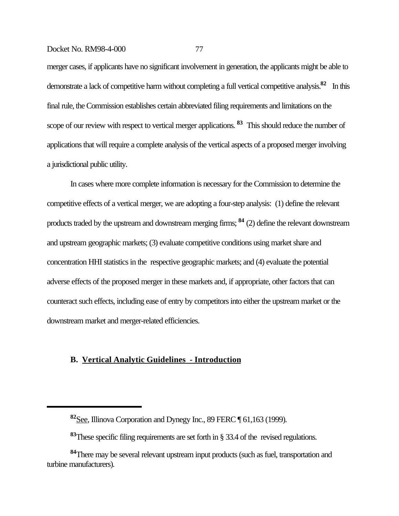merger cases, if applicants have no significant involvement in generation, the applicants might be able to demonstrate a lack of competitive harm without completing a full vertical competitive analysis.**82** In this final rule, the Commission establishes certain abbreviated filing requirements and limitations on the scope of our review with respect to vertical merger applications. **83** This should reduce the number of applications that will require a complete analysis of the vertical aspects of a proposed merger involving a jurisdictional public utility.

In cases where more complete information is necessary for the Commission to determine the competitive effects of a vertical merger, we are adopting a four-step analysis: (1) define the relevant products traded by the upstream and downstream merging firms; **84** (2) define the relevant downstream and upstream geographic markets; (3) evaluate competitive conditions using market share and concentration HHI statistics in the respective geographic markets; and (4) evaluate the potential adverse effects of the proposed merger in these markets and, if appropriate, other factors that can counteract such effects, including ease of entry by competitors into either the upstream market or the downstream market and merger-related efficiencies.

## **B. Vertical Analytic Guidelines - Introduction**

**<sup>82</sup>**See, Illinova Corporation and Dynegy Inc., 89 FERC ¶ 61,163 (1999).

**<sup>83</sup>**These specific filing requirements are set forth in § 33.4 of the revised regulations.

**<sup>84</sup>**There may be several relevant upstream input products (such as fuel, transportation and turbine manufacturers).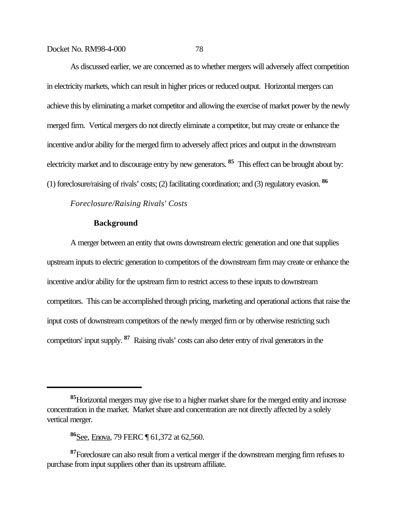As discussed earlier, we are concerned as to whether mergers will adversely affect competition in electricity markets, which can result in higher prices or reduced output. Horizontal mergers can achieve this by eliminating a market competitor and allowing the exercise of market power by the newly merged firm. Vertical mergers do not directly eliminate a competitor, but may create or enhance the incentive and/or ability for the merged firm to adversely affect prices and output in the downstream electricity market and to discourage entry by new generators. **85** This effect can be brought about by: (1) foreclosure/raising of rivals' costs; (2) facilitating coordination; and (3) regulatory evasion. **<sup>86</sup>**

## *Foreclosure/Raising Rivals' Costs*

#### **Background**

A merger between an entity that owns downstream electric generation and one that supplies upstream inputs to electric generation to competitors of the downstream firm may create or enhance the incentive and/or ability for the upstream firm to restrict access to these inputs to downstream competitors. This can be accomplished through pricing, marketing and operational actions that raise the input costs of downstream competitors of the newly merged firm or by otherwise restricting such competitors' input supply. **87** Raising rivals' costs can also deter entry of rival generators in the

**<sup>85</sup>**Horizontal mergers may give rise to a higher market share for the merged entity and increase concentration in the market. Market share and concentration are not directly affected by a solely vertical merger.

**<sup>86</sup>**See, Enova, 79 FERC ¶ 61,372 at 62,560.

**<sup>87</sup>**Foreclosure can also result from a vertical merger if the downstream merging firm refuses to purchase from input suppliers other than its upstream affiliate.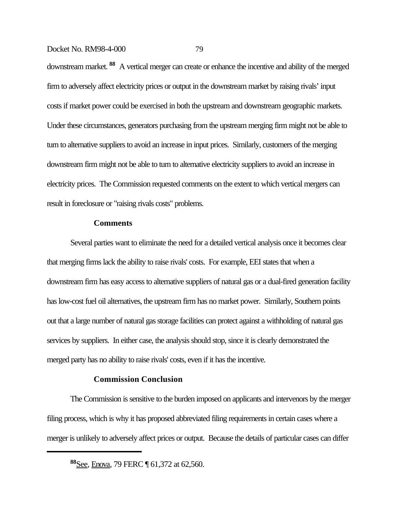downstream market. **88** A vertical merger can create or enhance the incentive and ability of the merged firm to adversely affect electricity prices or output in the downstream market by raising rivals' input costs if market power could be exercised in both the upstream and downstream geographic markets. Under these circumstances, generators purchasing from the upstream merging firm might not be able to turn to alternative suppliers to avoid an increase in input prices. Similarly, customers of the merging downstream firm might not be able to turn to alternative electricity suppliers to avoid an increase in electricity prices. The Commission requested comments on the extent to which vertical mergers can result in foreclosure or "raising rivals costs" problems.

## **Comments**

Several parties want to eliminate the need for a detailed vertical analysis once it becomes clear that merging firms lack the ability to raise rivals' costs. For example, EEI states that when a downstream firm has easy access to alternative suppliers of natural gas or a dual-fired generation facility has low-cost fuel oil alternatives, the upstream firm has no market power. Similarly, Southern points out that a large number of natural gas storage facilities can protect against a withholding of natural gas services by suppliers. In either case, the analysis should stop, since it is clearly demonstrated the merged party has no ability to raise rivals' costs, even if it has the incentive.

#### **Commission Conclusion**

The Commission is sensitive to the burden imposed on applicants and intervenors by the merger filing process, which is why it has proposed abbreviated filing requirements in certain cases where a merger is unlikely to adversely affect prices or output. Because the details of particular cases can differ

**<sup>88</sup>**See, Enova, 79 FERC ¶ 61,372 at 62,560.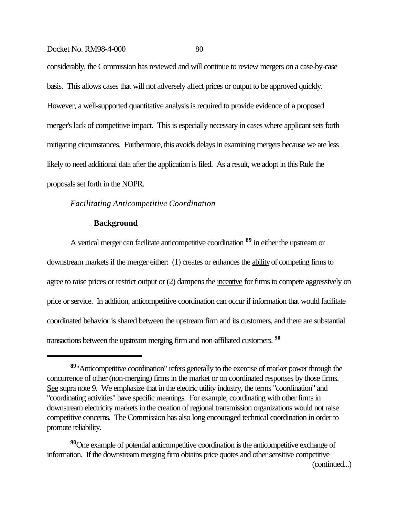considerably, the Commission has reviewed and will continue to review mergers on a case-by-case basis. This allows cases that will not adversely affect prices or output to be approved quickly. However, a well-supported quantitative analysis is required to provide evidence of a proposed merger's lack of competitive impact. This is especially necessary in cases where applicant sets forth mitigating circumstances. Furthermore, this avoids delays in examining mergers because we are less likely to need additional data after the application is filed. As a result, we adopt in this Rule the proposals set forth in the NOPR.

## *Facilitating Anticompetitive Coordination*

## **Background**

A vertical merger can facilitate anticompetitive coordination **89** in either the upstream or downstream markets if the merger either: (1) creates or enhances the ability of competing firms to agree to raise prices or restrict output or (2) dampens the <u>incentive</u> for firms to compete aggressively on price or service. In addition, anticompetitive coordination can occur if information that would facilitate coordinated behavior is shared between the upstream firm and its customers, and there are substantial transactions between the upstream merging firm and non-affiliated customers. **<sup>90</sup>**

(continued...)

**<sup>89</sup>**"Anticompetitive coordination" refers generally to the exercise of market power through the concurrence of other (non-merging) firms in the market or on coordinated responses by those firms. See supra note 9. We emphasize that in the electric utility industry, the terms "coordination" and "coordinating activities" have specific meanings. For example, coordinating with other firms in downstream electricity markets in the creation of regional transmission organizations would not raise competitive concerns. The Commission has also long encouraged technical coordination in order to promote reliability.

**<sup>90</sup>**One example of potential anticompetitive coordination is the anticompetitive exchange of information. If the downstream merging firm obtains price quotes and other sensitive competitive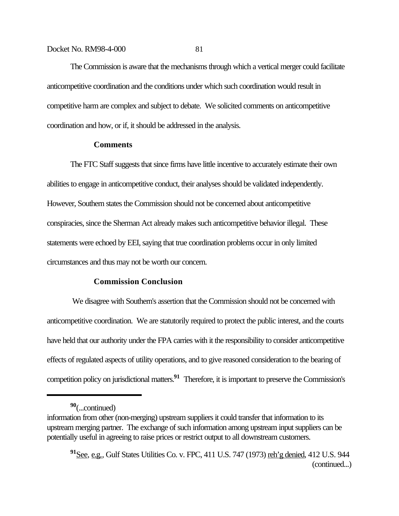The Commission is aware that the mechanisms through which a vertical merger could facilitate anticompetitive coordination and the conditions under which such coordination would result in competitive harm are complex and subject to debate. We solicited comments on anticompetitive coordination and how, or if, it should be addressed in the analysis.

## **Comments**

The FTC Staff suggests that since firms have little incentive to accurately estimate their own abilities to engage in anticompetitive conduct, their analyses should be validated independently. However, Southern states the Commission should not be concerned about anticompetitive conspiracies, since the Sherman Act already makes such anticompetitive behavior illegal. These statements were echoed by EEI, saying that true coordination problems occur in only limited circumstances and thus may not be worth our concern.

## **Commission Conclusion**

 We disagree with Southern's assertion that the Commission should not be concerned with anticompetitive coordination. We are statutorily required to protect the public interest, and the courts have held that our authority under the FPA carries with it the responsibility to consider anticompetitive effects of regulated aspects of utility operations, and to give reasoned consideration to the bearing of competition policy on jurisdictional matters.**91** Therefore, it is important to preserve the Commission's

**<sup>90</sup>**(...continued)

information from other (non-merging) upstream suppliers it could transfer that information to its upstream merging partner. The exchange of such information among upstream input suppliers can be potentially useful in agreeing to raise prices or restrict output to all downstream customers.

**<sup>91</sup>**See, e.g., Gulf States Utilities Co. v. FPC, 411 U.S. 747 (1973) reh'g denied, 412 U.S. 944 (continued...)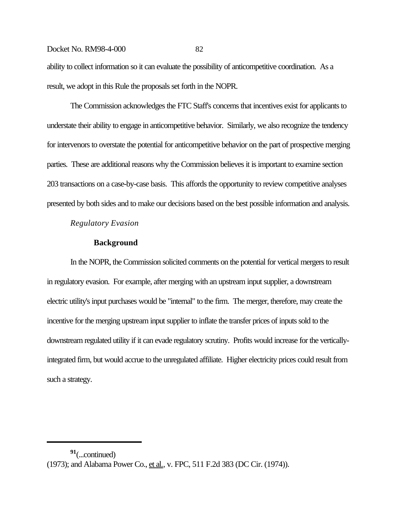ability to collect information so it can evaluate the possibility of anticompetitive coordination. As a result, we adopt in this Rule the proposals set forth in the NOPR.

The Commission acknowledges the FTC Staff's concerns that incentives exist for applicants to understate their ability to engage in anticompetitive behavior. Similarly, we also recognize the tendency for intervenors to overstate the potential for anticompetitive behavior on the part of prospective merging parties. These are additional reasons why the Commission believes it is important to examine section 203 transactions on a case-by-case basis. This affords the opportunity to review competitive analyses presented by both sides and to make our decisions based on the best possible information and analysis.

*Regulatory Evasion*

#### **Background**

In the NOPR, the Commission solicited comments on the potential for vertical mergers to result in regulatory evasion. For example, after merging with an upstream input supplier, a downstream electric utility's input purchases would be "internal" to the firm. The merger, therefore, may create the incentive for the merging upstream input supplier to inflate the transfer prices of inputs sold to the downstream regulated utility if it can evade regulatory scrutiny. Profits would increase for the verticallyintegrated firm, but would accrue to the unregulated affiliate. Higher electricity prices could result from such a strategy.

**<sup>91</sup>**(...continued) (1973); and Alabama Power Co., et al., v. FPC, 511 F.2d 383 (DC Cir. (1974)).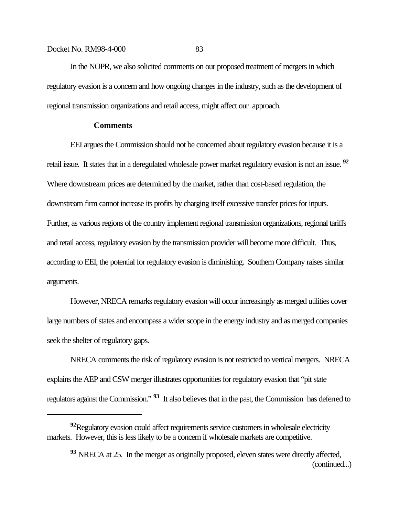In the NOPR, we also solicited comments on our proposed treatment of mergers in which regulatory evasion is a concern and how ongoing changes in the industry, such as the development of regional transmission organizations and retail access, might affect our approach.

## **Comments**

EEI argues the Commission should not be concerned about regulatory evasion because it is a retail issue. It states that in a deregulated wholesale power market regulatory evasion is not an issue. **<sup>92</sup>** Where downstream prices are determined by the market, rather than cost-based regulation, the downstream firm cannot increase its profits by charging itself excessive transfer prices for inputs. Further, as various regions of the country implement regional transmission organizations, regional tariffs and retail access, regulatory evasion by the transmission provider will become more difficult. Thus, according to EEI, the potential for regulatory evasion is diminishing. Southern Company raises similar arguments.

However, NRECA remarks regulatory evasion will occur increasingly as merged utilities cover large numbers of states and encompass a wider scope in the energy industry and as merged companies seek the shelter of regulatory gaps.

NRECA comments the risk of regulatory evasion is not restricted to vertical mergers. NRECA explains the AEP and CSW merger illustrates opportunities for regulatory evasion that "pit state regulators against the Commission." **93** It also believes that in the past, the Commission has deferred to

**<sup>92</sup>**Regulatory evasion could affect requirements service customers in wholesale electricity markets. However, this is less likely to be a concern if wholesale markets are competitive.

**<sup>93</sup>** NRECA at 25. In the merger as originally proposed, eleven states were directly affected, (continued...)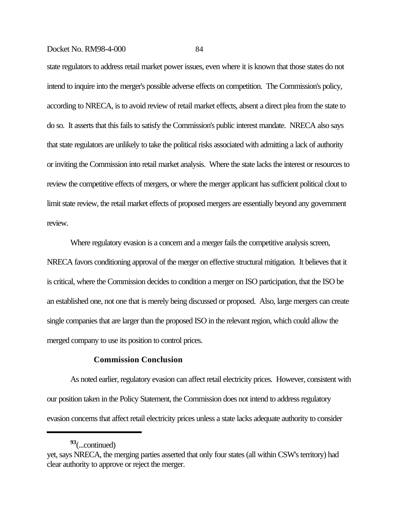state regulators to address retail market power issues, even where it is known that those states do not intend to inquire into the merger's possible adverse effects on competition. The Commission's policy, according to NRECA, is to avoid review of retail market effects, absent a direct plea from the state to do so. It asserts that this fails to satisfy the Commission's public interest mandate. NRECA also says that state regulators are unlikely to take the political risks associated with admitting a lack of authority or inviting the Commission into retail market analysis. Where the state lacks the interest or resources to review the competitive effects of mergers, or where the merger applicant has sufficient political clout to limit state review, the retail market effects of proposed mergers are essentially beyond any government review.

Where regulatory evasion is a concern and a merger fails the competitive analysis screen, NRECA favors conditioning approval of the merger on effective structural mitigation. It believes that it is critical, where the Commission decides to condition a merger on ISO participation, that the ISO be an established one, not one that is merely being discussed or proposed. Also, large mergers can create single companies that are larger than the proposed ISO in the relevant region, which could allow the merged company to use its position to control prices.

## **Commission Conclusion**

As noted earlier, regulatory evasion can affect retail electricity prices. However, consistent with our position taken in the Policy Statement, the Commission does not intend to address regulatory evasion concerns that affect retail electricity prices unless a state lacks adequate authority to consider

**<sup>93</sup>**(...continued)

yet, says NRECA, the merging parties asserted that only four states (all within CSW's territory) had clear authority to approve or reject the merger.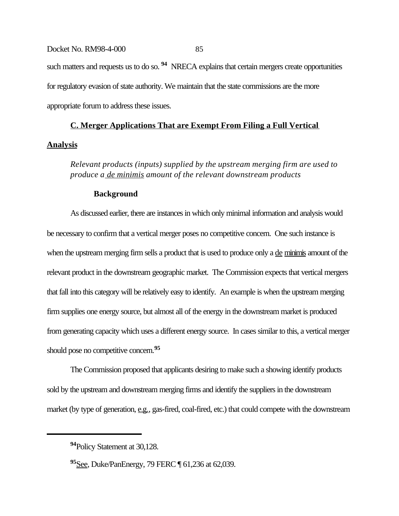# Docket No. RM98-4-000 85 such matters and requests us to do so. <sup>94</sup> NRECA explains that certain mergers create opportunities for regulatory evasion of state authority. We maintain that the state commissions are the more appropriate forum to address these issues.

## **C. Merger Applications That are Exempt From Filing a Full Vertical Analysis**

*Relevant products (inputs) supplied by the upstream merging firm are used to produce a de minimis amount of the relevant downstream products* 

## **Background**

As discussed earlier, there are instances in which only minimal information and analysis would be necessary to confirm that a vertical merger poses no competitive concern. One such instance is when the upstream merging firm sells a product that is used to produce only a <u>de minimis</u> amount of the relevant product in the downstream geographic market. The Commission expects that vertical mergers that fall into this category will be relatively easy to identify. An example is when the upstream merging firm supplies one energy source, but almost all of the energy in the downstream market is produced from generating capacity which uses a different energy source. In cases similar to this, a vertical merger should pose no competitive concern.**<sup>95</sup>**

The Commission proposed that applicants desiring to make such a showing identify products sold by the upstream and downstream merging firms and identify the suppliers in the downstream market (by type of generation, e.g., gas-fired, coal-fired, etc.) that could compete with the downstream

**<sup>94</sup>**Policy Statement at 30,128.

**<sup>95</sup>**See, Duke/PanEnergy, 79 FERC ¶ 61,236 at 62,039.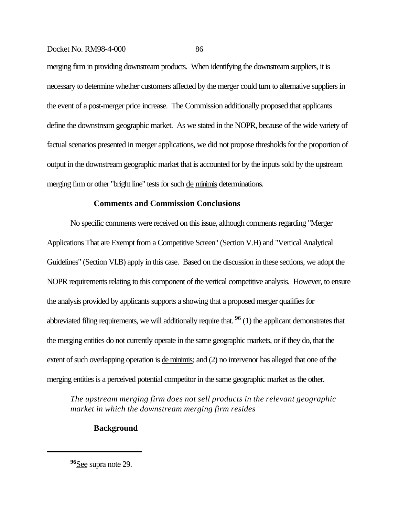merging firm in providing downstream products. When identifying the downstream suppliers, it is necessary to determine whether customers affected by the merger could turn to alternative suppliers in the event of a post-merger price increase. The Commission additionally proposed that applicants define the downstream geographic market. As we stated in the NOPR, because of the wide variety of factual scenarios presented in merger applications, we did not propose thresholds for the proportion of output in the downstream geographic market that is accounted for by the inputs sold by the upstream merging firm or other "bright line" tests for such de minimis determinations.

#### **Comments and Commission Conclusions**

No specific comments were received on this issue, although comments regarding "Merger Applications That are Exempt from a Competitive Screen" (Section V.H) and "Vertical Analytical Guidelines" (Section VI.B) apply in this case.Based on the discussion in these sections, we adopt the NOPR requirements relating to this component of the vertical competitive analysis. However, to ensure the analysis provided by applicants supports a showing that a proposed merger qualifies for abbreviated filing requirements, we will additionally require that. **96** (1) the applicant demonstrates that the merging entities do not currently operate in the same geographic markets, or if they do, that the extent of such overlapping operation is <u>de minimis</u>; and (2) no intervenor has alleged that one of the merging entities is a perceived potential competitor in the same geographic market as the other.

*The upstream merging firm does not sell products in the relevant geographic market in which the downstream merging firm resides*

## **Background**

**<sup>96</sup>**See supra note 29.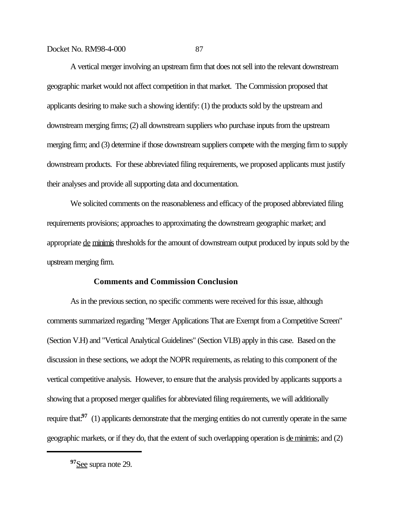A vertical merger involving an upstream firm that does not sell into the relevant downstream geographic market would not affect competition in that market. The Commission proposed that applicants desiring to make such a showing identify: (1) the products sold by the upstream and downstream merging firms; (2) all downstream suppliers who purchase inputs from the upstream merging firm; and (3) determine if those downstream suppliers compete with the merging firm to supply downstream products. For these abbreviated filing requirements, we proposed applicants must justify their analyses and provide all supporting data and documentation.

We solicited comments on the reasonableness and efficacy of the proposed abbreviated filing requirements provisions; approaches to approximating the downstream geographic market; and appropriate de minimis thresholds for the amount of downstream output produced by inputs sold by the upstream merging firm.

## **Comments and Commission Conclusion**

As in the previous section, no specific comments were received for this issue, although comments summarized regarding "Merger Applications That are Exempt from a Competitive Screen" (Section V.H) and "Vertical Analytical Guidelines" (Section VI.B) apply in this case. Based on the discussion in these sections, we adopt the NOPR requirements, as relating to this component of the vertical competitive analysis. However, to ensure that the analysis provided by applicants supports a showing that a proposed merger qualifies for abbreviated filing requirements, we will additionally require that:<sup>97</sup> (1) applicants demonstrate that the merging entities do not currently operate in the same geographic markets, or if they do, that the extent of such overlapping operation is <u>de minimis</u>; and (2)

**<sup>97</sup>**See supra note 29.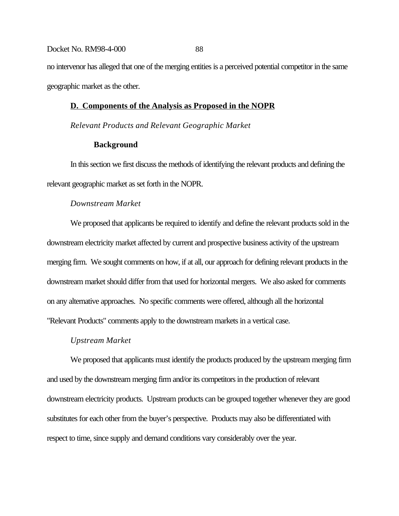no intervenor has alleged that one of the merging entities is a perceived potential competitor in the same geographic market as the other.

## **D. Components of the Analysis as Proposed in the NOPR**

*Relevant Products and Relevant Geographic Market*

## **Background**

In this section we first discuss the methods of identifying the relevant products and defining the relevant geographic market as set forth in the NOPR.

## *Downstream Market*

We proposed that applicants be required to identify and define the relevant products sold in the downstream electricity market affected by current and prospective business activity of the upstream merging firm. We sought comments on how, if at all, our approach for defining relevant products in the downstream market should differ from that used for horizontal mergers. We also asked for comments on any alternative approaches. No specific comments were offered, although all the horizontal "Relevant Products" comments apply to the downstream markets in a vertical case.

#### *Upstream Market*

We proposed that applicants must identify the products produced by the upstream merging firm and used by the downstream merging firm and/or its competitors in the production of relevant downstream electricity products. Upstream products can be grouped together whenever they are good substitutes for each other from the buyer's perspective. Products may also be differentiated with respect to time, since supply and demand conditions vary considerably over the year.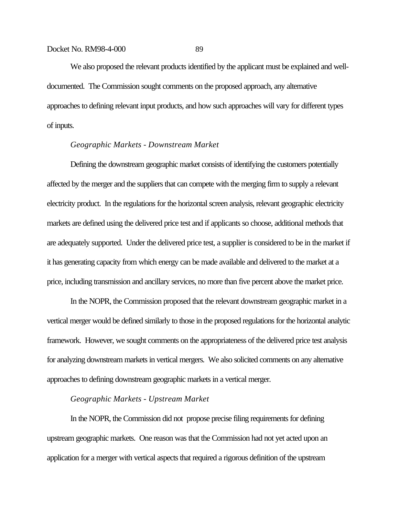We also proposed the relevant products identified by the applicant must be explained and welldocumented. The Commission sought comments on the proposed approach, any alternative approaches to defining relevant input products, and how such approaches will vary for different types of inputs.

## *Geographic Markets - Downstream Market*

Defining the downstream geographic market consists of identifying the customers potentially affected by the merger and the suppliers that can compete with the merging firm to supply a relevant electricity product. In the regulations for the horizontal screen analysis, relevant geographic electricity markets are defined using the delivered price test and if applicants so choose, additional methods that are adequately supported. Under the delivered price test, a supplier is considered to be in the market if it has generating capacity from which energy can be made available and delivered to the market at a price, including transmission and ancillary services, no more than five percent above the market price.

In the NOPR, the Commission proposed that the relevant downstream geographic market in a vertical merger would be defined similarly to those in the proposed regulations for the horizontal analytic framework. However, we sought comments on the appropriateness of the delivered price test analysis for analyzing downstream markets in vertical mergers. We also solicited comments on any alternative approaches to defining downstream geographic markets in a vertical merger.

## *Geographic Markets - Upstream Market*

In the NOPR, the Commission did not propose precise filing requirements for defining upstream geographic markets. One reason was that the Commission had not yet acted upon an application for a merger with vertical aspects that required a rigorous definition of the upstream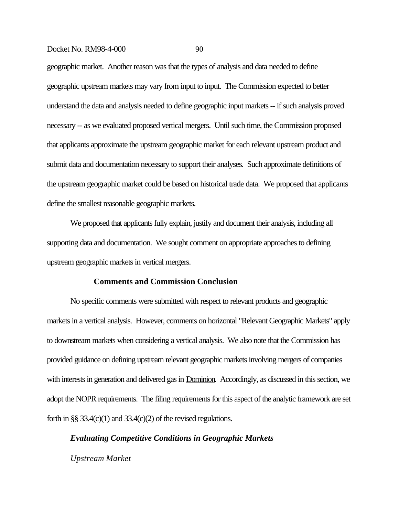geographic market. Another reason was that the types of analysis and data needed to define geographic upstream markets may vary from input to input. The Commission expected to better understand the data and analysis needed to define geographic input markets -- if such analysis proved necessary -- as we evaluated proposed vertical mergers. Until such time, the Commission proposed that applicants approximate the upstream geographic market for each relevant upstream product and submit data and documentation necessary to support their analyses. Such approximate definitions of the upstream geographic market could be based on historical trade data. We proposed that applicants define the smallest reasonable geographic markets.

We proposed that applicants fully explain, justify and document their analysis, including all supporting data and documentation. We sought comment on appropriate approaches to defining upstream geographic markets in vertical mergers.

## **Comments and Commission Conclusion**

No specific comments were submitted with respect to relevant products and geographic markets in a vertical analysis. However, comments on horizontal "Relevant Geographic Markets" apply to downstream markets when considering a vertical analysis. We also note that the Commission has provided guidance on defining upstream relevant geographic markets involving mergers of companies with interests in generation and delivered gas in **Dominion**. Accordingly, as discussed in this section, we adopt the NOPR requirements. The filing requirements for this aspect of the analytic framework are set forth in §§ 33.4(c)(1) and 33.4(c)(2) of the revised regulations.

## *Evaluating Competitive Conditions in Geographic Markets*

*Upstream Market*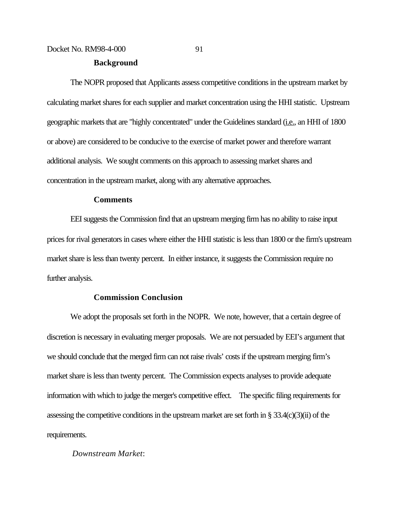## **Background**

The NOPR proposed that Applicants assess competitive conditions in the upstream market by calculating market shares for each supplier and market concentration using the HHI statistic. Upstream geographic markets that are "highly concentrated" under the Guidelines standard (i.e., an HHI of 1800 or above) are considered to be conducive to the exercise of market power and therefore warrant additional analysis. We sought comments on this approach to assessing market shares and concentration in the upstream market, along with any alternative approaches.

## **Comments**

EEI suggests the Commission find that an upstream merging firm has no ability to raise input prices for rival generators in cases where either the HHI statistic is less than 1800 or the firm's upstream market share is less than twenty percent. In either instance, it suggests the Commission require no further analysis.

## **Commission Conclusion**

We adopt the proposals set forth in the NOPR. We note, however, that a certain degree of discretion is necessary in evaluating merger proposals. We are not persuaded by EEI's argument that we should conclude that the merged firm can not raise rivals' costs if the upstream merging firm's market share is less than twenty percent. The Commission expects analyses to provide adequate information with which to judge the merger's competitive effect. The specific filing requirements for assessing the competitive conditions in the upstream market are set forth in § 33.4(c)(3)(ii) of the requirements.

#### *Downstream Market*: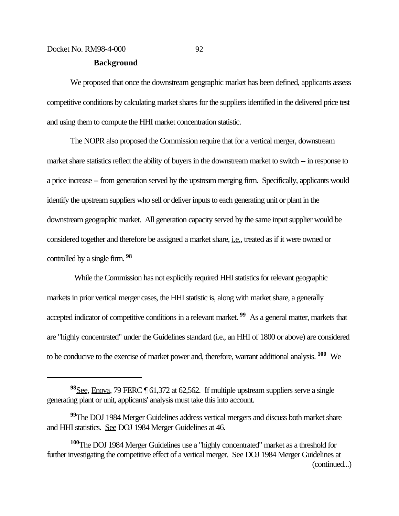### **Background**

We proposed that once the downstream geographic market has been defined, applicants assess competitive conditions by calculating market shares for the suppliers identified in the delivered price test and using them to compute the HHI market concentration statistic.

The NOPR also proposed the Commission require that for a vertical merger, downstream market share statistics reflect the ability of buyers in the downstream market to switch -- in response to a price increase -- from generation served by the upstream merging firm. Specifically, applicants would identify the upstream suppliers who sell or deliver inputs to each generating unit or plant in the downstream geographic market. All generation capacity served by the same input supplier would be considered together and therefore be assigned a market share, *i.e.*, treated as if it were owned or controlled by a single firm. **<sup>98</sup>**

 While the Commission has not explicitly required HHI statistics for relevant geographic markets in prior vertical merger cases, the HHI statistic is, along with market share, a generally accepted indicator of competitive conditions in a relevant market. **99** As a general matter, markets that are "highly concentrated" under the Guidelines standard (i.e., an HHI of 1800 or above) are considered to be conducive to the exercise of market power and, therefore, warrant additional analysis. **100** We

**<sup>98</sup>**See, Enova, 79 FERC ¶ 61,372 at 62,562. If multiple upstream suppliers serve a single generating plant or unit, applicants' analysis must take this into account.

**<sup>99</sup>**The DOJ 1984 Merger Guidelines address vertical mergers and discuss both market share and HHI statistics. See DOJ 1984 Merger Guidelines at 46.

**<sup>100</sup>**The DOJ 1984 Merger Guidelines use a "highly concentrated" market as a threshold for further investigating the competitive effect of a vertical merger. See DOJ 1984 Merger Guidelines at (continued...)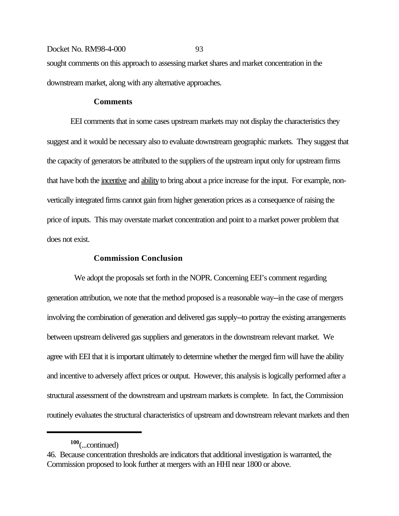## Docket No. RM98-4-000 93 sought comments on this approach to assessing market shares and market concentration in the downstream market, along with any alternative approaches.

### **Comments**

EEI comments that in some cases upstream markets may not display the characteristics they suggest and it would be necessary also to evaluate downstream geographic markets. They suggest that the capacity of generators be attributed to the suppliers of the upstream input only for upstream firms that have both the incentive and ability to bring about a price increase for the input. For example, nonvertically integrated firms cannot gain from higher generation prices as a consequence of raising the price of inputs. This may overstate market concentration and point to a market power problem that does not exist.

## **Commission Conclusion**

 We adopt the proposals set forth in the NOPR. Concerning EEI's comment regarding generation attribution, we note that the method proposed is a reasonable way--in the case of mergers involving the combination of generation and delivered gas supply--to portray the existing arrangements between upstream delivered gas suppliers and generators in the downstream relevant market. We agree with EEI that it is important ultimately to determine whether the merged firm will have the ability and incentive to adversely affect prices or output. However, this analysis is logically performed after a structural assessment of the downstream and upstream markets is complete. In fact, the Commission routinely evaluates the structural characteristics of upstream and downstream relevant markets and then

**<sup>100</sup>**(...continued)

<sup>46.</sup> Because concentration thresholds are indicators that additional investigation is warranted, the Commission proposed to look further at mergers with an HHI near 1800 or above.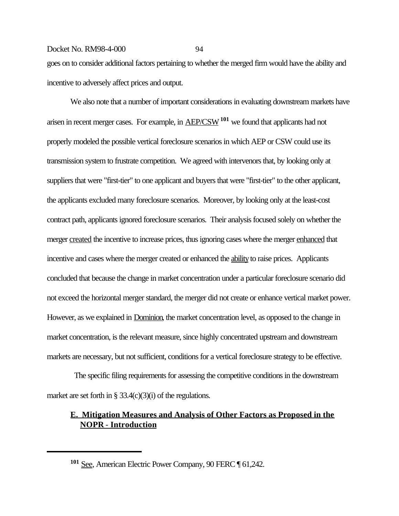goes on to consider additional factors pertaining to whether the merged firm would have the ability and incentive to adversely affect prices and output.

We also note that a number of important considerations in evaluating downstream markets have arisen in recent merger cases. For example, in AEP/CSW**101** we found that applicants had not properly modeled the possible vertical foreclosure scenarios in which AEP or CSW could use its transmission system to frustrate competition. We agreed with intervenors that, by looking only at suppliers that were "first-tier" to one applicant and buyers that were "first-tier" to the other applicant, the applicants excluded many foreclosure scenarios. Moreover, by looking only at the least-cost contract path, applicants ignored foreclosure scenarios. Their analysis focused solely on whether the merger created the incentive to increase prices, thus ignoring cases where the merger enhanced that incentive and cases where the merger created or enhanced the ability to raise prices. Applicants concluded that because the change in market concentration under a particular foreclosure scenario did not exceed the horizontal merger standard, the merger did not create or enhance vertical market power. However, as we explained in Dominion, the market concentration level, as opposed to the change in market concentration, is the relevant measure, since highly concentrated upstream and downstream markets are necessary, but not sufficient, conditions for a vertical foreclosure strategy to be effective.

 The specific filing requirements for assessing the competitive conditions in the downstream market are set forth in  $\S 33.4(c)(3)(i)$  of the regulations.

## **E. Mitigation Measures and Analysis of Other Factors as Proposed in the NOPR** - **Introduction**

**<sup>101</sup>** See, American Electric Power Company, 90 FERC ¶ 61,242.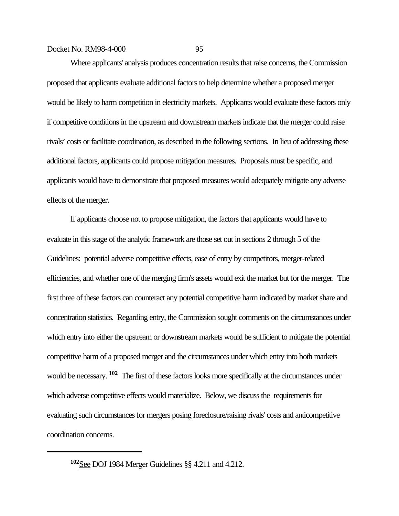Where applicants' analysis produces concentration results that raise concerns, the Commission proposed that applicants evaluate additional factors to help determine whether a proposed merger would be likely to harm competition in electricity markets. Applicants would evaluate these factors only if competitive conditions in the upstream and downstream markets indicate that the merger could raise rivals' costs or facilitate coordination, as described in the following sections. In lieu of addressing these additional factors, applicants could propose mitigation measures. Proposals must be specific, and applicants would have to demonstrate that proposed measures would adequately mitigate any adverse effects of the merger.

If applicants choose not to propose mitigation, the factors that applicants would have to evaluate in this stage of the analytic framework are those set out in sections 2 through 5 of the Guidelines: potential adverse competitive effects, ease of entry by competitors, merger-related efficiencies, and whether one of the merging firm's assets would exit the market but for the merger. The first three of these factors can counteract any potential competitive harm indicated by market share and concentration statistics. Regarding entry, the Commission sought comments on the circumstances under which entry into either the upstream or downstream markets would be sufficient to mitigate the potential competitive harm of a proposed merger and the circumstances under which entry into both markets would be necessary. **102** The first of these factors looks more specifically at the circumstances under which adverse competitive effects would materialize. Below, we discuss the requirements for evaluating such circumstances for mergers posing foreclosure/raising rivals' costs and anticompetitive coordination concerns.

**<sup>102</sup>**See DOJ 1984 Merger Guidelines §§ 4.211 and 4.212.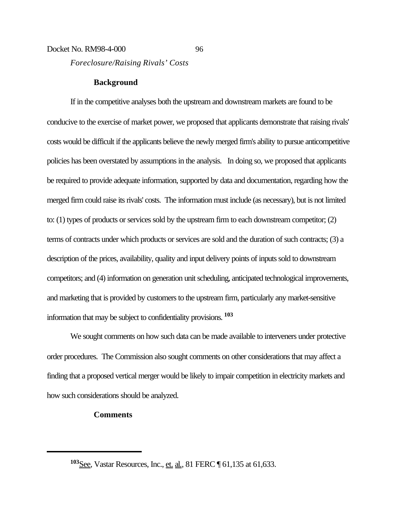## Docket No. RM98-4-000 96 *Foreclosure/Raising Rivals' Costs*

## **Background**

If in the competitive analyses both the upstream and downstream markets are found to be conducive to the exercise of market power, we proposed that applicants demonstrate that raising rivals' costs would be difficult if the applicants believe the newly merged firm's ability to pursue anticompetitive policies has been overstated by assumptions in the analysis. In doing so, we proposed that applicants be required to provide adequate information, supported by data and documentation, regarding how the merged firm could raise its rivals' costs. The information must include (as necessary), but is not limited to: (1) types of products or services sold by the upstream firm to each downstream competitor; (2) terms of contracts under which products or services are sold and the duration of such contracts; (3) a description of the prices, availability, quality and input delivery points of inputs sold to downstream competitors; and (4) information on generation unit scheduling, anticipated technological improvements, and marketing that is provided by customers to the upstream firm, particularly any market-sensitive information that may be subject to confidentiality provisions. **<sup>103</sup>**

We sought comments on how such data can be made available to interveners under protective order procedures. The Commission also sought comments on other considerations that may affect a finding that a proposed vertical merger would be likely to impair competition in electricity markets and how such considerations should be analyzed.

## **Comments**

**<sup>103</sup>**See, Vastar Resources, Inc., et. al., 81 FERC ¶ 61,135 at 61,633.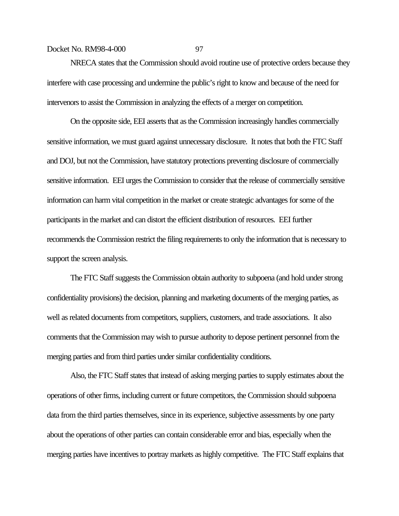NRECA states that the Commission should avoid routine use of protective orders because they interfere with case processing and undermine the public's right to know and because of the need for intervenors to assist the Commission in analyzing the effects of a merger on competition.

On the opposite side, EEI asserts that as the Commission increasingly handles commercially sensitive information, we must guard against unnecessary disclosure. It notes that both the FTC Staff and DOJ, but not the Commission, have statutory protections preventing disclosure of commercially sensitive information. EEI urges the Commission to consider that the release of commercially sensitive information can harm vital competition in the market or create strategic advantages for some of the participants in the market and can distort the efficient distribution of resources. EEI further recommends the Commission restrict the filing requirements to only the information that is necessary to support the screen analysis.

The FTC Staff suggests the Commission obtain authority to subpoena (and hold under strong confidentiality provisions) the decision, planning and marketing documents of the merging parties, as well as related documents from competitors, suppliers, customers, and trade associations. It also comments that the Commission may wish to pursue authority to depose pertinent personnel from the merging parties and from third parties under similar confidentiality conditions.

Also, the FTC Staff states that instead of asking merging parties to supply estimates about the operations of other firms, including current or future competitors, the Commission should subpoena data from the third parties themselves, since in its experience, subjective assessments by one party about the operations of other parties can contain considerable error and bias, especially when the merging parties have incentives to portray markets as highly competitive. The FTC Staff explains that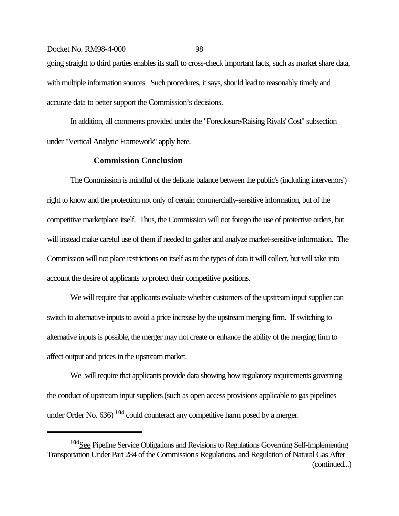Docket No. RM98-4-000 98 going straight to third parties enables its staff to cross-check important facts, such as market share data, with multiple information sources. Such procedures, it says, should lead to reasonably timely and accurate data to better support the Commission's decisions.

In addition, all comments provided under the "Foreclosure/Raising Rivals' Cost" subsection under "Vertical Analytic Framework" apply here.

### **Commission Conclusion**

The Commission is mindful of the delicate balance between the public's (including intervenors') right to know and the protection not only of certain commercially-sensitive information, but of the competitive marketplace itself. Thus, the Commission will not forego the use of protective orders, but will instead make careful use of them if needed to gather and analyze market-sensitive information. The Commission will not place restrictions on itself as to the types of data it will collect, but will take into account the desire of applicants to protect their competitive positions.

We will require that applicants evaluate whether customers of the upstream input supplier can switch to alternative inputs to avoid a price increase by the upstream merging firm. If switching to alternative inputs is possible, the merger may not create or enhance the ability of the merging firm to affect output and prices in the upstream market.

We will require that applicants provide data showing how regulatory requirements governing the conduct of upstream input suppliers (such as open access provisions applicable to gas pipelines under Order No. 636) **104** could counteract any competitive harm posed by a merger.

**<sup>104</sup>**See Pipeline Service Obligations and Revisions to Regulations Governing Self-Implementing Transportation Under Part 284 of the Commission's Regulations, and Regulation of Natural Gas After (continued...)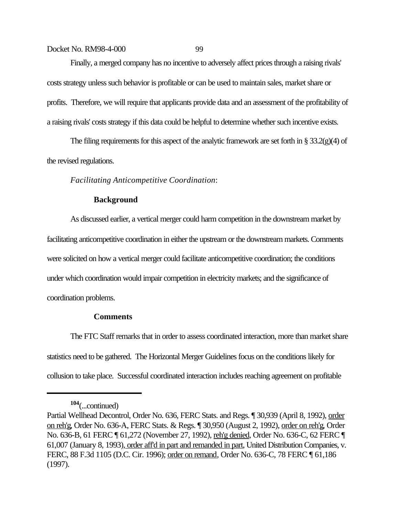Finally, a merged company has no incentive to adversely affect prices through a raising rivals' costs strategy unless such behavior is profitable or can be used to maintain sales, market share or profits. Therefore, we will require that applicants provide data and an assessment of the profitability of a raising rivals' costs strategy if this data could be helpful to determine whether such incentive exists.

The filing requirements for this aspect of the analytic framework are set forth in § 33.2(g)(4) of the revised regulations.

*Facilitating Anticompetitive Coordination*:

## **Background**

As discussed earlier, a vertical merger could harm competition in the downstream market by facilitating anticompetitive coordination in either the upstream or the downstream markets. Comments were solicited on how a vertical merger could facilitate anticompetitive coordination; the conditions under which coordination would impair competition in electricity markets; and the significance of coordination problems.

## **Comments**

The FTC Staff remarks that in order to assess coordinated interaction, more than market share statistics need to be gathered. The Horizontal Merger Guidelines focus on the conditions likely for collusion to take place. Successful coordinated interaction includes reaching agreement on profitable

**<sup>104</sup>**(...continued)

Partial Wellhead Decontrol, Order No. 636, FERC Stats. and Regs. ¶ 30,939 (April 8, 1992), order on reh'g, Order No. 636-A, FERC Stats. & Regs. ¶ 30,950 (August 2, 1992), order on reh'g, Order No. 636-B, 61 FERC ¶ 61,272 (November 27, 1992), reh'g denied, Order No. 636-C, 62 FERC ¶ 61,007 (January 8, 1993), order aff'd in part and remanded in part, United Distribution Companies, v. FERC, 88 F.3d 1105 (D.C. Cir. 1996); order on remand, Order No. 636-C, 78 FERC ¶ 61,186 (1997).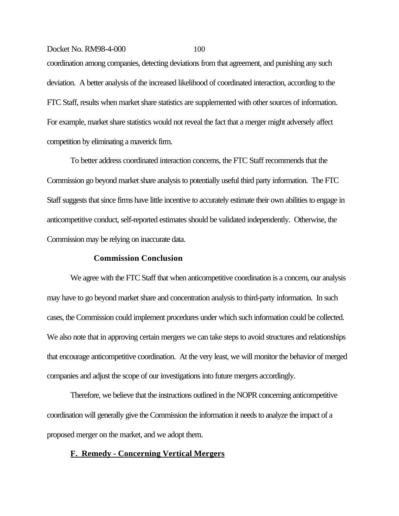coordination among companies, detecting deviations from that agreement, and punishing any such deviation. A better analysis of the increased likelihood of coordinated interaction, according to the FTC Staff, results when market share statistics are supplemented with other sources of information. For example, market share statistics would not reveal the fact that a merger might adversely affect competition by eliminating a maverick firm.

To better address coordinated interaction concerns, the FTC Staff recommends that the Commission go beyond market share analysis to potentially useful third party information. The FTC Staff suggests that since firms have little incentive to accurately estimate their own abilities to engage in anticompetitive conduct, self-reported estimates should be validated independently. Otherwise, the Commission may be relying on inaccurate data.

## **Commission Conclusion**

We agree with the FTC Staff that when anticompetitive coordination is a concern, our analysis may have to go beyond market share and concentration analysis to third-party information. In such cases, the Commission could implement procedures under which such information could be collected. We also note that in approving certain mergers we can take steps to avoid structures and relationships that encourage anticompetitive coordination. At the very least, we will monitor the behavior of merged companies and adjust the scope of our investigations into future mergers accordingly.

Therefore, we believe that the instructions outlined in the NOPR concerning anticompetitive coordination will generally give the Commission the information it needs to analyze the impact of a proposed merger on the market, and we adopt them.

#### **F. Remedy - Concerning Vertical Mergers**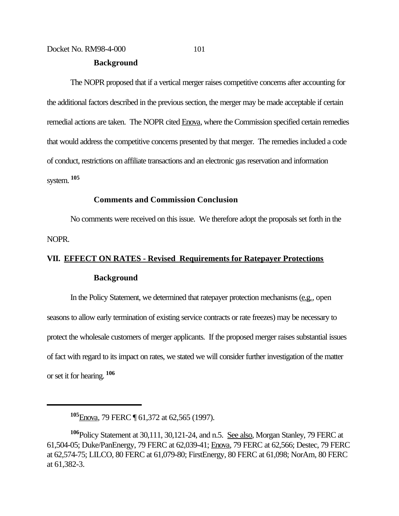#### **Background**

The NOPR proposed that if a vertical merger raises competitive concerns after accounting for the additional factors described in the previous section, the merger may be made acceptable if certain remedial actions are taken. The NOPR cited Enova, where the Commission specified certain remedies that would address the competitive concerns presented by that merger. The remedies included a code of conduct, restrictions on affiliate transactions and an electronic gas reservation and information system. **<sup>105</sup>**

## **Comments and Commission Conclusion**

No comments were received on this issue. We therefore adopt the proposals set forth in the NOPR.

## **VII. EFFECT ON RATES - Revised Requirements for Ratepayer Protections Background**

In the Policy Statement, we determined that ratepayer protection mechanisms (e.g., open seasons to allow early termination of existing service contracts or rate freezes) may be necessary to protect the wholesale customers of merger applicants. If the proposed merger raises substantial issues of fact with regard to its impact on rates, we stated we will consider further investigation of the matter or set it for hearing. **<sup>106</sup>**

**<sup>105</sup>**Enova, 79 FERC ¶ 61,372 at 62,565 (1997).

**<sup>106</sup>**Policy Statement at 30,111, 30,121-24, and n.5. See also, Morgan Stanley, 79 FERC at 61,504-05; Duke/PanEnergy, 79 FERC at 62,039-41; Enova, 79 FERC at 62,566; Destec, 79 FERC at 62,574-75; LILCO, 80 FERC at 61,079-80; FirstEnergy, 80 FERC at 61,098; NorAm, 80 FERC at 61,382-3.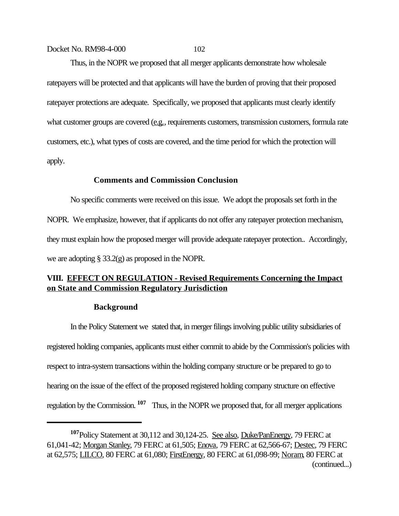Thus, in the NOPR we proposed that all merger applicants demonstrate how wholesale ratepayers will be protected and that applicants will have the burden of proving that their proposed ratepayer protections are adequate. Specifically, we proposed that applicants must clearly identify what customer groups are covered (e.g., requirements customers, transmission customers, formula rate customers, etc.), what types of costs are covered, and the time period for which the protection will apply.

## **Comments and Commission Conclusion**

No specific comments were received on this issue. We adopt the proposals set forth in the NOPR. We emphasize, however, that if applicants do not offer any ratepayer protection mechanism, they must explain how the proposed merger will provide adequate ratepayer protection.. Accordingly, we are adopting § 33.2(g) as proposed in the NOPR.

## **VIII. EFFECT ON REGULATION - Revised Requirements Concerning the Impact on State and Commission Regulatory Jurisdiction**

#### **Background**

In the Policy Statement we stated that, in merger filings involving public utility subsidiaries of registered holding companies, applicants must either commit to abide by the Commission's policies with respect to intra-system transactions within the holding company structure or be prepared to go to hearing on the issue of the effect of the proposed registered holding company structure on effective regulation by the Commission. **107** Thus, in the NOPR we proposed that, for all merger applications

**<sup>107</sup>**Policy Statement at 30,112 and 30,124-25. See also, Duke/PanEnergy, 79 FERC at 61,041-42; Morgan Stanley, 79 FERC at 61,505; Enova, 79 FERC at 62,566-67; Destec, 79 FERC at 62,575; LILCO, 80 FERC at 61,080; FirstEnergy, 80 FERC at 61,098-99; Noram, 80 FERC at (continued...)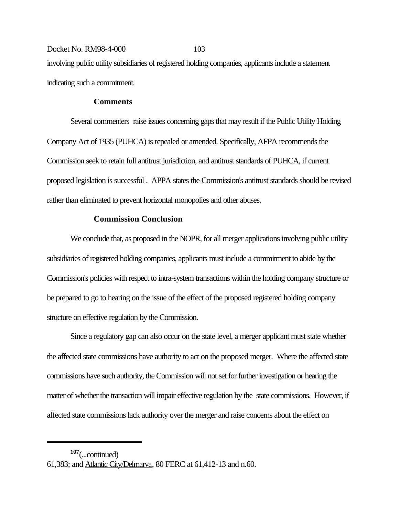Docket No. RM98-4-000 103 involving public utility subsidiaries of registered holding companies, applicants include a statement indicating such a commitment.

## **Comments**

Several commenters raise issues concerning gaps that may result if the Public Utility Holding Company Act of 1935 (PUHCA) is repealed or amended. Specifically, AFPA recommends the Commission seek to retain full antitrust jurisdiction, and antitrust standards of PUHCA, if current proposed legislation is successful . APPA states the Commission's antitrust standards should be revised rather than eliminated to prevent horizontal monopolies and other abuses.

## **Commission Conclusion**

We conclude that, as proposed in the NOPR, for all merger applications involving public utility subsidiaries of registered holding companies, applicants must include a commitment to abide by the Commission's policies with respect to intra-system transactions within the holding company structure or be prepared to go to hearing on the issue of the effect of the proposed registered holding company structure on effective regulation by the Commission.

Since a regulatory gap can also occur on the state level, a merger applicant must state whether the affected state commissions have authority to act on the proposed merger. Where the affected state commissions have such authority, the Commission will not set for further investigation or hearing the matter of whether the transaction will impair effective regulation by the state commissions. However, if affected state commissions lack authority over the merger and raise concerns about the effect on

**<sup>107</sup>**(...continued)

<sup>61,383;</sup> and Atlantic City/Delmarva, 80 FERC at 61,412-13 and n.60.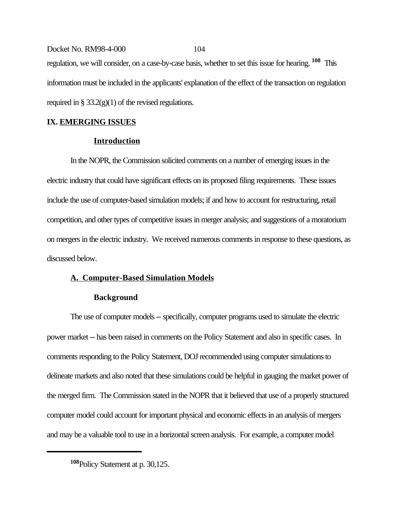Docket No. RM98-4-000 104 regulation, we will consider, on a case-by-case basis, whether to set this issue for hearing. **108** This information must be included in the applicants' explanation of the effect of the transaction on regulation required in  $\S 33.2(g)(1)$  of the revised regulations.

# **IX. EMERGING ISSUES**

# **Introduction**

In the NOPR, the Commission solicited comments on a number of emerging issues in the electric industry that could have significant effects on its proposed filing requirements. These issues include the use of computer-based simulation models; if and how to account for restructuring, retail competition, and other types of competitive issues in merger analysis; and suggestions of a moratorium on mergers in the electric industry. We received numerous comments in response to these questions, as discussed below.

# **A. Computer-Based Simulation Models**

# **Background**

The use of computer models -- specifically, computer programs used to simulate the electric power market -- has been raised in comments on the Policy Statement and also in specific cases. In comments responding to the Policy Statement, DOJ recommended using computer simulations to delineate markets and also noted that these simulations could be helpful in gauging the market power of the merged firm. The Commission stated in the NOPR that it believed that use of a properly structured computer model could account for important physical and economic effects in an analysis of mergers and may be a valuable tool to use in a horizontal screen analysis. For example, a computer model

**<sup>108</sup>**Policy Statement at p. 30,125.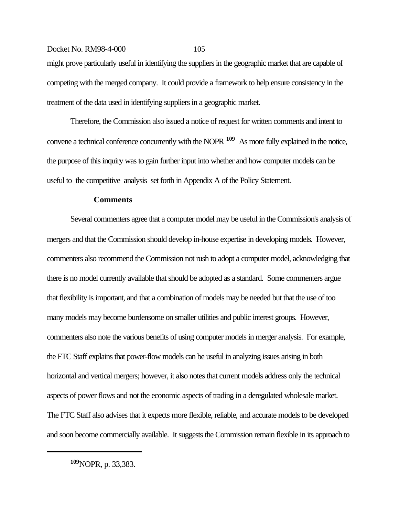# Docket No. RM98-4-000 105 might prove particularly useful in identifying the suppliers in the geographic market that are capable of competing with the merged company. It could provide a framework to help ensure consistency in the treatment of the data used in identifying suppliers in a geographic market.

Therefore, the Commission also issued a notice of request for written comments and intent to convene a technical conference concurrently with the NOPR **109** As more fully explained in the notice, the purpose of this inquiry was to gain further input into whether and how computer models can be useful to the competitive analysis set forth in Appendix A of the Policy Statement.

## **Comments**

Several commenters agree that a computer model may be useful in the Commission's analysis of mergers and that the Commission should develop in-house expertise in developing models. However, commenters also recommend the Commission not rush to adopt a computer model, acknowledging that there is no model currently available that should be adopted as a standard. Some commenters argue that flexibility is important, and that a combination of models may be needed but that the use of too many models may become burdensome on smaller utilities and public interest groups. However, commenters also note the various benefits of using computer models in merger analysis. For example, the FTC Staff explains that power-flow models can be useful in analyzing issues arising in both horizontal and vertical mergers; however, it also notes that current models address only the technical aspects of power flows and not the economic aspects of trading in a deregulated wholesale market. The FTC Staff also advises that it expects more flexible, reliable, and accurate models to be developed and soon become commercially available. It suggests the Commission remain flexible in its approach to

**<sup>109</sup>**NOPR, p. 33,383.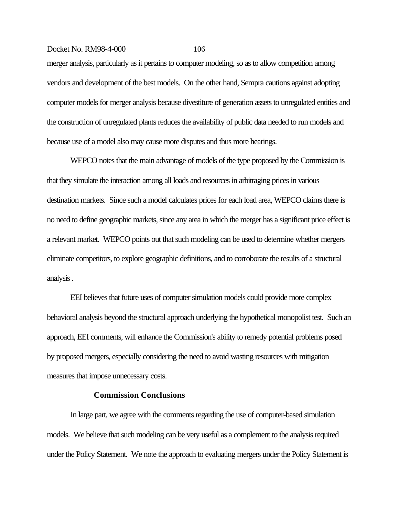merger analysis, particularly as it pertains to computer modeling, so as to allow competition among vendors and development of the best models. On the other hand, Sempra cautions against adopting computer models for merger analysis because divestiture of generation assets to unregulated entities and the construction of unregulated plants reduces the availability of public data needed to run models and because use of a model also may cause more disputes and thus more hearings.

WEPCO notes that the main advantage of models of the type proposed by the Commission is that they simulate the interaction among all loads and resources in arbitraging prices in various destination markets. Since such a model calculates prices for each load area, WEPCO claims there is no need to define geographic markets, since any area in which the merger has a significant price effect is a relevant market. WEPCO points out that such modeling can be used to determine whether mergers eliminate competitors, to explore geographic definitions, and to corroborate the results of a structural analysis .

EEI believes that future uses of computer simulation models could provide more complex behavioral analysis beyond the structural approach underlying the hypothetical monopolist test. Such an approach, EEI comments, will enhance the Commission's ability to remedy potential problems posed by proposed mergers, especially considering the need to avoid wasting resources with mitigation measures that impose unnecessary costs.

#### **Commission Conclusions**

In large part, we agree with the comments regarding the use of computer-based simulation models. We believe that such modeling can be very useful as a complement to the analysis required under the Policy Statement. We note the approach to evaluating mergers under the Policy Statement is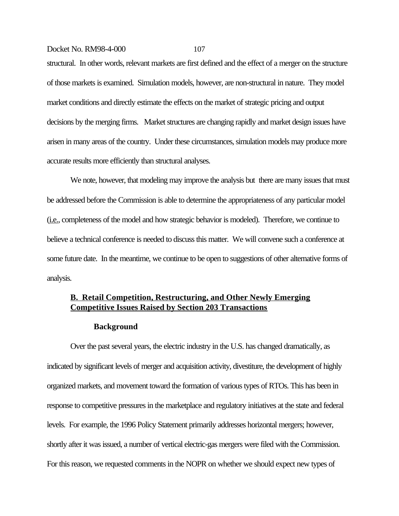structural. In other words, relevant markets are first defined and the effect of a merger on the structure of those markets is examined. Simulation models, however, are non-structural in nature. They model market conditions and directly estimate the effects on the market of strategic pricing and output decisions by the merging firms. Market structures are changing rapidly and market design issues have arisen in many areas of the country. Under these circumstances, simulation models may produce more accurate results more efficiently than structural analyses.

We note, however, that modeling may improve the analysis but there are many issues that must be addressed before the Commission is able to determine the appropriateness of any particular model (i.e., completeness of the model and how strategic behavior is modeled). Therefore, we continue to believe a technical conference is needed to discuss this matter. We will convene such a conference at some future date. In the meantime, we continue to be open to suggestions of other alternative forms of analysis.

# **B. Retail Competition, Restructuring, and Other Newly Emerging Competitive Issues Raised by Section 203 Transactions**

#### **Background**

Over the past several years, the electric industry in the U.S. has changed dramatically, as indicated by significant levels of merger and acquisition activity, divestiture, the development of highly organized markets, and movement toward the formation of various types of RTOs. This has been in response to competitive pressures in the marketplace and regulatory initiatives at the state and federal levels. For example, the 1996 Policy Statement primarily addresses horizontal mergers; however, shortly after it was issued, a number of vertical electric-gas mergers were filed with the Commission. For this reason, we requested comments in the NOPR on whether we should expect new types of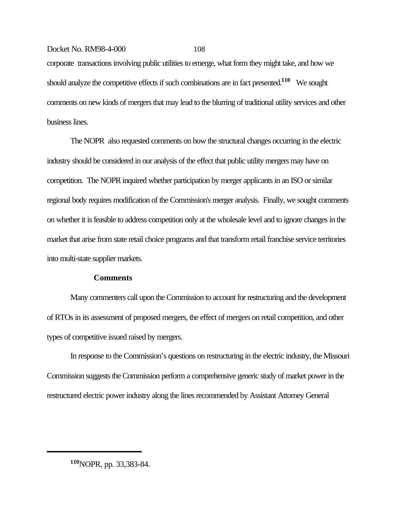corporate transactions involving public utilities to emerge, what form they might take, and how we should analyze the competitive effects if such combinations are in fact presented.**110** We sought comments on new kinds of mergers that may lead to the blurring of traditional utility services and other business lines.

The NOPR also requested comments on how the structural changes occurring in the electric industry should be considered in our analysis of the effect that public utility mergers may have on competition. The NOPR inquired whether participation by merger applicants in an ISO or similar regional body requires modification of the Commission's merger analysis. Finally, we sought comments on whether it is feasible to address competition only at the wholesale level and to ignore changes in the market that arise from state retail choice programs and that transform retail franchise service territories into multi-state supplier markets.

### **Comments**

Many commenters call upon the Commission to account for restructuring and the development of RTOs in its assessment of proposed mergers, the effect of mergers on retail competition, and other types of competitive issued raised by mergers.

In response to the Commission's questions on restructuring in the electric industry, the Missouri Commission suggests the Commission perform a comprehensive generic study of market power in the restructured electric power industry along the lines recommended by Assistant Attorney General

**<sup>110</sup>**NOPR, pp. 33,383-84.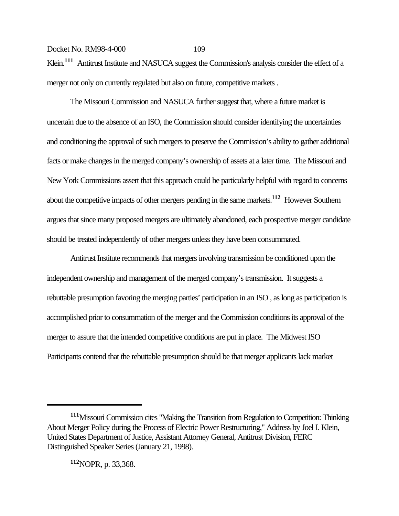Klein.<sup>111</sup> Antitrust Institute and NASUCA suggest the Commission's analysis consider the effect of a merger not only on currently regulated but also on future, competitive markets .

The Missouri Commission and NASUCA further suggest that, where a future market is uncertain due to the absence of an ISO, the Commission should consider identifying the uncertainties and conditioning the approval of such mergers to preserve the Commission's ability to gather additional facts or make changes in the merged company's ownership of assets at a later time. The Missouri and New York Commissions assert that this approach could be particularly helpful with regard to concerns about the competitive impacts of other mergers pending in the same markets.**112** However Southern argues that since many proposed mergers are ultimately abandoned, each prospective merger candidate should be treated independently of other mergers unless they have been consummated.

Antitrust Institute recommends that mergers involving transmission be conditioned upon the independent ownership and management of the merged company's transmission. It suggests a rebuttable presumption favoring the merging parties' participation in an ISO , as long as participation is accomplished prior to consummation of the merger and the Commission conditions its approval of the merger to assure that the intended competitive conditions are put in place. The Midwest ISO Participants contend that the rebuttable presumption should be that merger applicants lack market

**<sup>112</sup>**NOPR, p. 33,368.

**<sup>111</sup>**Missouri Commission cites "Making the Transition from Regulation to Competition: Thinking About Merger Policy during the Process of Electric Power Restructuring," Address by Joel I. Klein, United States Department of Justice, Assistant Attorney General, Antitrust Division, FERC Distinguished Speaker Series (January 21, 1998).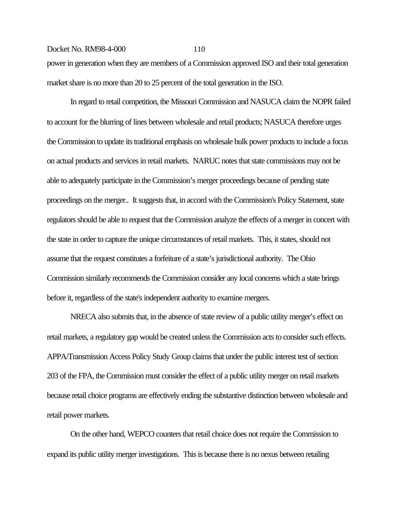power in generation when they are members of a Commission approved ISO and their total generation market share is no more than 20 to 25 percent of the total generation in the ISO.

In regard to retail competition, the Missouri Commission and NASUCA claim the NOPR failed to account for the blurring of lines between wholesale and retail products; NASUCA therefore urges the Commission to update its traditional emphasis on wholesale bulk power products to include a focus on actual products and services in retail markets. NARUC notes that state commissions may not be able to adequately participate in the Commission's merger proceedings because of pending state proceedings on the merger.. It suggests that, in accord with the Commission's Policy Statement, state regulators should be able to request that the Commission analyze the effects of a merger in concert with the state in order to capture the unique circumstances of retail markets. This, it states, should not assume that the request constitutes a forfeiture of a state's jurisdictional authority. The Ohio Commission similarly recommends the Commission consider any local concerns which a state brings before it, regardless of the state's independent authority to examine mergers.

NRECA also submits that, in the absence of state review of a public utility merger's effect on retail markets, a regulatory gap would be created unless the Commission acts to consider such effects. APPA/Transmission Access Policy Study Group claims that under the public interest test of section 203 of the FPA, the Commission must consider the effect of a public utility merger on retail markets because retail choice programs are effectively ending the substantive distinction between wholesale and retail power markets.

On the other hand, WEPCO counters that retail choice does not require the Commission to expand its public utility merger investigations. This is because there is no nexus between retailing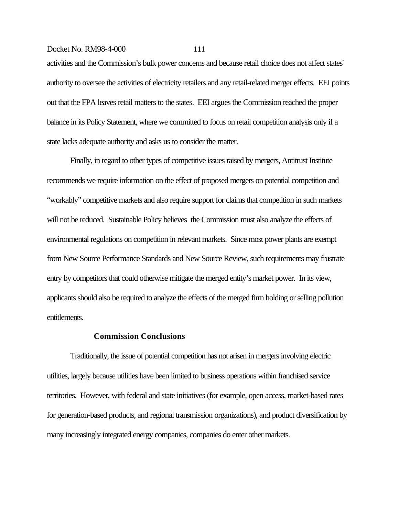activities and the Commission's bulk power concerns and because retail choice does not affect states' authority to oversee the activities of electricity retailers and any retail-related merger effects. EEI points out that the FPA leaves retail matters to the states. EEI argues the Commission reached the proper balance in its Policy Statement, where we committed to focus on retail competition analysis only if a state lacks adequate authority and asks us to consider the matter.

Finally, in regard to other types of competitive issues raised by mergers, Antitrust Institute recommends we require information on the effect of proposed mergers on potential competition and "workably" competitive markets and also require support for claims that competition in such markets will not be reduced. Sustainable Policy believes the Commission must also analyze the effects of environmental regulations on competition in relevant markets. Since most power plants are exempt from New Source Performance Standards and New Source Review, such requirements may frustrate entry by competitors that could otherwise mitigate the merged entity's market power. In its view, applicants should also be required to analyze the effects of the merged firm holding or selling pollution entitlements.

#### **Commission Conclusions**

Traditionally, the issue of potential competition has not arisen in mergers involving electric utilities, largely because utilities have been limited to business operations within franchised service territories. However, with federal and state initiatives (for example, open access, market-based rates for generation-based products, and regional transmission organizations), and product diversification by many increasingly integrated energy companies, companies do enter other markets.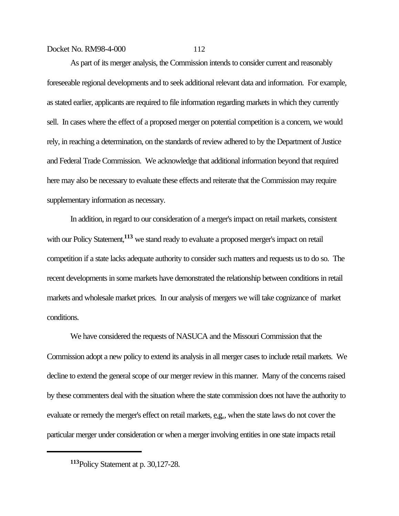As part of its merger analysis, the Commission intends to consider current and reasonably foreseeable regional developments and to seek additional relevant data and information. For example, as stated earlier, applicants are required to file information regarding markets in which they currently sell. In cases where the effect of a proposed merger on potential competition is a concern, we would rely, in reaching a determination, on the standards of review adhered to by the Department of Justice and Federal Trade Commission. We acknowledge that additional information beyond that required here may also be necessary to evaluate these effects and reiterate that the Commission may require supplementary information as necessary.

In addition, in regard to our consideration of a merger's impact on retail markets, consistent with our Policy Statement,<sup>113</sup> we stand ready to evaluate a proposed merger's impact on retail competition if a state lacks adequate authority to consider such matters and requests us to do so. The recent developments in some markets have demonstrated the relationship between conditions in retail markets and wholesale market prices. In our analysis of mergers we will take cognizance of market conditions.

We have considered the requests of NASUCA and the Missouri Commission that the Commission adopt a new policy to extend its analysis in all merger cases to include retail markets. We decline to extend the general scope of our merger review in this manner. Many of the concerns raised by these commenters deal with the situation where the state commission does not have the authority to evaluate or remedy the merger's effect on retail markets, e.g., when the state laws do not cover the particular merger under consideration or when a merger involving entities in one state impacts retail

**<sup>113</sup>**Policy Statement at p. 30,127-28.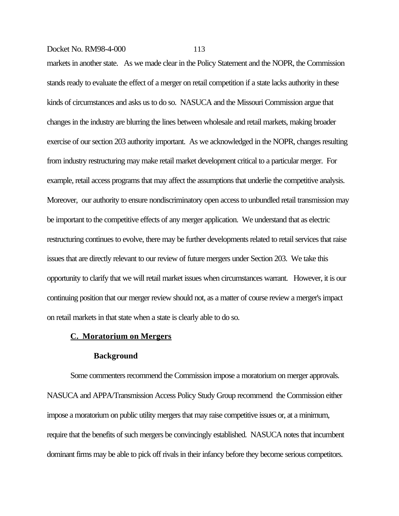markets in another state. As we made clear in the Policy Statement and the NOPR, the Commission stands ready to evaluate the effect of a merger on retail competition if a state lacks authority in these kinds of circumstances and asks us to do so. NASUCA and the Missouri Commission argue that changes in the industry are blurring the lines between wholesale and retail markets, making broader exercise of our section 203 authority important. As we acknowledged in the NOPR, changes resulting from industry restructuring may make retail market development critical to a particular merger. For example, retail access programs that may affect the assumptions that underlie the competitive analysis. Moreover, our authority to ensure nondiscriminatory open access to unbundled retail transmission may be important to the competitive effects of any merger application. We understand that as electric restructuring continues to evolve, there may be further developments related to retail services that raise issues that are directly relevant to our review of future mergers under Section 203. We take this opportunity to clarify that we will retail market issues when circumstances warrant. However, it is our continuing position that our merger review should not, as a matter of course review a merger's impact on retail markets in that state when a state is clearly able to do so.

#### **C. Moratorium on Mergers**

#### **Background**

Some commenters recommend the Commission impose a moratorium on merger approvals. NASUCA and APPA/Transmission Access Policy Study Group recommend the Commission either impose a moratorium on public utility mergers that may raise competitive issues or, at a minimum, require that the benefits of such mergers be convincingly established. NASUCA notes that incumbent dominant firms may be able to pick off rivals in their infancy before they become serious competitors.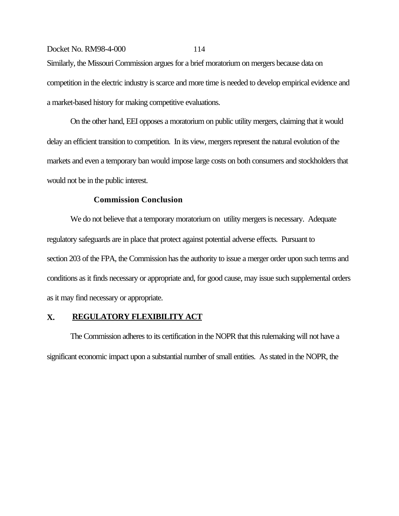Similarly, the Missouri Commission argues for a brief moratorium on mergers because data on competition in the electric industry is scarce and more time is needed to develop empirical evidence and a market-based history for making competitive evaluations.

On the other hand, EEI opposes a moratorium on public utility mergers, claiming that it would delay an efficient transition to competition. In its view, mergers represent the natural evolution of the markets and even a temporary ban would impose large costs on both consumers and stockholders that would not be in the public interest.

#### **Commission Conclusion**

We do not believe that a temporary moratorium on utility mergers is necessary. Adequate regulatory safeguards are in place that protect against potential adverse effects. Pursuant to section 203 of the FPA, the Commission has the authority to issue a merger order upon such terms and conditions as it finds necessary or appropriate and, for good cause, may issue such supplemental orders as it may find necessary or appropriate.

### **X. REGULATORY FLEXIBILITY ACT**

The Commission adheres to its certification in the NOPR that this rulemaking will not have a significant economic impact upon a substantial number of small entities. As stated in the NOPR, the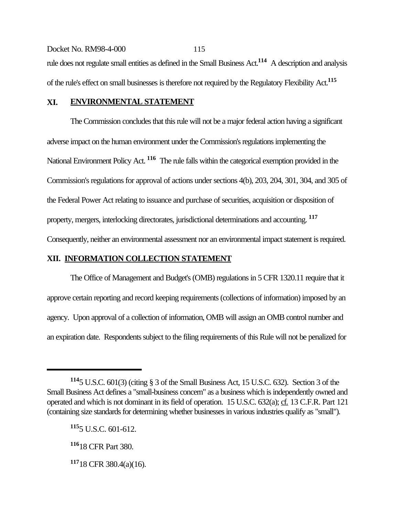Docket No. RM98-4-000 115 rule does not regulate small entities as defined in the Small Business Act.**114** A description and analysis of the rule's effect on small businesses is therefore not required by the Regulatory Flexibility Act.**<sup>115</sup>**

### **XI. ENVIRONMENTAL STATEMENT**

The Commission concludes that this rule will not be a major federal action having a significant adverse impact on the human environment under the Commission's regulations implementing the National Environment Policy Act. **116** The rule falls within the categorical exemption provided in the Commission's regulations for approval of actions under sections 4(b), 203, 204, 301, 304, and 305 of the Federal Power Act relating to issuance and purchase of securities, acquisition or disposition of property, mergers, interlocking directorates, jurisdictional determinations and accounting. **<sup>117</sup>** Consequently, neither an environmental assessment nor an environmental impact statement is required.

### **XII. INFORMATION COLLECTION STATEMENT**

The Office of Management and Budget's (OMB) regulations in 5 CFR 1320.11 require that it approve certain reporting and record keeping requirements (collections of information) imposed by an agency. Upon approval of a collection of information, OMB will assign an OMB control number and an expiration date. Respondents subject to the filing requirements of this Rule will not be penalized for

**<sup>114</sup>**5 U.S.C. 601(3) (citing § 3 of the Small Business Act, 15 U.S.C. 632). Section 3 of the Small Business Act defines a "small-business concern" as a business which is independently owned and operated and which is not dominant in its field of operation. 15 U.S.C. 632(a); cf. 13 C.F.R. Part 121 (containing size standards for determining whether businesses in various industries qualify as "small").

**<sup>115</sup>**5 U.S.C. 601-612.

**<sup>116</sup>**18 CFR Part 380.

**<sup>117</sup>**18 CFR 380.4(a)(16).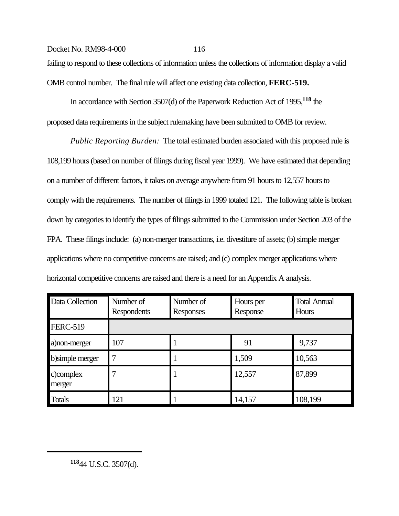# Docket No. RM98-4-000 116 failing to respond to these collections of information unless the collections of information display a valid

OMB control number. The final rule will affect one existing data collection, **FERC-519.** 

In accordance with Section 3507(d) of the Paperwork Reduction Act of 1995,**118** the proposed data requirements in the subject rulemaking have been submitted to OMB for review.

*Public Reporting Burden:* The total estimated burden associated with this proposed rule is 108,199 hours (based on number of filings during fiscal year 1999). We have estimated that depending on a number of different factors, it takes on average anywhere from 91 hours to 12,557 hours to comply with the requirements. The number of filings in 1999 totaled 121. The following table is broken down by categories to identify the types of filings submitted to the Commission under Section 203 of the FPA. These filings include: (a) non-merger transactions, i.e. divestiture of assets; (b) simple merger applications where no competitive concerns are raised; and (c) complex merger applications where horizontal competitive concerns are raised and there is a need for an Appendix A analysis.

| Data Collection     | Number of<br>Respondents | Number of<br>Responses | Hours per<br>Response | <b>Total Annual</b><br>Hours |
|---------------------|--------------------------|------------------------|-----------------------|------------------------------|
| <b>FERC-519</b>     |                          |                        |                       |                              |
| a) non-merger       | 107                      |                        | 91                    | 9,737                        |
| b)simple merger     | 7                        |                        | 1,509                 | 10,563                       |
| c)complex<br>merger |                          |                        | 12,557                | 87,899                       |
| <b>Totals</b>       | 121                      |                        | 14,157                | 108,199                      |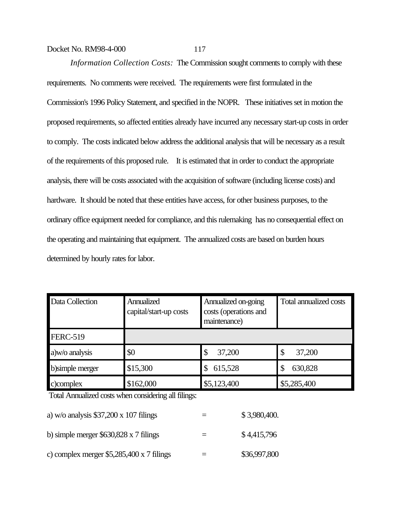*Information Collection Costs:* The Commission sought comments to comply with these requirements. No comments were received. The requirements were first formulated in the Commission's 1996 Policy Statement, and specified in the NOPR. These initiatives set in motion the proposed requirements, so affected entities already have incurred any necessary start-up costs in order to comply. The costs indicated below address the additional analysis that will be necessary as a result of the requirements of this proposed rule. It is estimated that in order to conduct the appropriate analysis, there will be costs associated with the acquisition of software (including license costs) and hardware. It should be noted that these entities have access, for other business purposes, to the ordinary office equipment needed for compliance, and this rulemaking has no consequential effect on the operating and maintaining that equipment. The annualized costs are based on burden hours

determined by hourly rates for labor.

| Data Collection  | Annualized<br>capital/start-up costs | Annualized on-going<br>costs (operations and<br>maintenance) | Total annualized costs |
|------------------|--------------------------------------|--------------------------------------------------------------|------------------------|
| <b>FERC-519</b>  |                                      |                                                              |                        |
| a)w/o analysis   | \$0                                  | 37,200<br>\$                                                 | 37,200<br>\$           |
| b) simple merger | \$15,300                             | 615,528<br>S                                                 | 630,828                |
| c)complex        | \$162,000                            | \$5,123,400                                                  | \$5,285,400            |

Total Annualized costs when considering all filings:

| a) w/o analysis $$37,200 \times 107$ filings    | \$3,980,400. |
|-------------------------------------------------|--------------|
| b) simple merger $$630,828 \times 7$ filings    | \$4,415,796  |
| c) complex merger $$5,285,400 \times 7$ filings | \$36,997,800 |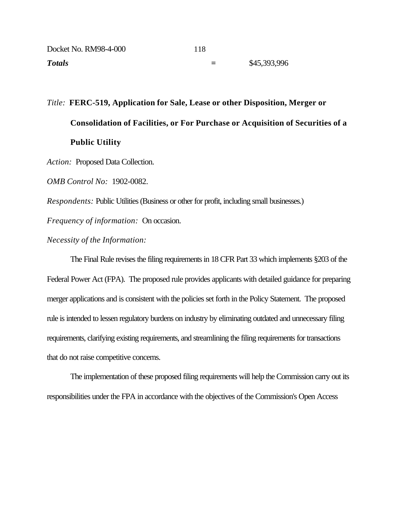| Docket No. RM98-4-000 | 118 |              |
|-----------------------|-----|--------------|
| <b>Totals</b>         | Ξ   | \$45,393,996 |

*Title:* **FERC-519, Application for Sale, Lease or other Disposition, Merger or Consolidation of Facilities, or For Purchase or Acquisition of Securities of a Public Utility**

*Action:* Proposed Data Collection.

*OMB Control No:* 1902-0082.

*Respondents:* Public Utilities (Business or other for profit, including small businesses.)

*Frequency of information:* On occasion.

*Necessity of the Information:*

The Final Rule revises the filing requirements in 18 CFR Part 33 which implements §203 of the Federal Power Act (FPA). The proposed rule provides applicants with detailed guidance for preparing merger applications and is consistent with the policies set forth in the Policy Statement. The proposed rule is intended to lessen regulatory burdens on industry by eliminating outdated and unnecessary filing requirements, clarifying existing requirements, and streamlining the filing requirements for transactions that do not raise competitive concerns.

The implementation of these proposed filing requirements will help the Commission carry out its responsibilities under the FPA in accordance with the objectives of the Commission's Open Access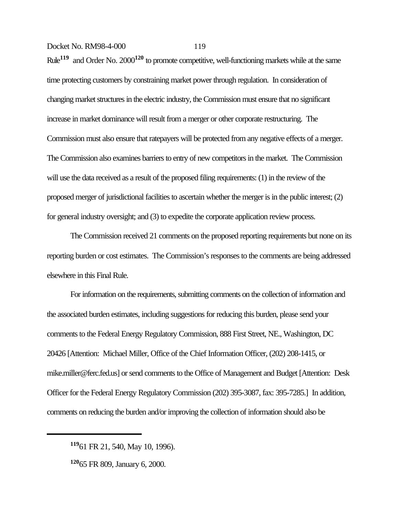Rule**119** and Order No. 2000**120** to promote competitive, well-functioning markets while at the same time protecting customers by constraining market power through regulation. In consideration of changing market structures in the electric industry, the Commission must ensure that no significant increase in market dominance will result from a merger or other corporate restructuring. The Commission must also ensure that ratepayers will be protected from any negative effects of a merger. The Commission also examines barriers to entry of new competitors in the market. The Commission will use the data received as a result of the proposed filing requirements: (1) in the review of the proposed merger of jurisdictional facilities to ascertain whether the merger is in the public interest; (2) for general industry oversight; and (3) to expedite the corporate application review process.

 The Commission received 21 comments on the proposed reporting requirements but none on its reporting burden or cost estimates. The Commission's responses to the comments are being addressed elsewhere in this Final Rule.

For information on the requirements, submitting comments on the collection of information and the associated burden estimates, including suggestions for reducing this burden, please send your comments to the Federal Energy Regulatory Commission, 888 First Street, NE., Washington, DC 20426 [Attention: Michael Miller, Office of the Chief Information Officer, (202) 208-1415, or mike.miller@ferc.fed.us] or send comments to the Office of Management and Budget [Attention: Desk Officer for the Federal Energy Regulatory Commission (202) 395-3087, fax: 395-7285.] In addition, comments on reducing the burden and/or improving the collection of information should also be

**<sup>119</sup>**61 FR 21, 540, May 10, 1996).

**<sup>120</sup>**65 FR 809, January 6, 2000.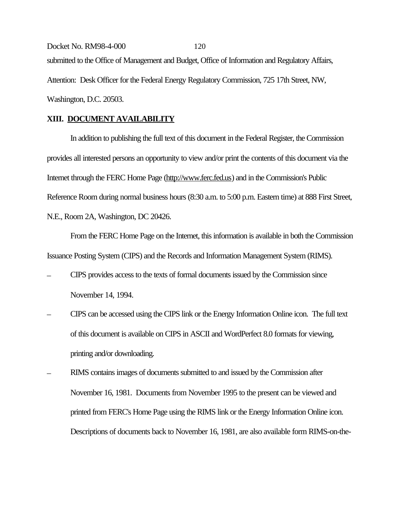Docket No. RM98-4-000 120 submitted to the Office of Management and Budget, Office of Information and Regulatory Affairs, Attention: Desk Officer for the Federal Energy Regulatory Commission, 725 17th Street, NW, Washington, D.C. 20503.

#### **XIII. DOCUMENT AVAILABILITY**

In addition to publishing the full text of this document in the Federal Register, the Commission provides all interested persons an opportunity to view and/or print the contents of this document via the Internet through the FERC Home Page (http://www.ferc.fed.us) and in the Commission's Public Reference Room during normal business hours (8:30 a.m. to 5:00 p.m. Eastern time) at 888 First Street, N.E., Room 2A, Washington, DC 20426.

From the FERC Home Page on the Internet, this information is available in both the Commission Issuance Posting System (CIPS) and the Records and Information Management System (RIMS).

- CIPS provides access to the texts of formal documents issued by the Commission since November 14, 1994.
- CIPS can be accessed using the CIPS link or the Energy Information Online icon. The full text of this document is available on CIPS in ASCII and WordPerfect 8.0 formats for viewing, printing and/or downloading.
- RIMS contains images of documents submitted to and issued by the Commission after November 16, 1981. Documents from November 1995 to the present can be viewed and printed from FERC's Home Page using the RIMS link or the Energy Information Online icon. Descriptions of documents back to November 16, 1981, are also available form RIMS-on-the-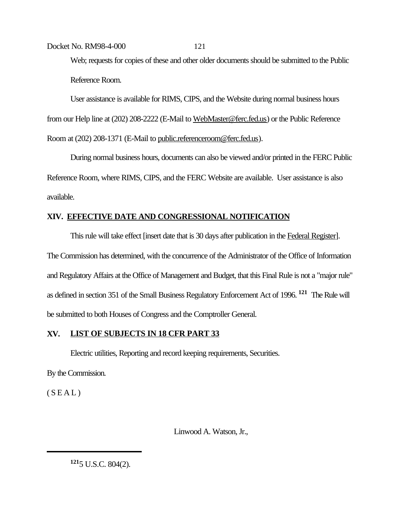Web; requests for copies of these and other older documents should be submitted to the Public Reference Room.

User assistance is available for RIMS, CIPS, and the Website during normal business hours from our Help line at (202) 208-2222 (E-Mail to WebMaster@ferc.fed.us) or the Public Reference Room at (202) 208-1371 (E-Mail to public.referenceroom@ferc.fed.us).

During normal business hours, documents can also be viewed and/or printed in the FERC Public Reference Room, where RIMS, CIPS, and the FERC Website are available. User assistance is also available.

# **XIV. EFFECTIVE DATE AND CONGRESSIONAL NOTIFICATION**

This rule will take effect [insert date that is 30 days after publication in the Federal Register]. The Commission has determined, with the concurrence of the Administrator of the Office of Information and Regulatory Affairs at the Office of Management and Budget, that this Final Rule is not a "major rule" as defined in section 351 of the Small Business Regulatory Enforcement Act of 1996. **121** The Rule will be submitted to both Houses of Congress and the Comptroller General.

# **XV. LIST OF SUBJECTS IN 18 CFR PART 33**

Electric utilities, Reporting and record keeping requirements, Securities.

By the Commission.

 $(S E A L)$ 

Linwood A. Watson, Jr.,

**<sup>121</sup>**5 U.S.C. 804(2).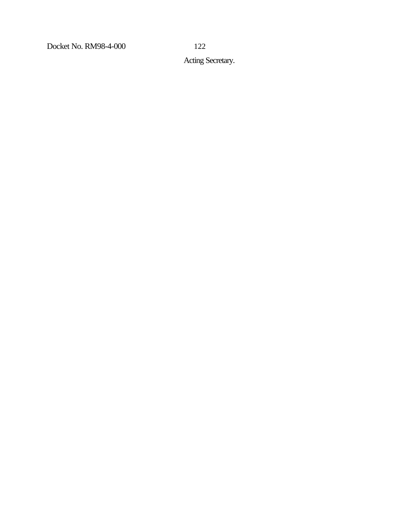Acting Secretary.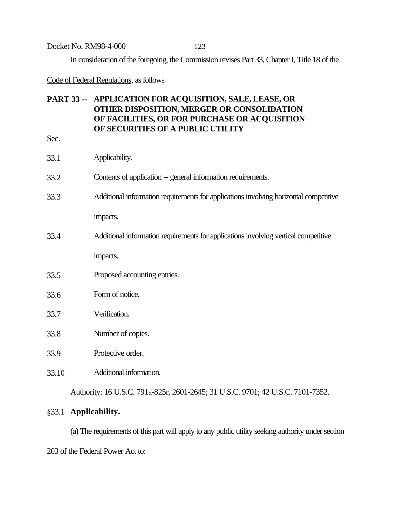In consideration of the foregoing, the Commission revises Part 33, Chapter I, Title 18 of the

Code of Federal Regulations, as follows

# **PART 33 -- APPLICATION FOR ACQUISITION, SALE, LEASE, OR OTHER DISPOSITION, MERGER OR CONSOLIDATION OF FACILITIES, OR FOR PURCHASE OR ACQUISITION OF SECURITIES OF A PUBLIC UTILITY**

 $S<sub>6</sub>$ 

| Sec.  |                                                                                       |
|-------|---------------------------------------------------------------------------------------|
| 33.1  | Applicability.                                                                        |
| 33.2  | Contents of application -- general information requirements.                          |
| 33.3  | Additional information requirements for applications involving horizontal competitive |
|       | impacts.                                                                              |
| 33.4  | Additional information requirements for applications involving vertical competitive   |
|       | impacts.                                                                              |
| 33.5  | Proposed accounting entries.                                                          |
| 33.6  | Form of notice.                                                                       |
| 33.7  | Verification.                                                                         |
| 33.8  | Number of copies.                                                                     |
| 33.9  | Protective order.                                                                     |
| 33.10 | Additional information.                                                               |
|       | Authority: 16 U.S.C. 791a-825r, 2601-2645; 31 U.S.C. 9701; 42 U.S.C. 7101-7352.       |

# §33.1 **Applicability.**

(a) The requirements of this part will apply to any public utility seeking authority under section 203 of the Federal Power Act to: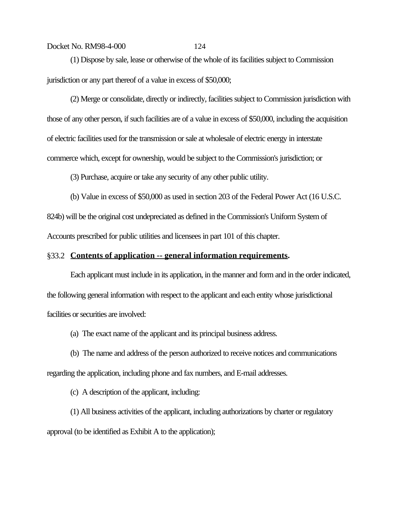(1) Dispose by sale, lease or otherwise of the whole of its facilities subject to Commission jurisdiction or any part thereof of a value in excess of \$50,000;

(2) Merge or consolidate, directly or indirectly, facilities subject to Commission jurisdiction with those of any other person, if such facilities are of a value in excess of \$50,000, including the acquisition of electric facilities used for the transmission or sale at wholesale of electric energy in interstate commerce which, except for ownership, would be subject to the Commission's jurisdiction; or

(3) Purchase, acquire or take any security of any other public utility.

(b) Value in excess of \$50,000 as used in section 203 of the Federal Power Act (16 U.S.C.

824b) will be the original cost undepreciated as defined in the Commission's Uniform System of Accounts prescribed for public utilities and licensees in part 101 of this chapter.

## §33.2 **Contents of application -- general information requirements.**

Each applicant must include in its application, in the manner and form and in the order indicated, the following general information with respect to the applicant and each entity whose jurisdictional facilities or securities are involved:

(a) The exact name of the applicant and its principal business address.

(b) The name and address of the person authorized to receive notices and communications regarding the application, including phone and fax numbers, and E-mail addresses.

(c) A description of the applicant, including:

(1) All business activities of the applicant, including authorizations by charter or regulatory approval (to be identified as Exhibit A to the application);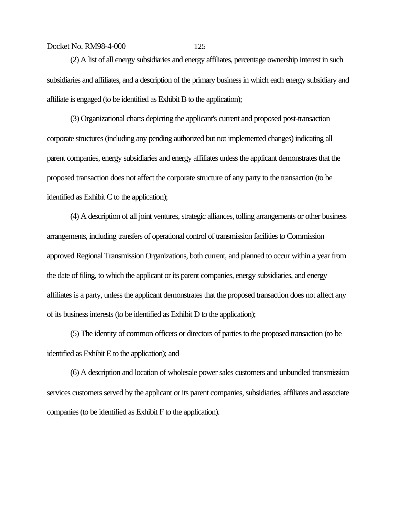(2) A list of all energy subsidiaries and energy affiliates, percentage ownership interest in such subsidiaries and affiliates, and a description of the primary business in which each energy subsidiary and affiliate is engaged (to be identified as Exhibit B to the application);

(3) Organizational charts depicting the applicant's current and proposed post-transaction corporate structures (including any pending authorized but not implemented changes) indicating all parent companies, energy subsidiaries and energy affiliates unless the applicant demonstrates that the proposed transaction does not affect the corporate structure of any party to the transaction (to be identified as Exhibit C to the application);

(4) A description of all joint ventures, strategic alliances, tolling arrangements or other business arrangements, including transfers of operational control of transmission facilities to Commission approved Regional Transmission Organizations, both current, and planned to occur within a year from the date of filing, to which the applicant or its parent companies, energy subsidiaries, and energy affiliates is a party, unless the applicant demonstrates that the proposed transaction does not affect any of its business interests (to be identified as Exhibit D to the application);

(5) The identity of common officers or directors of parties to the proposed transaction (to be identified as Exhibit E to the application); and

(6) A description and location of wholesale power sales customers and unbundled transmission services customers served by the applicant or its parent companies, subsidiaries, affiliates and associate companies (to be identified as Exhibit F to the application).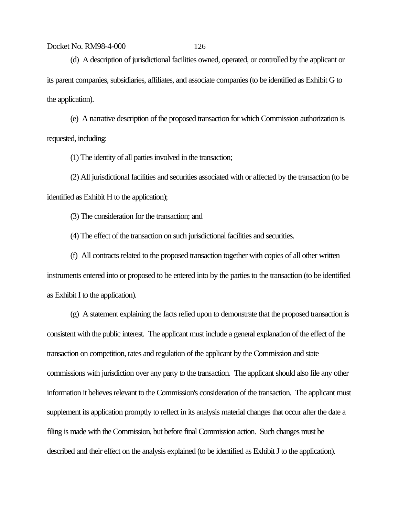(d) A description of jurisdictional facilities owned, operated, or controlled by the applicant or its parent companies, subsidiaries, affiliates, and associate companies (to be identified as Exhibit G to the application).

(e) A narrative description of the proposed transaction for which Commission authorization is requested, including:

(1) The identity of all parties involved in the transaction;

(2) All jurisdictional facilities and securities associated with or affected by the transaction (to be identified as Exhibit H to the application);

(3) The consideration for the transaction; and

(4) The effect of the transaction on such jurisdictional facilities and securities.

(f) All contracts related to the proposed transaction together with copies of all other written instruments entered into or proposed to be entered into by the parties to the transaction (to be identified as Exhibit I to the application).

(g) A statement explaining the facts relied upon to demonstrate that the proposed transaction is consistent with the public interest. The applicant must include a general explanation of the effect of the transaction on competition, rates and regulation of the applicant by the Commission and state commissions with jurisdiction over any party to the transaction. The applicant should also file any other information it believes relevant to the Commission's consideration of the transaction. The applicant must supplement its application promptly to reflect in its analysis material changes that occur after the date a filing is made with the Commission, but before final Commission action. Such changes must be described and their effect on the analysis explained (to be identified as Exhibit J to the application).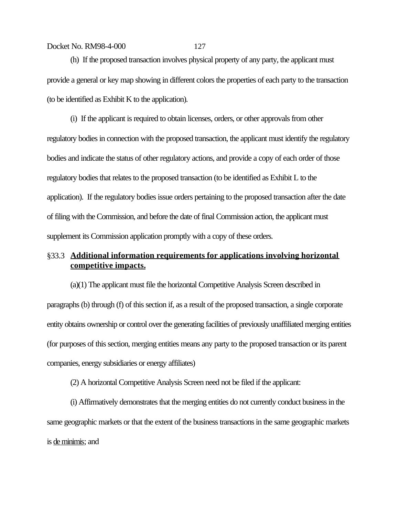(h) If the proposed transaction involves physical property of any party, the applicant must provide a general or key map showing in different colors the properties of each party to the transaction (to be identified as Exhibit K to the application).

(i) If the applicant is required to obtain licenses, orders, or other approvals from other regulatory bodies in connection with the proposed transaction, the applicant must identify the regulatory bodies and indicate the status of other regulatory actions, and provide a copy of each order of those regulatory bodies that relates to the proposed transaction (to be identified as Exhibit L to the application). If the regulatory bodies issue orders pertaining to the proposed transaction after the date of filing with the Commission, and before the date of final Commission action, the applicant must supplement its Commission application promptly with a copy of these orders.

# §33.3 **Additional information requirements for applications involving horizontal competitive impacts.**

(a)(1) The applicant must file the horizontal Competitive Analysis Screen described in paragraphs (b) through (f) of this section if, as a result of the proposed transaction, a single corporate entity obtains ownership or control over the generating facilities of previously unaffiliated merging entities (for purposes of this section, merging entities means any party to the proposed transaction or its parent companies, energy subsidiaries or energy affiliates)

(2) A horizontal Competitive Analysis Screen need not be filed if the applicant:

(i) Affirmatively demonstrates that the merging entities do not currently conduct business in the same geographic markets or that the extent of the business transactions in the same geographic markets is de minimis; and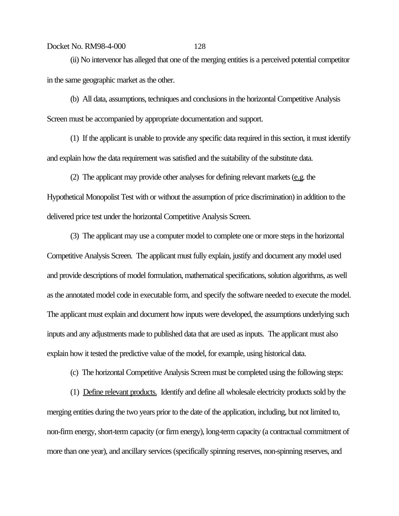(ii) No intervenor has alleged that one of the merging entities is a perceived potential competitor in the same geographic market as the other.

(b) All data, assumptions, techniques and conclusions in the horizontal Competitive Analysis Screen must be accompanied by appropriate documentation and support.

(1) If the applicant is unable to provide any specific data required in this section, it must identify and explain how the data requirement was satisfied and the suitability of the substitute data.

(2) The applicant may provide other analyses for defining relevant markets (e.g. the

Hypothetical Monopolist Test with or without the assumption of price discrimination) in addition to the delivered price test under the horizontal Competitive Analysis Screen.

(3) The applicant may use a computer model to complete one or more steps in the horizontal Competitive Analysis Screen. The applicant must fully explain, justify and document any model used and provide descriptions of model formulation, mathematical specifications, solution algorithms, as well as the annotated model code in executable form, and specify the software needed to execute the model. The applicant must explain and document how inputs were developed, the assumptions underlying such inputs and any adjustments made to published data that are used as inputs. The applicant must also explain how it tested the predictive value of the model, for example, using historical data.

(c) The horizontal Competitive Analysis Screen must be completed using the following steps:

(1) Define relevant products. Identify and define all wholesale electricity products sold by the merging entities during the two years prior to the date of the application, including, but not limited to, non-firm energy, short-term capacity (or firm energy), long-term capacity (a contractual commitment of more than one year), and ancillary services (specifically spinning reserves, non-spinning reserves, and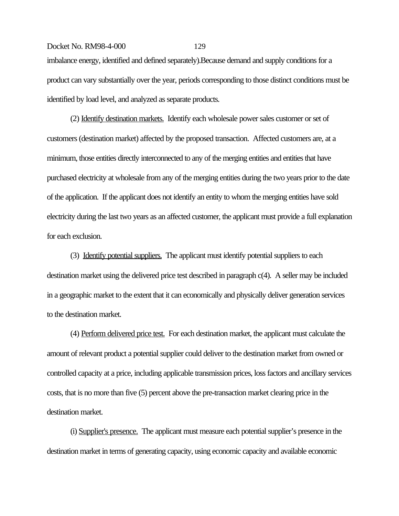Docket No. RM98-4-000 129 imbalance energy, identified and defined separately).Because demand and supply conditions for a product can vary substantially over the year, periods corresponding to those distinct conditions must be identified by load level, and analyzed as separate products.

(2) Identify destination markets. Identify each wholesale power sales customer or set of customers (destination market) affected by the proposed transaction. Affected customers are, at a minimum, those entities directly interconnected to any of the merging entities and entities that have purchased electricity at wholesale from any of the merging entities during the two years prior to the date of the application. If the applicant does not identify an entity to whom the merging entities have sold electricity during the last two years as an affected customer, the applicant must provide a full explanation for each exclusion.

(3) Identify potential suppliers. The applicant must identify potential suppliers to each destination market using the delivered price test described in paragraph c(4). A seller may be included in a geographic market to the extent that it can economically and physically deliver generation services to the destination market.

(4) Perform delivered price test. For each destination market, the applicant must calculate the amount of relevant product a potential supplier could deliver to the destination market from owned or controlled capacity at a price, including applicable transmission prices, loss factors and ancillary services costs, that is no more than five (5) percent above the pre-transaction market clearing price in the destination market.

(i) Supplier's presence. The applicant must measure each potential supplier's presence in the destination market in terms of generating capacity, using economic capacity and available economic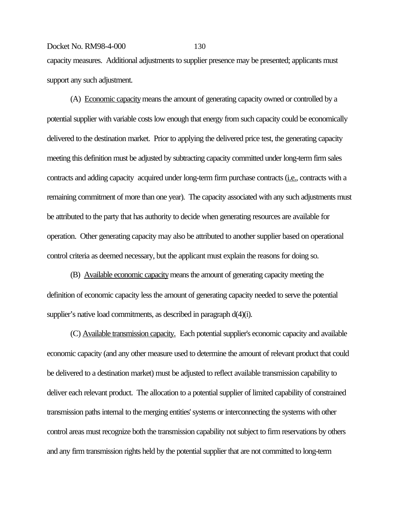capacity measures. Additional adjustments to supplier presence may be presented; applicants must support any such adjustment.

(A) Economic capacity means the amount of generating capacity owned or controlled by a potential supplier with variable costs low enough that energy from such capacity could be economically delivered to the destination market. Prior to applying the delivered price test, the generating capacity meeting this definition must be adjusted by subtracting capacity committed under long-term firm sales contracts and adding capacity acquired under long-term firm purchase contracts (i.e., contracts with a remaining commitment of more than one year). The capacity associated with any such adjustments must be attributed to the party that has authority to decide when generating resources are available for operation. Other generating capacity may also be attributed to another supplier based on operational control criteria as deemed necessary, but the applicant must explain the reasons for doing so.

(B) Available economic capacity means the amount of generating capacity meeting the definition of economic capacity less the amount of generating capacity needed to serve the potential supplier's native load commitments, as described in paragraph d(4)(i).

(C) Available transmission capacity. Each potential supplier's economic capacity and available economic capacity (and any other measure used to determine the amount of relevant product that could be delivered to a destination market) must be adjusted to reflect available transmission capability to deliver each relevant product. The allocation to a potential supplier of limited capability of constrained transmission paths internal to the merging entities' systems or interconnecting the systems with other control areas must recognize both the transmission capability not subject to firm reservations by others and any firm transmission rights held by the potential supplier that are not committed to long-term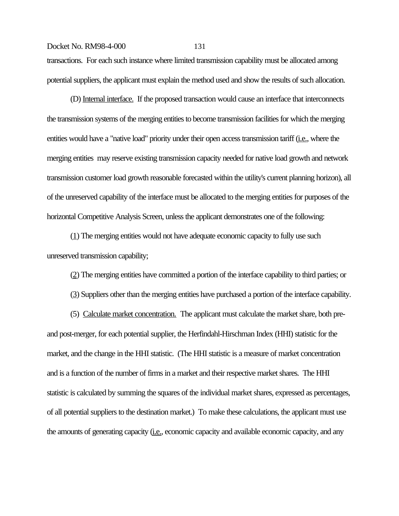transactions. For each such instance where limited transmission capability must be allocated among potential suppliers, the applicant must explain the method used and show the results of such allocation.

(D) Internal interface. If the proposed transaction would cause an interface that interconnects the transmission systems of the merging entities to become transmission facilities for which the merging entities would have a "native load" priority under their open access transmission tariff (i.e., where the merging entities may reserve existing transmission capacity needed for native load growth and network transmission customer load growth reasonable forecasted within the utility's current planning horizon), all of the unreserved capability of the interface must be allocated to the merging entities for purposes of the horizontal Competitive Analysis Screen, unless the applicant demonstrates one of the following:

(1) The merging entities would not have adequate economic capacity to fully use such unreserved transmission capability;

(2) The merging entities have committed a portion of the interface capability to third parties; or

(3) Suppliers other than the merging entities have purchased a portion of the interface capability.

(5) Calculate market concentration. The applicant must calculate the market share, both preand post-merger, for each potential supplier, the Herfindahl-Hirschman Index (HHI) statistic for the market, and the change in the HHI statistic. (The HHI statistic is a measure of market concentration and is a function of the number of firms in a market and their respective market shares. The HHI statistic is calculated by summing the squares of the individual market shares, expressed as percentages, of all potential suppliers to the destination market.) To make these calculations, the applicant must use the amounts of generating capacity (*i.e.*, economic capacity and available economic capacity, and any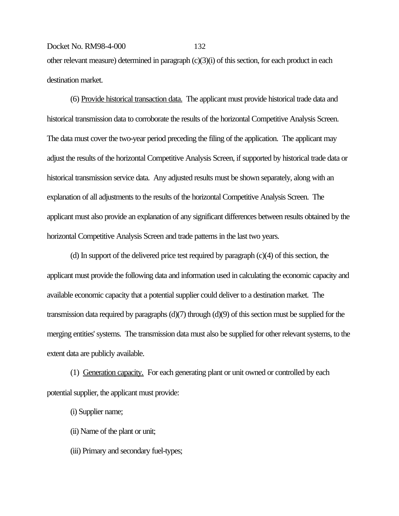# Docket No. RM98-4-000 132 other relevant measure) determined in paragraph (c)(3)(i) of this section, for each product in each destination market.

(6) Provide historical transaction data. The applicant must provide historical trade data and historical transmission data to corroborate the results of the horizontal Competitive Analysis Screen. The data must cover the two-year period preceding the filing of the application. The applicant may adjust the results of the horizontal Competitive Analysis Screen, if supported by historical trade data or historical transmission service data. Any adjusted results must be shown separately, along with an explanation of all adjustments to the results of the horizontal Competitive Analysis Screen. The applicant must also provide an explanation of any significant differences between results obtained by the horizontal Competitive Analysis Screen and trade patterns in the last two years.

(d) In support of the delivered price test required by paragraph (c)(4) of this section, the applicant must provide the following data and information used in calculating the economic capacity and available economic capacity that a potential supplier could deliver to a destination market. The transmission data required by paragraphs  $(d)(7)$  through  $(d)(9)$  of this section must be supplied for the merging entities' systems. The transmission data must also be supplied for other relevant systems, to the extent data are publicly available.

(1) Generation capacity. For each generating plant or unit owned or controlled by each potential supplier, the applicant must provide:

- (i) Supplier name;
- (ii) Name of the plant or unit;
- (iii) Primary and secondary fuel-types;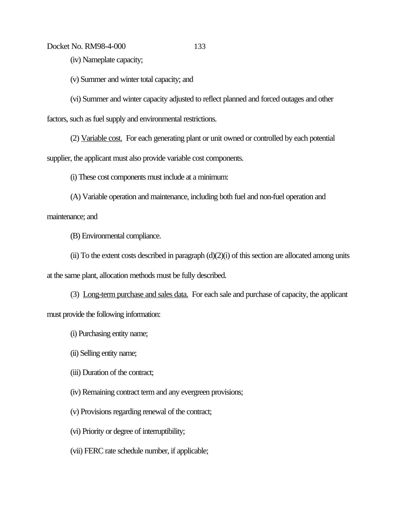(iv) Nameplate capacity;

(v) Summer and winter total capacity; and

(vi) Summer and winter capacity adjusted to reflect planned and forced outages and other

factors, such as fuel supply and environmental restrictions.

(2) Variable cost. For each generating plant or unit owned or controlled by each potential supplier, the applicant must also provide variable cost components.

(i) These cost components must include at a minimum:

(A) Variable operation and maintenance, including both fuel and non-fuel operation and

maintenance; and

(B) Environmental compliance.

(ii) To the extent costs described in paragraph (d)(2)(i) of this section are allocated among units

at the same plant, allocation methods must be fully described.

(3) Long-term purchase and sales data. For each sale and purchase of capacity, the applicant must provide the following information:

(i) Purchasing entity name;

(ii) Selling entity name;

(iii) Duration of the contract;

(iv) Remaining contract term and any evergreen provisions;

(v) Provisions regarding renewal of the contract;

(vi) Priority or degree of interruptibility;

(vii) FERC rate schedule number, if applicable;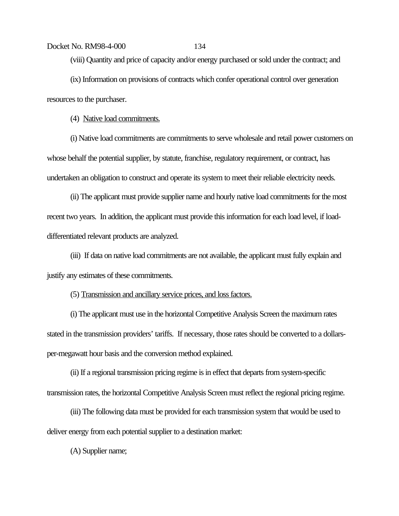(viii) Quantity and price of capacity and/or energy purchased or sold under the contract; and (ix) Information on provisions of contracts which confer operational control over generation resources to the purchaser.

(4) Native load commitments.

(i) Native load commitments are commitments to serve wholesale and retail power customers on whose behalf the potential supplier, by statute, franchise, regulatory requirement, or contract, has undertaken an obligation to construct and operate its system to meet their reliable electricity needs.

(ii) The applicant must provide supplier name and hourly native load commitments for the most recent two years. In addition, the applicant must provide this information for each load level, if loaddifferentiated relevant products are analyzed.

(iii) If data on native load commitments are not available, the applicant must fully explain and justify any estimates of these commitments.

(5) Transmission and ancillary service prices, and loss factors.

(i) The applicant must use in the horizontal Competitive Analysis Screen the maximum rates stated in the transmission providers' tariffs. If necessary, those rates should be converted to a dollarsper-megawatt hour basis and the conversion method explained.

(ii) If a regional transmission pricing regime is in effect that departs from system-specific transmission rates, the horizontal Competitive Analysis Screen must reflect the regional pricing regime.

(iii) The following data must be provided for each transmission system that would be used to deliver energy from each potential supplier to a destination market:

(A) Supplier name;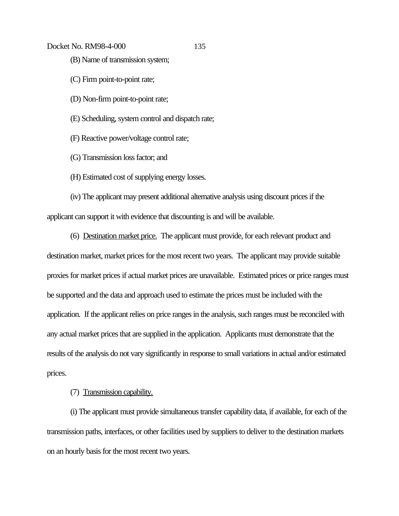- (B) Name of transmission system;
- (C) Firm point-to-point rate;
- (D) Non-firm point-to-point rate;
- (E) Scheduling, system control and dispatch rate;
- (F) Reactive power/voltage control rate;
- (G) Transmission loss factor; and
- (H) Estimated cost of supplying energy losses.

(iv) The applicant may present additional alternative analysis using discount prices if the applicant can support it with evidence that discounting is and will be available.

- (6) Destination market price. The applicant must provide, for each relevant product and destination market, market prices for the most recent two years. The applicant may provide suitable proxies for market prices if actual market prices are unavailable. Estimated prices or price ranges must be supported and the data and approach used to estimate the prices must be included with the application. If the applicant relies on price ranges in the analysis, such ranges must be reconciled with any actual market prices that are supplied in the application. Applicants must demonstrate that the results of the analysis do not vary significantly in response to small variations in actual and/or estimated prices.
	- (7) Transmission capability.

(i) The applicant must provide simultaneous transfer capability data, if available, for each of the transmission paths, interfaces, or other facilities used by suppliers to deliver to the destination markets on an hourly basis for the most recent two years.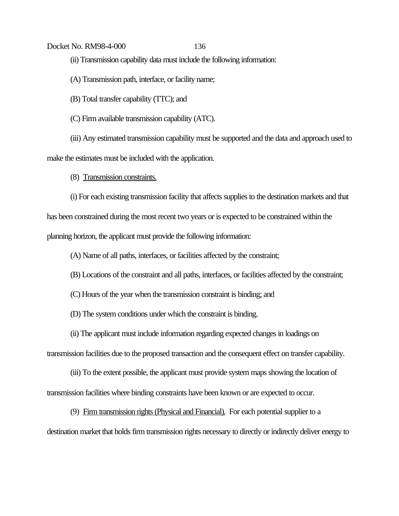# Docket No. RM98-4-000 136 (ii) Transmission capability data must include the following information:

(A) Transmission path, interface, or facility name;

(B) Total transfer capability (TTC); and

(C) Firm available transmission capability (ATC).

(iii) Any estimated transmission capability must be supported and the data and approach used to make the estimates must be included with the application.

(8) Transmission constraints.

(i) For each existing transmission facility that affects supplies to the destination markets and that has been constrained during the most recent two years or is expected to be constrained within the planning horizon, the applicant must provide the following information:

(A) Name of all paths, interfaces, or facilities affected by the constraint;

(B) Locations of the constraint and all paths, interfaces, or facilities affected by the constraint;

(C) Hours of the year when the transmission constraint is binding; and

(D) The system conditions under which the constraint is binding.

(ii) The applicant must include information regarding expected changes in loadings on

transmission facilities due to the proposed transaction and the consequent effect on transfer capability.

(iii) To the extent possible, the applicant must provide system maps showing the location of transmission facilities where binding constraints have been known or are expected to occur.

(9) Firm transmission rights (Physical and Financial). For each potential supplier to a

destination market that holds firm transmission rights necessary to directly or indirectly deliver energy to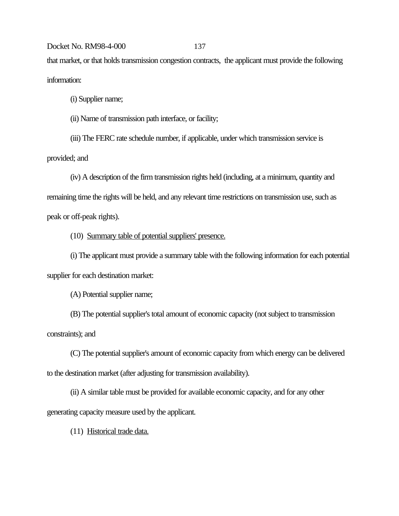Docket No. RM98-4-000 137 that market, or that holds transmission congestion contracts, the applicant must provide the following information:

(i) Supplier name;

(ii) Name of transmission path interface, or facility;

(iii) The FERC rate schedule number, if applicable, under which transmission service is

provided; and

(iv) A description of the firm transmission rights held (including, at a minimum, quantity and remaining time the rights will be held, and any relevant time restrictions on transmission use, such as peak or off-peak rights).

(10) Summary table of potential suppliers' presence.

(i) The applicant must provide a summary table with the following information for each potential supplier for each destination market:

(A) Potential supplier name;

(B) The potential supplier's total amount of economic capacity (not subject to transmission constraints); and

(C) The potential supplier's amount of economic capacity from which energy can be delivered to the destination market (after adjusting for transmission availability).

(ii) A similar table must be provided for available economic capacity, and for any other generating capacity measure used by the applicant.

(11) Historical trade data.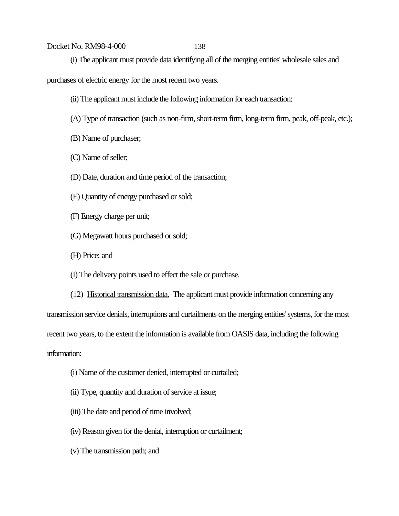(i) The applicant must provide data identifying all of the merging entities' wholesale sales and

purchases of electric energy for the most recent two years.

- (ii) The applicant must include the following information for each transaction:
- (A) Type of transaction (such as non-firm, short-term firm, long-term firm, peak, off-peak, etc.);
- (B) Name of purchaser;
- (C) Name of seller;
- (D) Date, duration and time period of the transaction;
- (E) Quantity of energy purchased or sold;
- (F) Energy charge per unit;
- (G) Megawatt hours purchased or sold;
- (H) Price; and

(I) The delivery points used to effect the sale or purchase.

(12) Historical transmission data. The applicant must provide information concerning any transmission service denials, interruptions and curtailments on the merging entities' systems, for the most recent two years, to the extent the information is available from OASIS data, including the following information:

- (i) Name of the customer denied, interrupted or curtailed;
- (ii) Type, quantity and duration of service at issue;
- (iii) The date and period of time involved;
- (iv) Reason given for the denial, interruption or curtailment;
- (v) The transmission path; and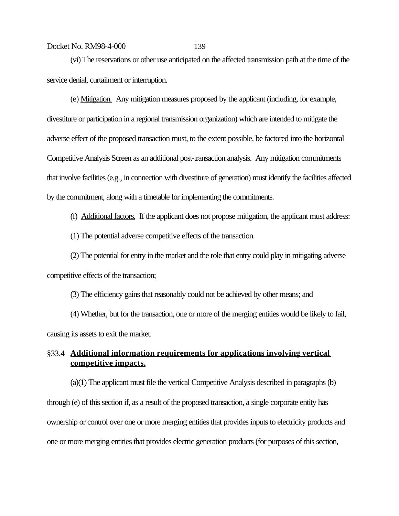(vi) The reservations or other use anticipated on the affected transmission path at the time of the service denial, curtailment or interruption.

(e) Mitigation. Any mitigation measures proposed by the applicant (including, for example, divestiture or participation in a regional transmission organization) which are intended to mitigate the adverse effect of the proposed transaction must, to the extent possible, be factored into the horizontal Competitive Analysis Screen as an additional post-transaction analysis. Any mitigation commitments that involve facilities (e.g., in connection with divestiture of generation) must identify the facilities affected by the commitment, along with a timetable for implementing the commitments.

(f) Additional factors. If the applicant does not propose mitigation, the applicant must address:

(1) The potential adverse competitive effects of the transaction.

(2) The potential for entry in the market and the role that entry could play in mitigating adverse competitive effects of the transaction;

(3) The efficiency gains that reasonably could not be achieved by other means; and

(4) Whether, but for the transaction, one or more of the merging entities would be likely to fail, causing its assets to exit the market.

# §33.4 **Additional information requirements for applications involving vertical competitive impacts.**

(a)(1) The applicant must file the vertical Competitive Analysis described in paragraphs (b) through (e) of this section if, as a result of the proposed transaction, a single corporate entity has ownership or control over one or more merging entities that provides inputs to electricity products and one or more merging entities that provides electric generation products (for purposes of this section,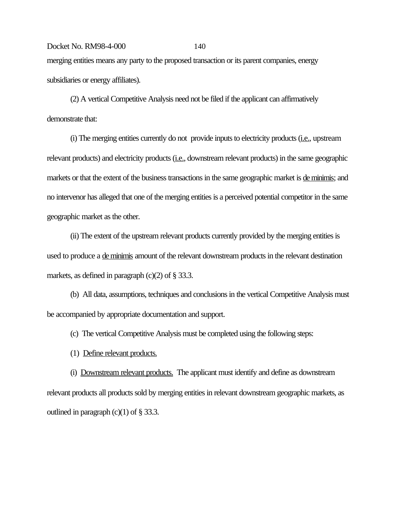# Docket No. RM98-4-000 140 merging entities means any party to the proposed transaction or its parent companies, energy subsidiaries or energy affiliates).

(2) A vertical Competitive Analysis need not be filed if the applicant can affirmatively demonstrate that:

(i) The merging entities currently do not provide inputs to electricity products (i.e., upstream relevant products) and electricity products (i.e., downstream relevant products) in the same geographic markets or that the extent of the business transactions in the same geographic market is <u>de minimis</u>; and no intervenor has alleged that one of the merging entities is a perceived potential competitor in the same geographic market as the other.

(ii) The extent of the upstream relevant products currently provided by the merging entities is used to produce a de minimis amount of the relevant downstream products in the relevant destination markets, as defined in paragraph  $(c)(2)$  of § 33.3.

(b) All data, assumptions, techniques and conclusions in the vertical Competitive Analysis must be accompanied by appropriate documentation and support.

(c) The vertical Competitive Analysis must be completed using the following steps:

(1) Define relevant products.

(i) Downstream relevant products. The applicant must identify and define as downstream relevant products all products sold by merging entities in relevant downstream geographic markets, as outlined in paragraph  $(c)(1)$  of  $\S 33.3$ .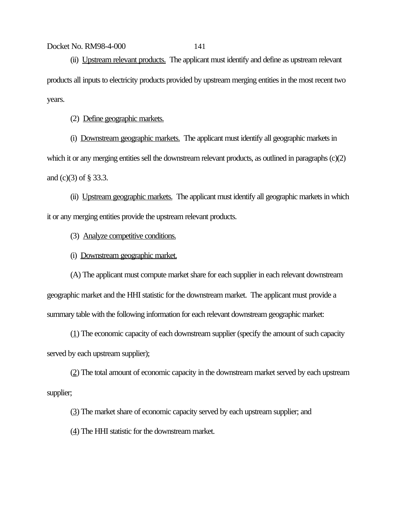(ii) Upstream relevant products. The applicant must identify and define as upstream relevant products all inputs to electricity products provided by upstream merging entities in the most recent two years.

(2) Define geographic markets.

(i) Downstream geographic markets. The applicant must identify all geographic markets in which it or any merging entities sell the downstream relevant products, as outlined in paragraphs (c)(2) and (c)(3) of § 33.3.

(ii) Upstream geographic markets. The applicant must identify all geographic markets in which it or any merging entities provide the upstream relevant products.

(3) Analyze competitive conditions.

(i) Downstream geographic market.

(A) The applicant must compute market share for each supplier in each relevant downstream geographic market and the HHI statistic for the downstream market. The applicant must provide a summary table with the following information for each relevant downstream geographic market:

(1) The economic capacity of each downstream supplier (specify the amount of such capacity served by each upstream supplier);

(2) The total amount of economic capacity in the downstream market served by each upstream supplier;

(3) The market share of economic capacity served by each upstream supplier; and

(4) The HHI statistic for the downstream market.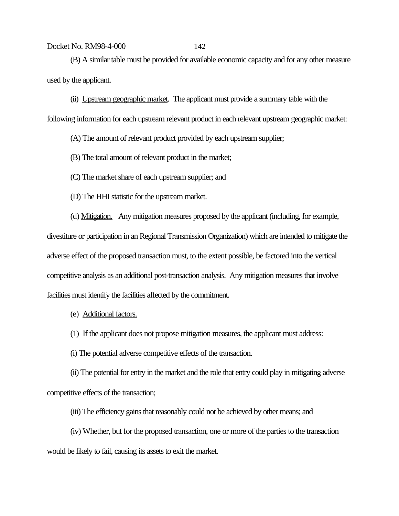(B) A similar table must be provided for available economic capacity and for any other measure used by the applicant.

(ii) Upstream geographic market. The applicant must provide a summary table with the

following information for each upstream relevant product in each relevant upstream geographic market:

(A) The amount of relevant product provided by each upstream supplier;

(B) The total amount of relevant product in the market;

(C) The market share of each upstream supplier; and

(D) The HHI statistic for the upstream market.

(d) Mitigation. Any mitigation measures proposed by the applicant (including, for example,

divestiture or participation in an Regional Transmission Organization) which are intended to mitigate the adverse effect of the proposed transaction must, to the extent possible, be factored into the vertical competitive analysis as an additional post-transaction analysis. Any mitigation measures that involve facilities must identify the facilities affected by the commitment.

(e) Additional factors.

(1) If the applicant does not propose mitigation measures, the applicant must address:

(i) The potential adverse competitive effects of the transaction.

(ii) The potential for entry in the market and the role that entry could play in mitigating adverse competitive effects of the transaction;

(iii) The efficiency gains that reasonably could not be achieved by other means; and

(iv) Whether, but for the proposed transaction, one or more of the parties to the transaction would be likely to fail, causing its assets to exit the market.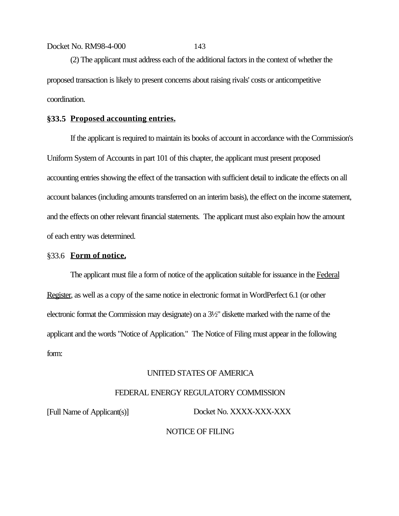(2) The applicant must address each of the additional factors in the context of whether the proposed transaction is likely to present concerns about raising rivals' costs or anticompetitive coordination.

#### **§33.5 Proposed accounting entries.**

If the applicant is required to maintain its books of account in accordance with the Commission's Uniform System of Accounts in part 101 of this chapter, the applicant must present proposed accounting entries showing the effect of the transaction with sufficient detail to indicate the effects on all account balances (including amounts transferred on an interim basis), the effect on the income statement, and the effects on other relevant financial statements. The applicant must also explain how the amount of each entry was determined.

#### §33.6 **Form of notice.**

The applicant must file a form of notice of the application suitable for issuance in the Federal Register, as well as a copy of the same notice in electronic format in WordPerfect 6.1 (or other electronic format the Commission may designate) on a 3½" diskette marked with the name of the applicant and the words "Notice of Application." The Notice of Filing must appear in the following form:

#### UNITED STATES OF AMERICA

#### FEDERAL ENERGY REGULATORY COMMISSION

[Full Name of Applicant(s)] Docket No. XXXX-XXX-XXX

#### NOTICE OF FILING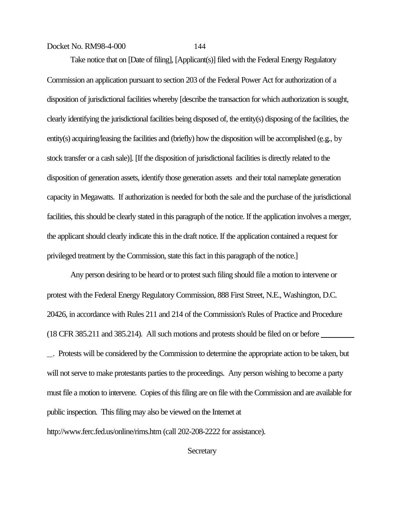Take notice that on [Date of filing], [Applicant(s)] filed with the Federal Energy Regulatory Commission an application pursuant to section 203 of the Federal Power Act for authorization of a disposition of jurisdictional facilities whereby [describe the transaction for which authorization is sought, clearly identifying the jurisdictional facilities being disposed of, the entity(s) disposing of the facilities, the entity(s) acquiring/leasing the facilities and (briefly) how the disposition will be accomplished (e.g., by stock transfer or a cash sale)]. [If the disposition of jurisdictional facilities is directly related to the disposition of generation assets, identify those generation assets and their total nameplate generation capacity in Megawatts. If authorization is needed for both the sale and the purchase of the jurisdictional facilities, this should be clearly stated in this paragraph of the notice. If the application involves a merger, the applicant should clearly indicate this in the draft notice. If the application contained a request for privileged treatment by the Commission, state this fact in this paragraph of the notice.]

Any person desiring to be heard or to protest such filing should file a motion to intervene or protest with the Federal Energy Regulatory Commission, 888 First Street, N.E., Washington, D.C. 20426, in accordance with Rules 211 and 214 of the Commission's Rules of Practice and Procedure (18 CFR 385.211 and 385.214). All such motions and protests should be filed on or before

 . Protests will be considered by the Commission to determine the appropriate action to be taken, but will not serve to make protestants parties to the proceedings. Any person wishing to become a party must file a motion to intervene. Copies of this filing are on file with the Commission and are available for public inspection. This filing may also be viewed on the Internet at http://www.ferc.fed.us/online/rims.htm (call 202-208-2222 for assistance).

**Secretary**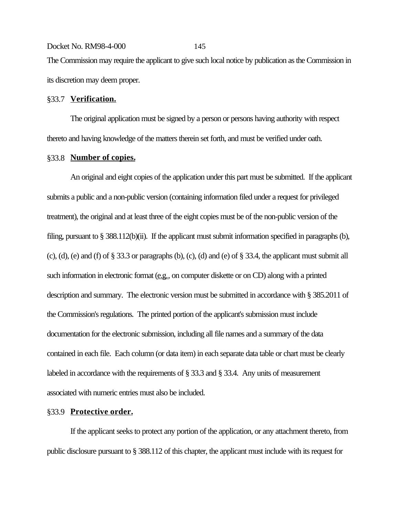Docket No. RM98-4-000 145 The Commission may require the applicant to give such local notice by publication as the Commission in its discretion may deem proper.

#### §33.7 **Verification.**

The original application must be signed by a person or persons having authority with respect thereto and having knowledge of the matters therein set forth, and must be verified under oath.

### §33.8 **Number of copies.**

An original and eight copies of the application under this part must be submitted. If the applicant submits a public and a non-public version (containing information filed under a request for privileged treatment), the original and at least three of the eight copies must be of the non-public version of the filing, pursuant to § 388.112(b)(ii). If the applicant must submit information specified in paragraphs (b), (c), (d), (e) and (f) of  $\S 33.3$  or paragraphs (b), (c), (d) and (e) of  $\S 33.4$ , the applicant must submit all such information in electronic format (e.g., on computer diskette or on CD) along with a printed description and summary. The electronic version must be submitted in accordance with § 385.2011 of the Commission's regulations. The printed portion of the applicant's submission must include documentation for the electronic submission, including all file names and a summary of the data contained in each file. Each column (or data item) in each separate data table or chart must be clearly labeled in accordance with the requirements of § 33.3 and § 33.4. Any units of measurement associated with numeric entries must also be included.

#### §33.9 **Protective order.**

If the applicant seeks to protect any portion of the application, or any attachment thereto, from public disclosure pursuant to § 388.112 of this chapter, the applicant must include with its request for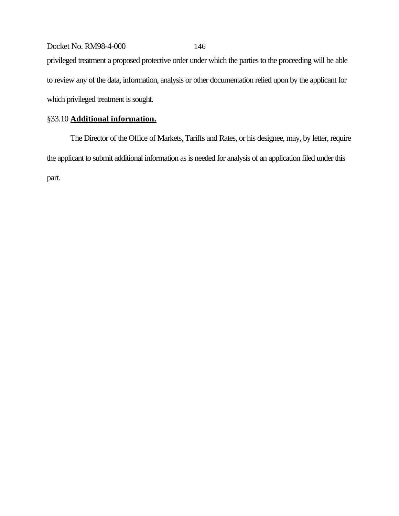Docket No. RM98-4-000 146 privileged treatment a proposed protective order under which the parties to the proceeding will be able to review any of the data, information, analysis or other documentation relied upon by the applicant for which privileged treatment is sought.

## §33.10 **Additional information.**

The Director of the Office of Markets, Tariffs and Rates, or his designee, may, by letter, require the applicant to submit additional information as is needed for analysis of an application filed under this part.